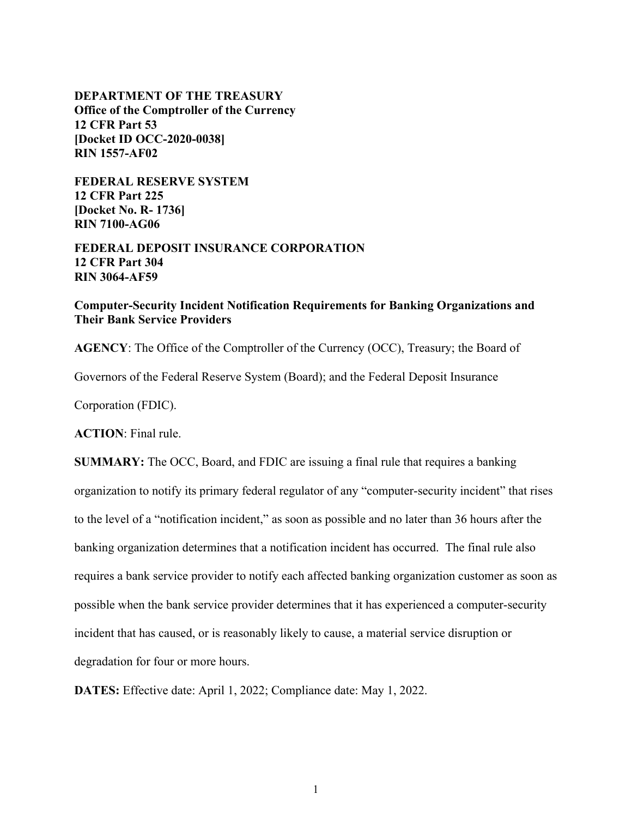**DEPARTMENT OF THE TREASURY Office of the Comptroller of the Currency 12 CFR Part 53 [Docket ID OCC-2020-0038] RIN 1557-AF02**

**FEDERAL RESERVE SYSTEM 12 CFR Part 225 [Docket No. R- 1736] RIN 7100-AG06**

**FEDERAL DEPOSIT INSURANCE CORPORATION 12 CFR Part 304 RIN 3064-AF59**

**Computer-Security Incident Notification Requirements for Banking Organizations and Their Bank Service Providers** 

**AGENCY**: The Office of the Comptroller of the Currency (OCC), Treasury; the Board of

Governors of the Federal Reserve System (Board); and the Federal Deposit Insurance

Corporation (FDIC).

**ACTION**: Final rule.

**SUMMARY:** The OCC, Board, and FDIC are issuing a final rule that requires a banking organization to notify its primary federal regulator of any "computer-security incident" that rises to the level of a "notification incident," as soon as possible and no later than 36 hours after the banking organization determines that a notification incident has occurred. The final rule also requires a bank service provider to notify each affected banking organization customer as soon as possible when the bank service provider determines that it has experienced a computer-security incident that has caused, or is reasonably likely to cause, a material service disruption or degradation for four or more hours.

**DATES:** Effective date: April 1, 2022; Compliance date: May 1, 2022.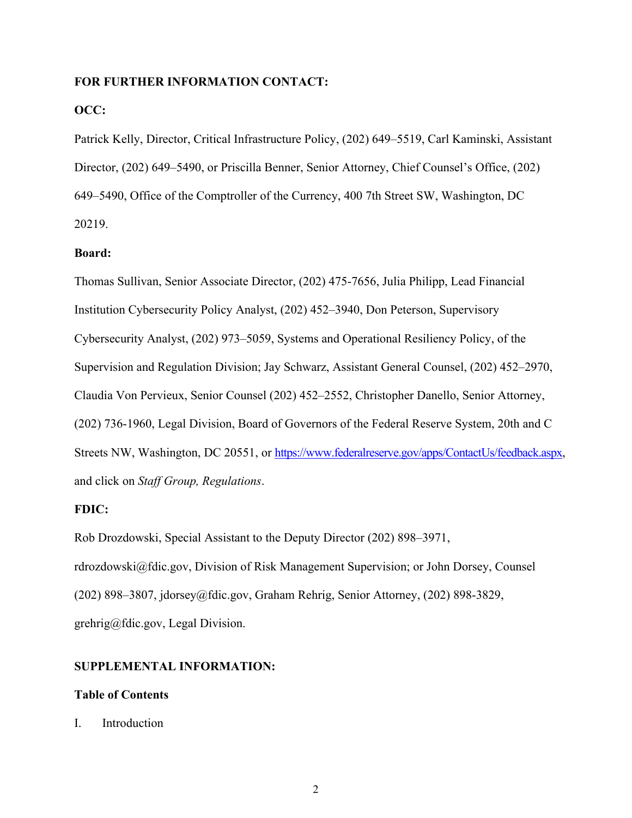## **FOR FURTHER INFORMATION CONTACT:**

# **OCC:**

Patrick Kelly, Director, Critical Infrastructure Policy, (202) 649–5519, Carl Kaminski, Assistant Director, (202) 649–5490, or Priscilla Benner, Senior Attorney, Chief Counsel's Office, (202) 649–5490, Office of the Comptroller of the Currency, 400 7th Street SW, Washington, DC 20219.

# **Board:**

Thomas Sullivan, Senior Associate Director, (202) 475-7656, Julia Philipp, Lead Financial Institution Cybersecurity Policy Analyst, (202) 452–3940, Don Peterson, Supervisory Cybersecurity Analyst, (202) 973–5059, Systems and Operational Resiliency Policy, of the Supervision and Regulation Division; Jay Schwarz, Assistant General Counsel, (202) 452–2970, Claudia Von Pervieux, Senior Counsel (202) 452–2552, Christopher Danello, Senior Attorney, (202) 736-1960, Legal Division, Board of Governors of the Federal Reserve System, 20th and C Streets NW, Washington, DC 20551, or [https://www.federalreserve.gov/apps/ContactUs/feedback.aspx,](https://www.federalreserve.gov/apps/ContactUs/feedback.aspx) and click on *Staff Group, Regulations*.

## **FDIC:**

Rob Drozdowski, Special Assistant to the Deputy Director (202) 898–3971, rdrozdowski@fdic.gov, Division of Risk Management Supervision; or John Dorsey, Counsel (202) 898–3807, jdorsey@fdic.gov, Graham Rehrig, Senior Attorney, (202) 898-3829, grehrig@fdic.gov, Legal Division.

# **SUPPLEMENTAL INFORMATION:**

## **Table of Contents**

I. Introduction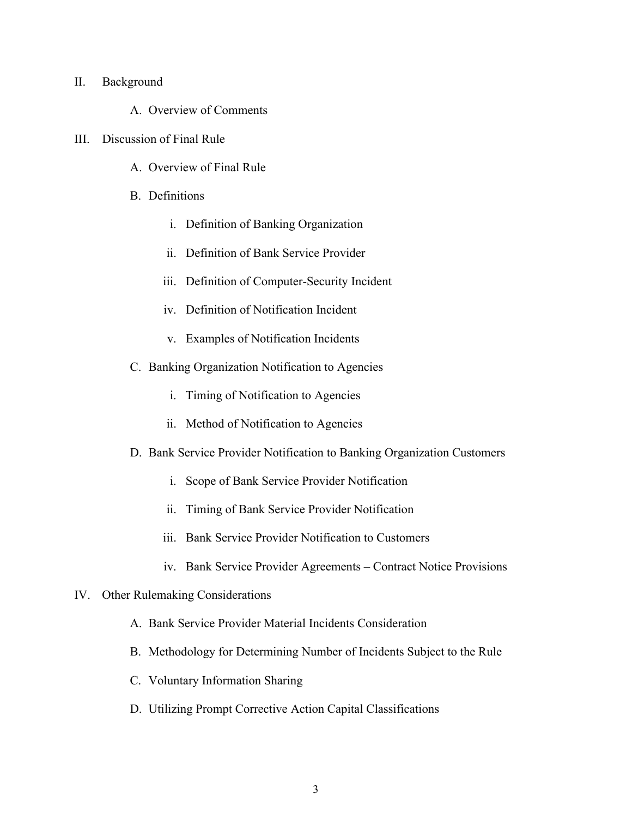## II. Background

- A. Overview of Comments
- III. Discussion of Final Rule
	- A. Overview of Final Rule
	- B. Definitions
		- i. Definition of Banking Organization
		- ii. Definition of Bank Service Provider
		- iii. Definition of Computer-Security Incident
		- iv. Definition of Notification Incident
		- v. Examples of Notification Incidents
	- C. Banking Organization Notification to Agencies
		- i. Timing of Notification to Agencies
		- ii. Method of Notification to Agencies
	- D. Bank Service Provider Notification to Banking Organization Customers
		- i. Scope of Bank Service Provider Notification
		- ii. Timing of Bank Service Provider Notification
		- iii. Bank Service Provider Notification to Customers
		- iv. Bank Service Provider Agreements Contract Notice Provisions
- IV. Other Rulemaking Considerations
	- A. Bank Service Provider Material Incidents Consideration
	- B. Methodology for Determining Number of Incidents Subject to the Rule
	- C. Voluntary Information Sharing
	- D. Utilizing Prompt Corrective Action Capital Classifications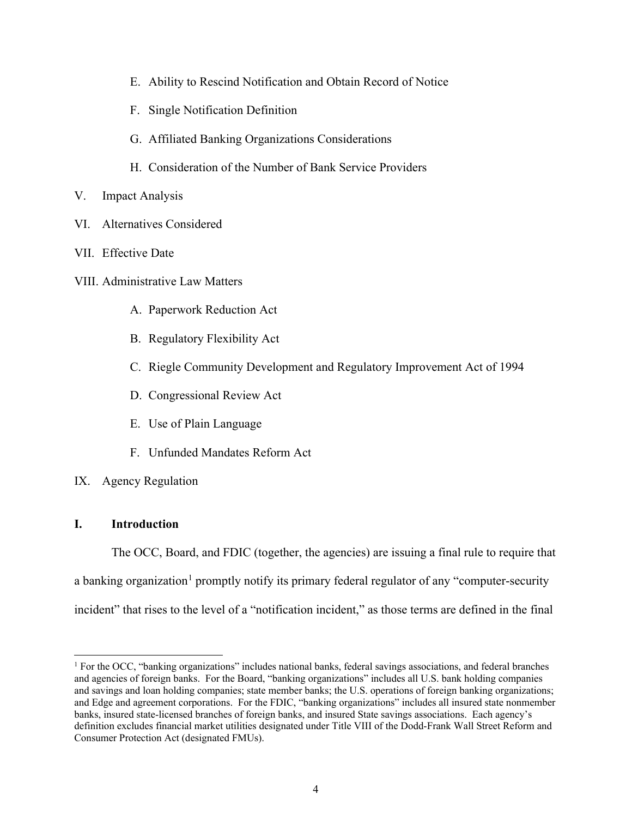- E. Ability to Rescind Notification and Obtain Record of Notice
- F. Single Notification Definition
- G. Affiliated Banking Organizations Considerations
- H. Consideration of the Number of Bank Service Providers
- V. Impact Analysis
- VI. Alternatives Considered
- VII. Effective Date
- VIII. Administrative Law Matters
	- A. Paperwork Reduction Act
	- B. Regulatory Flexibility Act
	- C. Riegle Community Development and Regulatory Improvement Act of 1994
	- D. Congressional Review Act
	- E. Use of Plain Language
	- F. Unfunded Mandates Reform Act
- IX. Agency Regulation

# **I. Introduction**

The OCC, Board, and FDIC (together, the agencies) are issuing a final rule to require that a banking organization<sup>[1](#page-3-0)</sup> promptly notify its primary federal regulator of any "computer-security incident" that rises to the level of a "notification incident," as those terms are defined in the final

<span id="page-3-0"></span><sup>&</sup>lt;sup>1</sup> For the OCC, "banking organizations" includes national banks, federal savings associations, and federal branches and agencies of foreign banks. For the Board, "banking organizations" includes all U.S. bank holding companies and savings and loan holding companies; state member banks; the U.S. operations of foreign banking organizations; and Edge and agreement corporations. For the FDIC, "banking organizations" includes all insured state nonmember banks, insured state-licensed branches of foreign banks, and insured State savings associations. Each agency's definition excludes financial market utilities designated under Title VIII of the Dodd-Frank Wall Street Reform and Consumer Protection Act (designated FMUs).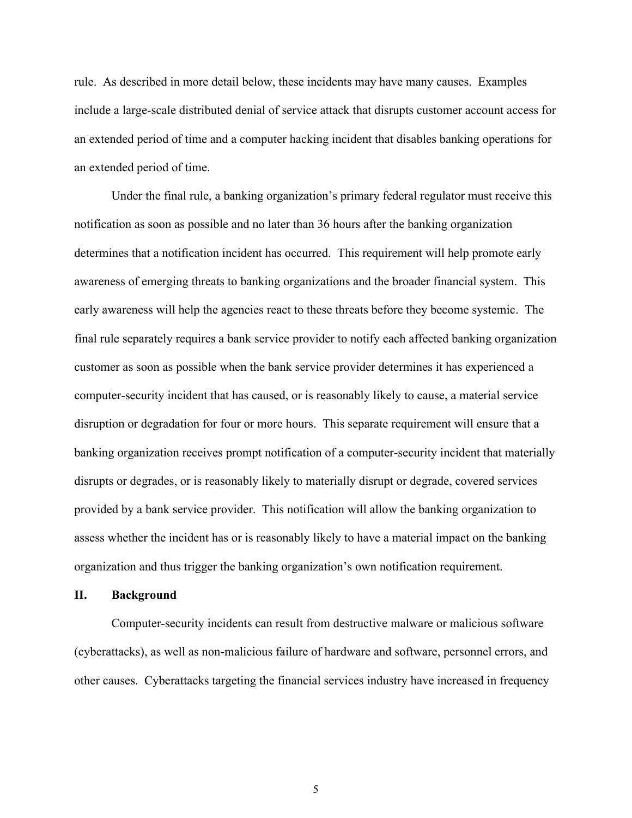rule. As described in more detail below, these incidents may have many causes. Examples include a large-scale distributed denial of service attack that disrupts customer account access for an extended period of time and a computer hacking incident that disables banking operations for an extended period of time.

Under the final rule, a banking organization's primary federal regulator must receive this notification as soon as possible and no later than 36 hours after the banking organization determines that a notification incident has occurred. This requirement will help promote early awareness of emerging threats to banking organizations and the broader financial system. This early awareness will help the agencies react to these threats before they become systemic. The final rule separately requires a bank service provider to notify each affected banking organization customer as soon as possible when the bank service provider determines it has experienced a computer-security incident that has caused, or is reasonably likely to cause, a material service disruption or degradation for four or more hours. This separate requirement will ensure that a banking organization receives prompt notification of a computer-security incident that materially disrupts or degrades, or is reasonably likely to materially disrupt or degrade, covered services provided by a bank service provider. This notification will allow the banking organization to assess whether the incident has or is reasonably likely to have a material impact on the banking organization and thus trigger the banking organization's own notification requirement.

### **II. Background**

Computer-security incidents can result from destructive malware or malicious software (cyberattacks), as well as non-malicious failure of hardware and software, personnel errors, and other causes. Cyberattacks targeting the financial services industry have increased in frequency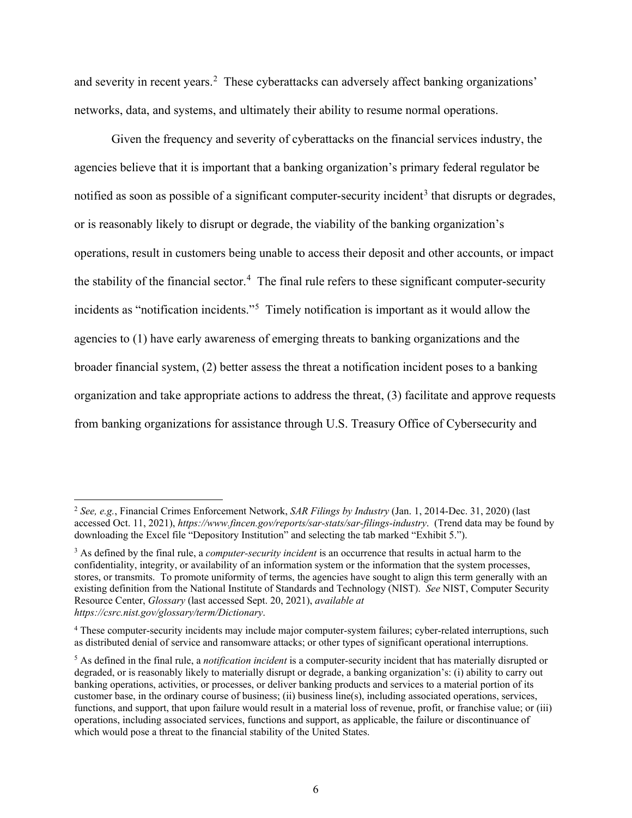and severity in recent years.<sup>[2](#page-5-0)</sup> These cyberattacks can adversely affect banking organizations' networks, data, and systems, and ultimately their ability to resume normal operations.

Given the frequency and severity of cyberattacks on the financial services industry, the agencies believe that it is important that a banking organization's primary federal regulator be notified as soon as possible of a significant computer-security incident<sup>[3](#page-5-1)</sup> that disrupts or degrades, or is reasonably likely to disrupt or degrade, the viability of the banking organization's operations, result in customers being unable to access their deposit and other accounts, or impact the stability of the financial sector.<sup>[4](#page-5-2)</sup> The final rule refers to these significant computer-security incidents as "notification incidents."<sup>[5](#page-5-3)</sup> Timely notification is important as it would allow the agencies to (1) have early awareness of emerging threats to banking organizations and the broader financial system, (2) better assess the threat a notification incident poses to a banking organization and take appropriate actions to address the threat, (3) facilitate and approve requests from banking organizations for assistance through U.S. Treasury Office of Cybersecurity and

<span id="page-5-0"></span><sup>2</sup> *See, e.g.*, Financial Crimes Enforcement Network, *SAR Filings by Industry* (Jan. 1, 2014-Dec. 31, 2020) (last accessed Oct. 11, 2021), *<https://www.fincen.gov/reports/sar-stats/sar-filings-industry>*. (Trend data may be found by downloading the Excel file "Depository Institution" and selecting the tab marked "Exhibit 5.").

<span id="page-5-1"></span><sup>3</sup> As defined by the final rule, a *computer-security incident* is an occurrence that results in actual harm to the confidentiality, integrity, or availability of an information system or the information that the system processes, stores, or transmits. To promote uniformity of terms, the agencies have sought to align this term generally with an existing definition from the National Institute of Standards and Technology (NIST). *See* NIST, Computer Security Resource Center, *Glossary* (last accessed Sept. 20, 2021), *available at https://csrc.nist.gov/glossary/term/Dictionary*.

<span id="page-5-2"></span><sup>&</sup>lt;sup>4</sup> These computer-security incidents may include major computer-system failures; cyber-related interruptions, such as distributed denial of service and ransomware attacks; or other types of significant operational interruptions.

<span id="page-5-3"></span><sup>5</sup> As defined in the final rule, a *notification incident* is a computer-security incident that has materially disrupted or degraded, or is reasonably likely to materially disrupt or degrade, a banking organization's: (i) ability to carry out banking operations, activities, or processes, or deliver banking products and services to a material portion of its customer base, in the ordinary course of business; (ii) business line(s), including associated operations, services, functions, and support, that upon failure would result in a material loss of revenue, profit, or franchise value; or (iii) operations, including associated services, functions and support, as applicable, the failure or discontinuance of which would pose a threat to the financial stability of the United States.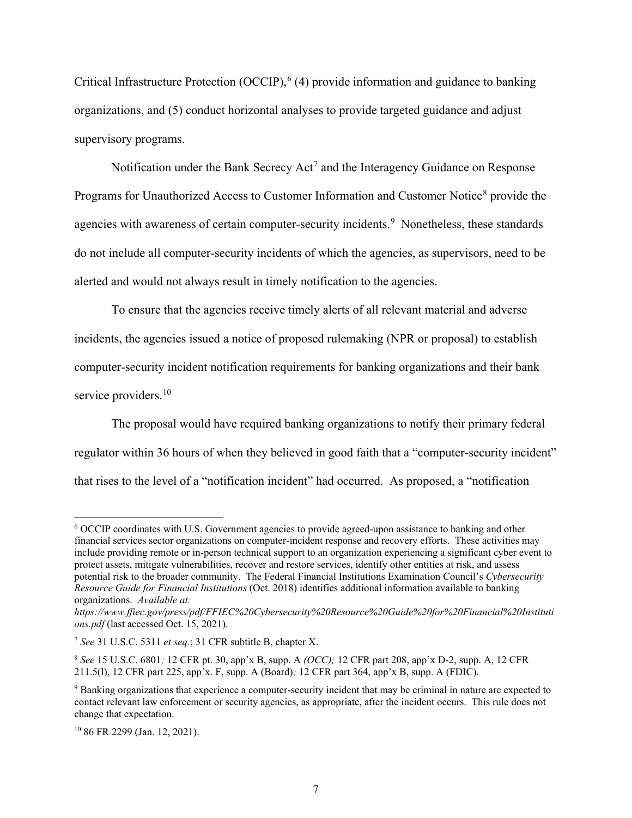Critical Infrastructure Protection (OCCIP),  $^{6}$  $^{6}$  $^{6}$  (4) provide information and guidance to banking organizations, and (5) conduct horizontal analyses to provide targeted guidance and adjust supervisory programs.

Notification under the Bank Secrecy Act<sup>[7](#page-6-1)</sup> and the Interagency Guidance on Response Programs for Unauthorized Access to Customer Information and Customer Notice<sup>[8](#page-6-2)</sup> provide the agencies with awareness of certain computer-security incidents.<sup>[9](#page-6-3)</sup> Nonetheless, these standards do not include all computer-security incidents of which the agencies, as supervisors, need to be alerted and would not always result in timely notification to the agencies.

To ensure that the agencies receive timely alerts of all relevant material and adverse incidents, the agencies issued a notice of proposed rulemaking (NPR or proposal) to establish computer-security incident notification requirements for banking organizations and their bank service providers.<sup>10</sup>

The proposal would have required banking organizations to notify their primary federal regulator within 36 hours of when they believed in good faith that a "computer-security incident" that rises to the level of a "notification incident" had occurred. As proposed, a "notification

<span id="page-6-0"></span><sup>6</sup> OCCIP coordinates with U.S. Government agencies to provide agreed-upon assistance to banking and other financial services sector organizations on computer-incident response and recovery efforts. These activities may include providing remote or in-person technical support to an organization experiencing a significant cyber event to protect assets, mitigate vulnerabilities, recover and restore services, identify other entities at risk, and assess potential risk to the broader community. The Federal Financial Institutions Examination Council's *Cybersecurity Resource Guide for Financial Institutions* (Oct. 2018) identifies additional information available to banking organizations. *Available at:* 

*https://www.ffiec.gov/press/pdf/FFIEC%20Cybersecurity%20Resource%20Guide%20for%20Financial%20Instituti ons.pdf* (last accessed Oct. 15, 2021).

<span id="page-6-1"></span><sup>7</sup> *See* 31 U.S.C. 5311 *et seq.*; 31 CFR subtitle B, chapter X.

<span id="page-6-2"></span><sup>8</sup> *See* 15 U.S.C. 6801*;* 12 CFR pt. 30, app'x B, supp. A *(OCC);* 12 CFR part 208, app'x D-2, supp. A, 12 CFR 211.5(l), 12 CFR part 225, app'x. F, supp. A (Board)*;* 12 CFR part 364, app'x B, supp. A (FDIC).

<span id="page-6-3"></span><sup>9</sup> Banking organizations that experience a computer-security incident that may be criminal in nature are expected to contact relevant law enforcement or security agencies, as appropriate, after the incident occurs. This rule does not change that expectation.

<span id="page-6-4"></span><sup>10</sup> 86 FR 2299 (Jan. 12, 2021).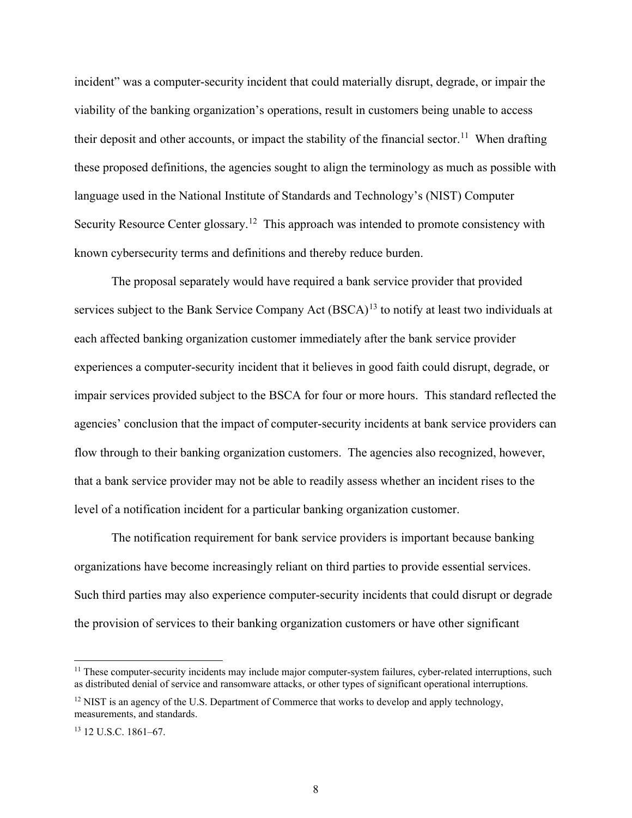incident" was a computer-security incident that could materially disrupt, degrade, or impair the viability of the banking organization's operations, result in customers being unable to access their deposit and other accounts, or impact the stability of the financial sector.<sup>[11](#page-7-0)</sup> When drafting these proposed definitions, the agencies sought to align the terminology as much as possible with language used in the National Institute of Standards and Technology's (NIST) Computer Security Resource Center glossary.<sup>[12](#page-7-1)</sup> This approach was intended to promote consistency with known cybersecurity terms and definitions and thereby reduce burden.

The proposal separately would have required a bank service provider that provided services subject to the Bank Service Company Act  $(BSCA)^{13}$  $(BSCA)^{13}$  $(BSCA)^{13}$  to notify at least two individuals at each affected banking organization customer immediately after the bank service provider experiences a computer-security incident that it believes in good faith could disrupt, degrade, or impair services provided subject to the BSCA for four or more hours. This standard reflected the agencies' conclusion that the impact of computer-security incidents at bank service providers can flow through to their banking organization customers. The agencies also recognized, however, that a bank service provider may not be able to readily assess whether an incident rises to the level of a notification incident for a particular banking organization customer.

The notification requirement for bank service providers is important because banking organizations have become increasingly reliant on third parties to provide essential services. Such third parties may also experience computer-security incidents that could disrupt or degrade the provision of services to their banking organization customers or have other significant

<span id="page-7-0"></span> $11$  These computer-security incidents may include major computer-system failures, cyber-related interruptions, such as distributed denial of service and ransomware attacks, or other types of significant operational interruptions.

<span id="page-7-1"></span> $12$  NIST is an agency of the U.S. Department of Commerce that works to develop and apply technology, measurements, and standards.

<span id="page-7-2"></span><sup>13</sup> 12 U.S.C. 1861–67.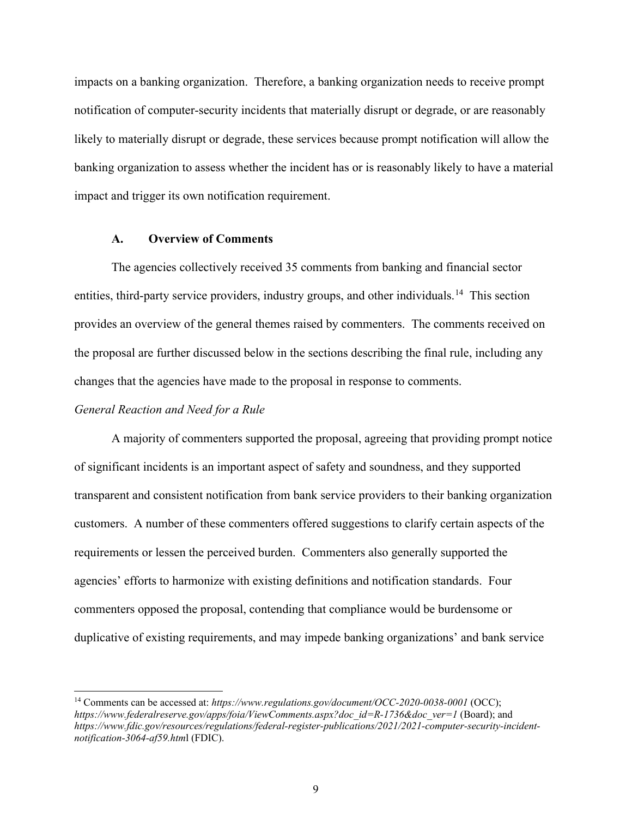impacts on a banking organization. Therefore, a banking organization needs to receive prompt notification of computer-security incidents that materially disrupt or degrade, or are reasonably likely to materially disrupt or degrade, these services because prompt notification will allow the banking organization to assess whether the incident has or is reasonably likely to have a material impact and trigger its own notification requirement.

# **A. Overview of Comments**

The agencies collectively received 35 comments from banking and financial sector entities, third-party service providers, industry groups, and other individuals.<sup>[14](#page-8-0)</sup> This section provides an overview of the general themes raised by commenters. The comments received on the proposal are further discussed below in the sections describing the final rule, including any changes that the agencies have made to the proposal in response to comments.

## *General Reaction and Need for a Rule*

A majority of commenters supported the proposal, agreeing that providing prompt notice of significant incidents is an important aspect of safety and soundness, and they supported transparent and consistent notification from bank service providers to their banking organization customers. A number of these commenters offered suggestions to clarify certain aspects of the requirements or lessen the perceived burden. Commenters also generally supported the agencies' efforts to harmonize with existing definitions and notification standards. Four commenters opposed the proposal, contending that compliance would be burdensome or duplicative of existing requirements, and may impede banking organizations' and bank service

<span id="page-8-0"></span><sup>&</sup>lt;sup>14</sup> Comments can be accessed at: *https://www.regulations.gov/document/OCC-2020-0038-0001* (OCC); *https://www.federalreserve.gov/apps/foia/ViewComments.aspx?doc\_id=R-1736&doc\_ver=1* (Board); and *[https://www.fdic.gov/resources/regulations/federal-register-publications/2021/2021-computer-security-incident](https://www.fdic.gov/resources/regulations/federal-register-publications/2021/2021-computer-security-incident-notification-3064-af59.html)[notification-3064-af59.htm](https://www.fdic.gov/resources/regulations/federal-register-publications/2021/2021-computer-security-incident-notification-3064-af59.html)*l (FDIC).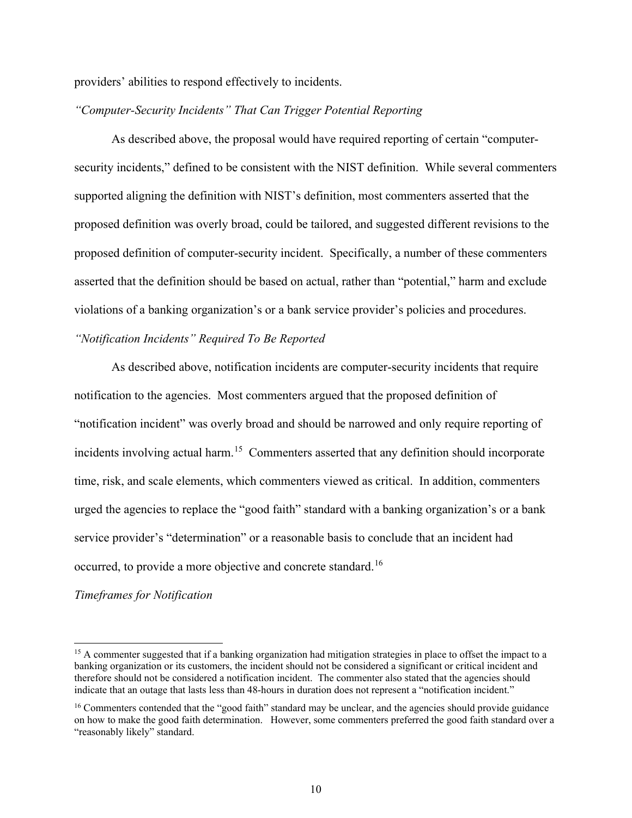providers' abilities to respond effectively to incidents.

## *"Computer-Security Incidents" That Can Trigger Potential Reporting*

As described above, the proposal would have required reporting of certain "computersecurity incidents," defined to be consistent with the NIST definition. While several commenters supported aligning the definition with NIST's definition, most commenters asserted that the proposed definition was overly broad, could be tailored, and suggested different revisions to the proposed definition of computer-security incident. Specifically, a number of these commenters asserted that the definition should be based on actual, rather than "potential," harm and exclude violations of a banking organization's or a bank service provider's policies and procedures.

# *"Notification Incidents" Required To Be Reported*

As described above, notification incidents are computer-security incidents that require notification to the agencies. Most commenters argued that the proposed definition of "notification incident" was overly broad and should be narrowed and only require reporting of incidents involving actual harm.<sup>[15](#page-9-0)</sup> Commenters asserted that any definition should incorporate time, risk, and scale elements, which commenters viewed as critical. In addition, commenters urged the agencies to replace the "good faith" standard with a banking organization's or a bank service provider's "determination" or a reasonable basis to conclude that an incident had occurred, to provide a more objective and concrete standard.[16](#page-9-1)

## *Timeframes for Notification*

<span id="page-9-0"></span><sup>&</sup>lt;sup>15</sup> A commenter suggested that if a banking organization had mitigation strategies in place to offset the impact to a banking organization or its customers, the incident should not be considered a significant or critical incident and therefore should not be considered a notification incident. The commenter also stated that the agencies should indicate that an outage that lasts less than 48-hours in duration does not represent a "notification incident."

<span id="page-9-1"></span><sup>&</sup>lt;sup>16</sup> Commenters contended that the "good faith" standard may be unclear, and the agencies should provide guidance on how to make the good faith determination. However, some commenters preferred the good faith standard over a "reasonably likely" standard.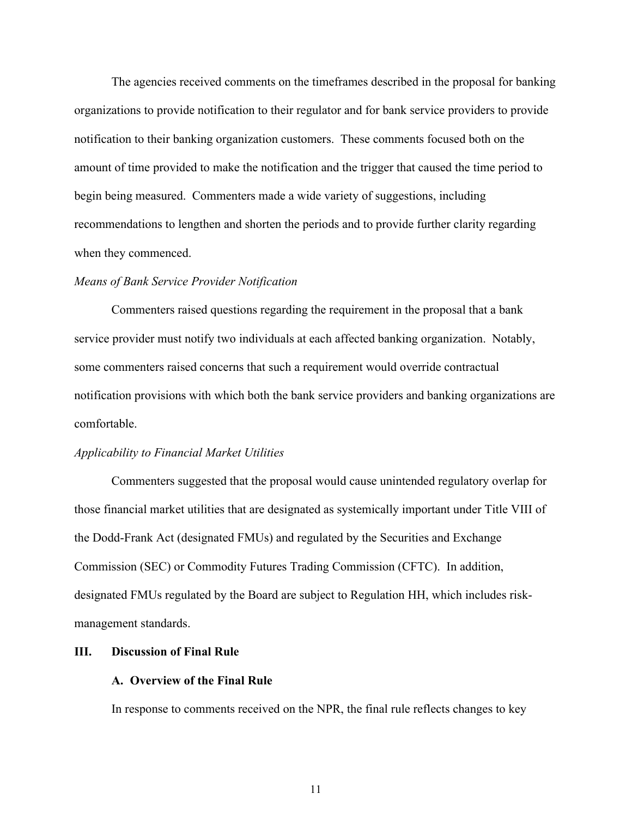The agencies received comments on the timeframes described in the proposal for banking organizations to provide notification to their regulator and for bank service providers to provide notification to their banking organization customers. These comments focused both on the amount of time provided to make the notification and the trigger that caused the time period to begin being measured. Commenters made a wide variety of suggestions, including recommendations to lengthen and shorten the periods and to provide further clarity regarding when they commenced.

### *Means of Bank Service Provider Notification*

Commenters raised questions regarding the requirement in the proposal that a bank service provider must notify two individuals at each affected banking organization. Notably, some commenters raised concerns that such a requirement would override contractual notification provisions with which both the bank service providers and banking organizations are comfortable.

#### *Applicability to Financial Market Utilities*

Commenters suggested that the proposal would cause unintended regulatory overlap for those financial market utilities that are designated as systemically important under Title VIII of the Dodd-Frank Act (designated FMUs) and regulated by the Securities and Exchange Commission (SEC) or Commodity Futures Trading Commission (CFTC). In addition, designated FMUs regulated by the Board are subject to Regulation HH, which includes riskmanagement standards.

#### **III. Discussion of Final Rule**

#### **A. Overview of the Final Rule**

In response to comments received on the NPR, the final rule reflects changes to key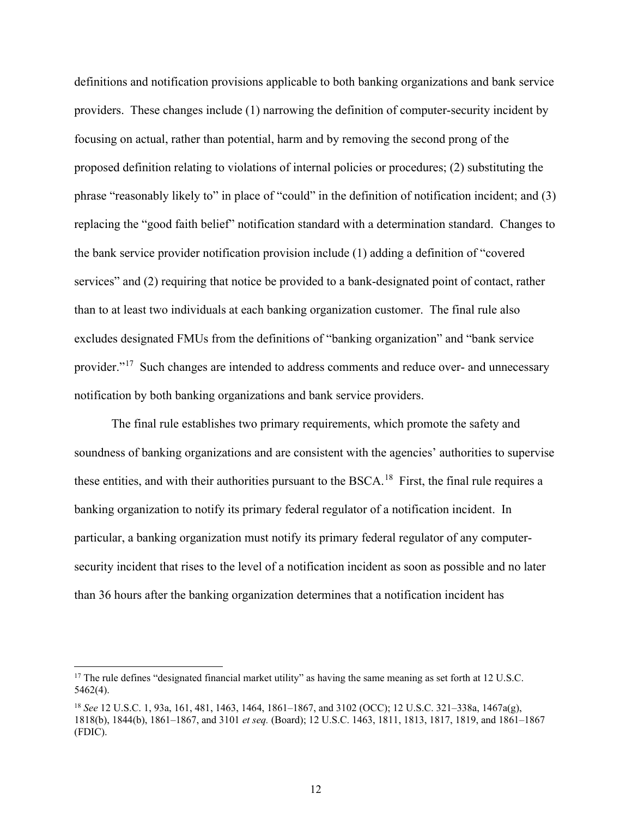definitions and notification provisions applicable to both banking organizations and bank service providers. These changes include (1) narrowing the definition of computer-security incident by focusing on actual, rather than potential, harm and by removing the second prong of the proposed definition relating to violations of internal policies or procedures; (2) substituting the phrase "reasonably likely to" in place of "could" in the definition of notification incident; and (3) replacing the "good faith belief" notification standard with a determination standard. Changes to the bank service provider notification provision include (1) adding a definition of "covered services" and (2) requiring that notice be provided to a bank-designated point of contact, rather than to at least two individuals at each banking organization customer. The final rule also excludes designated FMUs from the definitions of "banking organization" and "bank service provider."[17](#page-11-0) Such changes are intended to address comments and reduce over- and unnecessary notification by both banking organizations and bank service providers.

The final rule establishes two primary requirements, which promote the safety and soundness of banking organizations and are consistent with the agencies' authorities to supervise these entities, and with their authorities pursuant to the BSCA.<sup>18</sup> First, the final rule requires a banking organization to notify its primary federal regulator of a notification incident. In particular, a banking organization must notify its primary federal regulator of any computersecurity incident that rises to the level of a notification incident as soon as possible and no later than 36 hours after the banking organization determines that a notification incident has

<span id="page-11-0"></span><sup>&</sup>lt;sup>17</sup> The rule defines "designated financial market utility" as having the same meaning as set forth at 12 U.S.C. 5462(4).

<span id="page-11-1"></span><sup>18</sup> *See* 12 U.S.C. 1, 93a, 161, 481, 1463, 1464, 1861–1867, and 3102 (OCC); 12 U.S.C. 321–338a, 1467a(g), 1818(b), 1844(b), 1861–1867, and 3101 *et seq.* (Board); 12 U.S.C. 1463, 1811, 1813, 1817, 1819, and 1861–1867 (FDIC).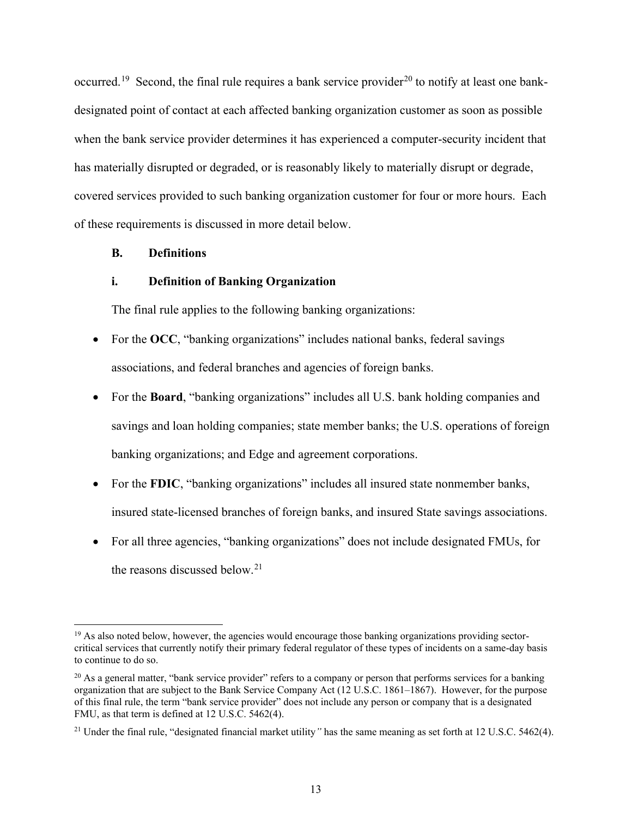occurred.<sup>[19](#page-12-0)</sup> Second, the final rule requires a bank service provider<sup>[20](#page-12-1)</sup> to notify at least one bankdesignated point of contact at each affected banking organization customer as soon as possible when the bank service provider determines it has experienced a computer-security incident that has materially disrupted or degraded, or is reasonably likely to materially disrupt or degrade, covered services provided to such banking organization customer for four or more hours. Each of these requirements is discussed in more detail below.

## **B. Definitions**

### **i. Definition of Banking Organization**

The final rule applies to the following banking organizations:

- For the OCC, "banking organizations" includes national banks, federal savings associations, and federal branches and agencies of foreign banks.
- For the **Board**, "banking organizations" includes all U.S. bank holding companies and savings and loan holding companies; state member banks; the U.S. operations of foreign banking organizations; and Edge and agreement corporations.
- For the **FDIC**, "banking organizations" includes all insured state nonmember banks, insured state-licensed branches of foreign banks, and insured State savings associations.
- For all three agencies, "banking organizations" does not include designated FMUs, for the reasons discussed below. [21](#page-12-2)

<span id="page-12-0"></span><sup>&</sup>lt;sup>19</sup> As also noted below, however, the agencies would encourage those banking organizations providing sectorcritical services that currently notify their primary federal regulator of these types of incidents on a same-day basis to continue to do so.

<span id="page-12-1"></span> $^{20}$  As a general matter, "bank service provider" refers to a company or person that performs services for a banking organization that are subject to the Bank Service Company Act (12 U.S.C. 1861–1867). However, for the purpose of this final rule, the term "bank service provider" does not include any person or company that is a designated FMU, as that term is defined at 12 U.S.C. 5462(4).

<span id="page-12-2"></span><sup>21</sup> Under the final rule, "designated financial market utility*"* has the same meaning as set forth at 12 U.S.C. 5462(4).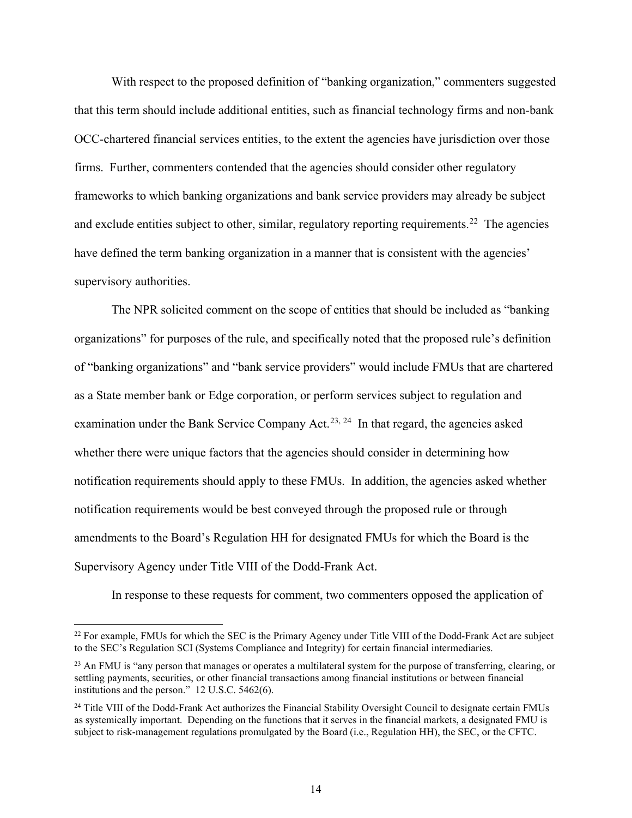With respect to the proposed definition of "banking organization," commenters suggested that this term should include additional entities, such as financial technology firms and non-bank OCC-chartered financial services entities, to the extent the agencies have jurisdiction over those firms. Further, commenters contended that the agencies should consider other regulatory frameworks to which banking organizations and bank service providers may already be subject and exclude entities subject to other, similar, regulatory reporting requirements.<sup>[22](#page-13-0)</sup> The agencies have defined the term banking organization in a manner that is consistent with the agencies' supervisory authorities.

The NPR solicited comment on the scope of entities that should be included as "banking organizations" for purposes of the rule, and specifically noted that the proposed rule's definition of "banking organizations" and "bank service providers" would include FMUs that are chartered as a State member bank or Edge corporation, or perform services subject to regulation and examination under the Bank Service Company Act.<sup>[23](#page-13-1), 24</sup> In that regard, the agencies asked whether there were unique factors that the agencies should consider in determining how notification requirements should apply to these FMUs. In addition, the agencies asked whether notification requirements would be best conveyed through the proposed rule or through amendments to the Board's Regulation HH for designated FMUs for which the Board is the Supervisory Agency under Title VIII of the Dodd-Frank Act.

In response to these requests for comment, two commenters opposed the application of

<span id="page-13-0"></span><sup>&</sup>lt;sup>22</sup> For example, FMUs for which the SEC is the Primary Agency under Title VIII of the Dodd-Frank Act are subject to the SEC's Regulation SCI (Systems Compliance and Integrity) for certain financial intermediaries.

<span id="page-13-1"></span> $^{23}$  An FMU is "any person that manages or operates a multilateral system for the purpose of transferring, clearing, or settling payments, securities, or other financial transactions among financial institutions or between financial institutions and the person." 12 U.S.C. 5462(6).

<span id="page-13-2"></span><sup>&</sup>lt;sup>24</sup> Title VIII of the Dodd-Frank Act authorizes the Financial Stability Oversight Council to designate certain FMUs as systemically important. Depending on the functions that it serves in the financial markets, a designated FMU is subject to risk-management regulations promulgated by the Board (i.e., Regulation HH), the SEC, or the CFTC.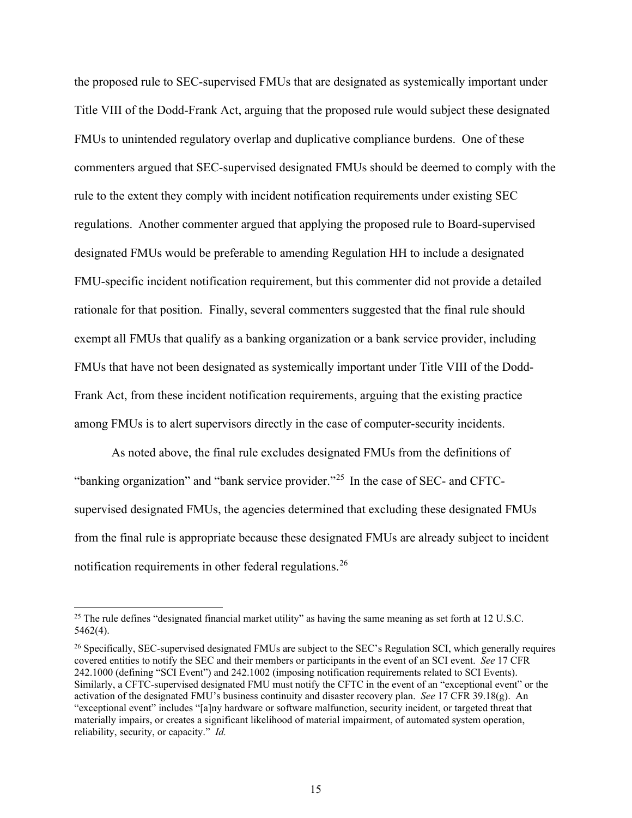the proposed rule to SEC-supervised FMUs that are designated as systemically important under Title VIII of the Dodd-Frank Act, arguing that the proposed rule would subject these designated FMUs to unintended regulatory overlap and duplicative compliance burdens. One of these commenters argued that SEC-supervised designated FMUs should be deemed to comply with the rule to the extent they comply with incident notification requirements under existing SEC regulations. Another commenter argued that applying the proposed rule to Board-supervised designated FMUs would be preferable to amending Regulation HH to include a designated FMU-specific incident notification requirement, but this commenter did not provide a detailed rationale for that position. Finally, several commenters suggested that the final rule should exempt all FMUs that qualify as a banking organization or a bank service provider, including FMUs that have not been designated as systemically important under Title VIII of the Dodd-Frank Act, from these incident notification requirements, arguing that the existing practice among FMUs is to alert supervisors directly in the case of computer-security incidents.

As noted above, the final rule excludes designated FMUs from the definitions of "banking organization" and "bank service provider."<sup>[25](#page-14-0)</sup> In the case of SEC- and CFTCsupervised designated FMUs, the agencies determined that excluding these designated FMUs from the final rule is appropriate because these designated FMUs are already subject to incident notification requirements in other federal regulations.<sup>[26](#page-14-1)</sup>

<span id="page-14-0"></span><sup>&</sup>lt;sup>25</sup> The rule defines "designated financial market utility" as having the same meaning as set forth at 12 U.S.C. 5462(4).

<span id="page-14-1"></span><sup>&</sup>lt;sup>26</sup> Specifically, SEC-supervised designated FMUs are subject to the SEC's Regulation SCI, which generally requires covered entities to notify the SEC and their members or participants in the event of an SCI event. *See* 17 CFR 242.1000 (defining "SCI Event") and 242.1002 (imposing notification requirements related to SCI Events). Similarly, a CFTC-supervised designated FMU must notify the CFTC in the event of an "exceptional event" or the activation of the designated FMU's business continuity and disaster recovery plan. *See* 17 CFR 39.18(g). An "exceptional event" includes "[a]ny hardware or software malfunction, security incident, or targeted threat that materially impairs, or creates a significant likelihood of material impairment, of automated system operation, reliability, security, or capacity." *Id.*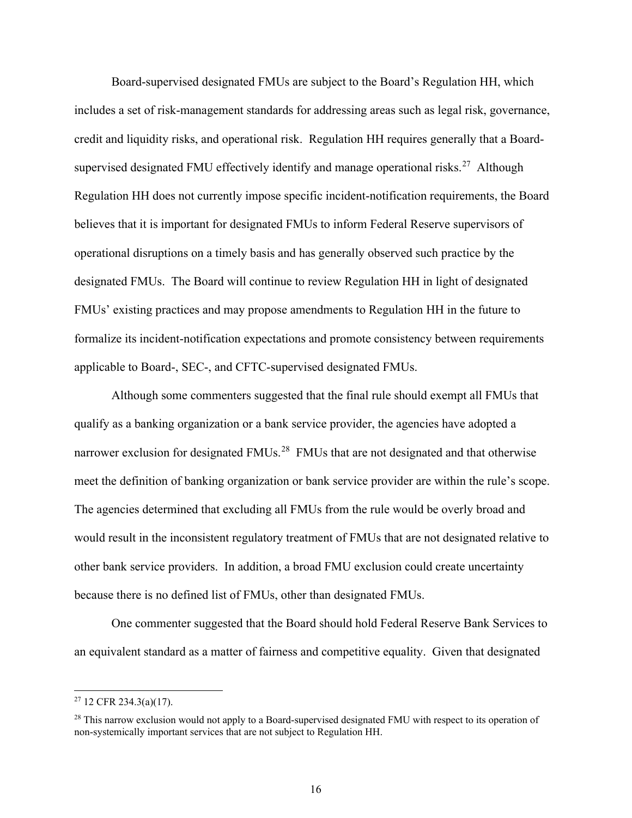Board-supervised designated FMUs are subject to the Board's Regulation HH, which includes a set of risk-management standards for addressing areas such as legal risk, governance, credit and liquidity risks, and operational risk. Regulation HH requires generally that a Board-supervised designated FMU effectively identify and manage operational risks.<sup>[27](#page-15-0)</sup> Although Regulation HH does not currently impose specific incident-notification requirements, the Board believes that it is important for designated FMUs to inform Federal Reserve supervisors of operational disruptions on a timely basis and has generally observed such practice by the designated FMUs. The Board will continue to review Regulation HH in light of designated FMUs' existing practices and may propose amendments to Regulation HH in the future to formalize its incident-notification expectations and promote consistency between requirements applicable to Board-, SEC-, and CFTC-supervised designated FMUs.

Although some commenters suggested that the final rule should exempt all FMUs that qualify as a banking organization or a bank service provider, the agencies have adopted a narrower exclusion for designated FMUs.<sup>28</sup> FMUs that are not designated and that otherwise meet the definition of banking organization or bank service provider are within the rule's scope. The agencies determined that excluding all FMUs from the rule would be overly broad and would result in the inconsistent regulatory treatment of FMUs that are not designated relative to other bank service providers. In addition, a broad FMU exclusion could create uncertainty because there is no defined list of FMUs, other than designated FMUs.

One commenter suggested that the Board should hold Federal Reserve Bank Services to an equivalent standard as a matter of fairness and competitive equality. Given that designated

<span id="page-15-0"></span><sup>27</sup> 12 CFR 234.3(a)(17).

<span id="page-15-1"></span><sup>&</sup>lt;sup>28</sup> This narrow exclusion would not apply to a Board-supervised designated FMU with respect to its operation of non-systemically important services that are not subject to Regulation HH.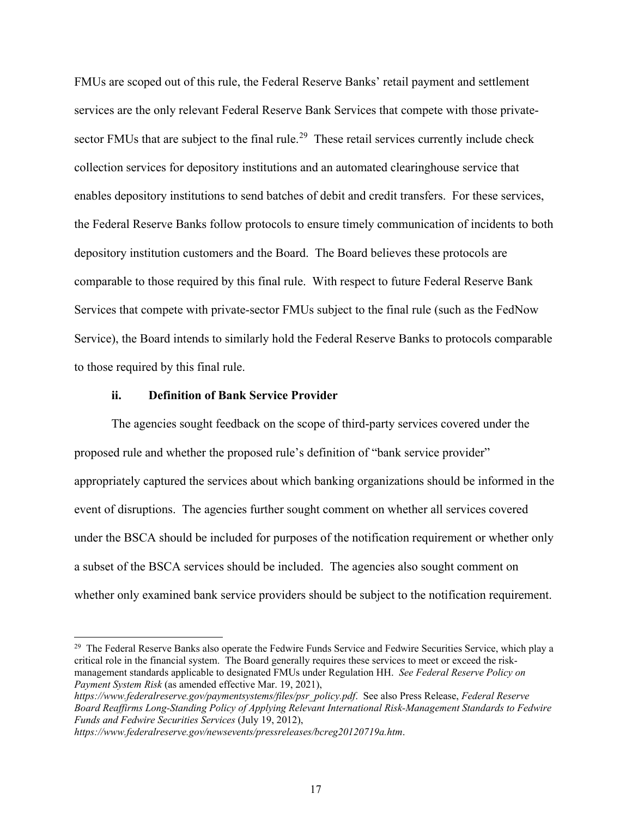FMUs are scoped out of this rule, the Federal Reserve Banks' retail payment and settlement services are the only relevant Federal Reserve Bank Services that compete with those private-sector FMUs that are subject to the final rule.<sup>[29](#page-16-0)</sup> These retail services currently include check collection services for depository institutions and an automated clearinghouse service that enables depository institutions to send batches of debit and credit transfers. For these services, the Federal Reserve Banks follow protocols to ensure timely communication of incidents to both depository institution customers and the Board. The Board believes these protocols are comparable to those required by this final rule. With respect to future Federal Reserve Bank Services that compete with private-sector FMUs subject to the final rule (such as the FedNow Service), the Board intends to similarly hold the Federal Reserve Banks to protocols comparable to those required by this final rule.

### **ii. Definition of Bank Service Provider**

The agencies sought feedback on the scope of third-party services covered under the proposed rule and whether the proposed rule's definition of "bank service provider" appropriately captured the services about which banking organizations should be informed in the event of disruptions. The agencies further sought comment on whether all services covered under the BSCA should be included for purposes of the notification requirement or whether only a subset of the BSCA services should be included. The agencies also sought comment on whether only examined bank service providers should be subject to the notification requirement.

<span id="page-16-0"></span><sup>&</sup>lt;sup>29</sup> The Federal Reserve Banks also operate the Fedwire Funds Service and Fedwire Securities Service, which play a critical role in the financial system. The Board generally requires these services to meet or exceed the riskmanagement standards applicable to designated FMUs under Regulation HH. *See Federal Reserve Policy on Payment System Risk* (as amended effective Mar. 19, 2021),

*[https://www.federalreserve.gov/paymentsystems/files/psr\\_policy.pdf](https://www.federalreserve.gov/paymentsystems/files/psr_policy.pdf)*. See also Press Release, *Federal Reserve Board Reaffirms Long-Standing Policy of Applying Relevant International Risk-Management Standards to Fedwire Funds and Fedwire Securities Services* (July 19, 2012),

*<https://www.federalreserve.gov/newsevents/pressreleases/bcreg20120719a.htm>*.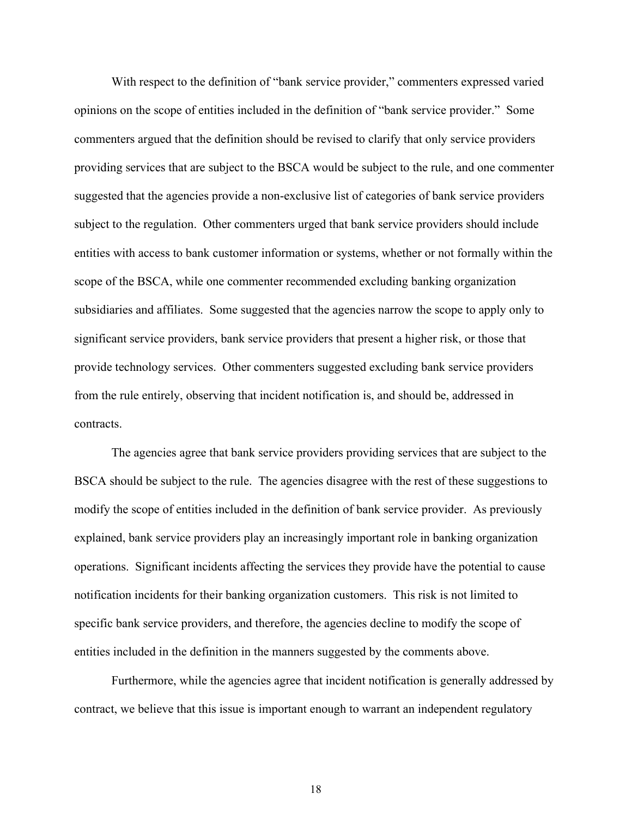With respect to the definition of "bank service provider," commenters expressed varied opinions on the scope of entities included in the definition of "bank service provider." Some commenters argued that the definition should be revised to clarify that only service providers providing services that are subject to the BSCA would be subject to the rule, and one commenter suggested that the agencies provide a non-exclusive list of categories of bank service providers subject to the regulation. Other commenters urged that bank service providers should include entities with access to bank customer information or systems, whether or not formally within the scope of the BSCA, while one commenter recommended excluding banking organization subsidiaries and affiliates. Some suggested that the agencies narrow the scope to apply only to significant service providers, bank service providers that present a higher risk, or those that provide technology services. Other commenters suggested excluding bank service providers from the rule entirely, observing that incident notification is, and should be, addressed in contracts.

The agencies agree that bank service providers providing services that are subject to the BSCA should be subject to the rule. The agencies disagree with the rest of these suggestions to modify the scope of entities included in the definition of bank service provider. As previously explained, bank service providers play an increasingly important role in banking organization operations. Significant incidents affecting the services they provide have the potential to cause notification incidents for their banking organization customers. This risk is not limited to specific bank service providers, and therefore, the agencies decline to modify the scope of entities included in the definition in the manners suggested by the comments above.

Furthermore, while the agencies agree that incident notification is generally addressed by contract, we believe that this issue is important enough to warrant an independent regulatory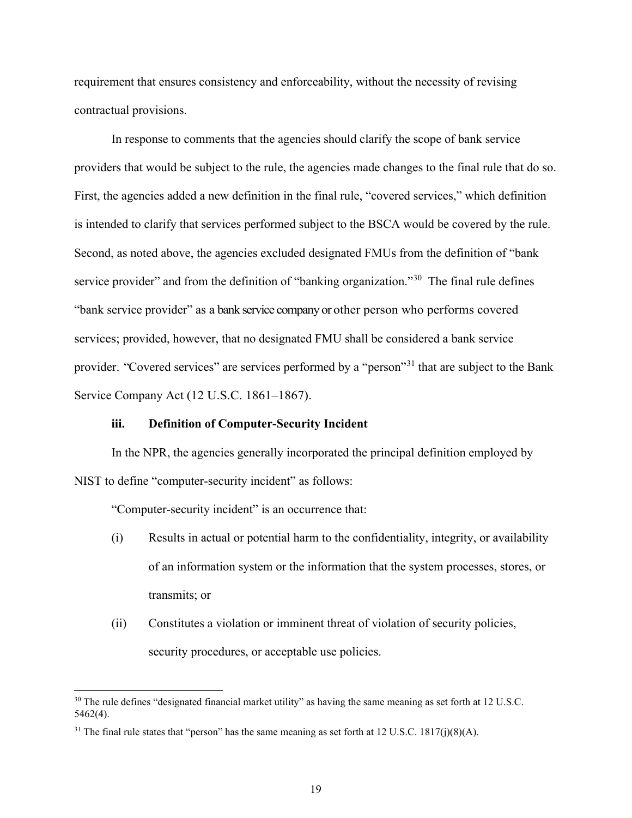requirement that ensures consistency and enforceability, without the necessity of revising contractual provisions.

In response to comments that the agencies should clarify the scope of bank service providers that would be subject to the rule, the agencies made changes to the final rule that do so. First, the agencies added a new definition in the final rule, "covered services," which definition is intended to clarify that services performed subject to the BSCA would be covered by the rule. Second, as noted above, the agencies excluded designated FMUs from the definition of "bank service provider" and from the definition of "banking organization."<sup>30</sup> The final rule defines "bank service provider" as a bank service company or other person who performs covered services; provided, however, that no designated FMU shall be considered a bank service provider. "Covered services" are services performed by a "person"<sup>[31](#page-18-1)</sup> that are subject to the Bank Service Company Act (12 U.S.C. 1861–1867).

## **iii. Definition of Computer-Security Incident**

In the NPR, the agencies generally incorporated the principal definition employed by NIST to define "computer-security incident" as follows:

"Computer-security incident" is an occurrence that:

- (i) Results in actual or potential harm to the confidentiality, integrity, or availability of an information system or the information that the system processes, stores, or transmits; or
- (ii) Constitutes a violation or imminent threat of violation of security policies, security procedures, or acceptable use policies.

<span id="page-18-0"></span><sup>&</sup>lt;sup>30</sup> The rule defines "designated financial market utility" as having the same meaning as set forth at 12 U.S.C. 5462(4).

<span id="page-18-1"></span><sup>&</sup>lt;sup>31</sup> The final rule states that "person" has the same meaning as set forth at 12 U.S.C. 1817(j)(8)(A).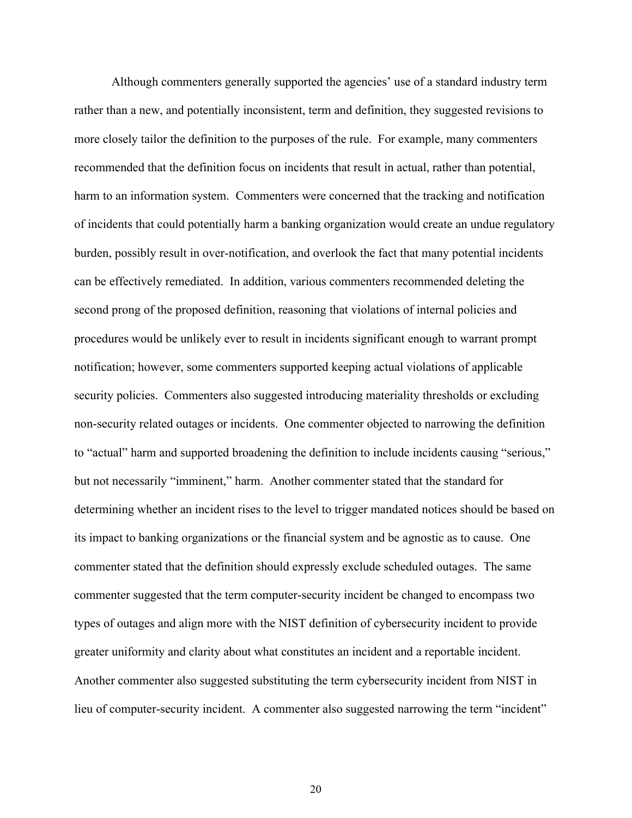Although commenters generally supported the agencies' use of a standard industry term rather than a new, and potentially inconsistent, term and definition, they suggested revisions to more closely tailor the definition to the purposes of the rule. For example, many commenters recommended that the definition focus on incidents that result in actual, rather than potential, harm to an information system. Commenters were concerned that the tracking and notification of incidents that could potentially harm a banking organization would create an undue regulatory burden, possibly result in over-notification, and overlook the fact that many potential incidents can be effectively remediated. In addition, various commenters recommended deleting the second prong of the proposed definition, reasoning that violations of internal policies and procedures would be unlikely ever to result in incidents significant enough to warrant prompt notification; however, some commenters supported keeping actual violations of applicable security policies. Commenters also suggested introducing materiality thresholds or excluding non-security related outages or incidents. One commenter objected to narrowing the definition to "actual" harm and supported broadening the definition to include incidents causing "serious," but not necessarily "imminent," harm. Another commenter stated that the standard for determining whether an incident rises to the level to trigger mandated notices should be based on its impact to banking organizations or the financial system and be agnostic as to cause. One commenter stated that the definition should expressly exclude scheduled outages. The same commenter suggested that the term computer-security incident be changed to encompass two types of outages and align more with the NIST definition of cybersecurity incident to provide greater uniformity and clarity about what constitutes an incident and a reportable incident. Another commenter also suggested substituting the term cybersecurity incident from NIST in lieu of computer-security incident. A commenter also suggested narrowing the term "incident"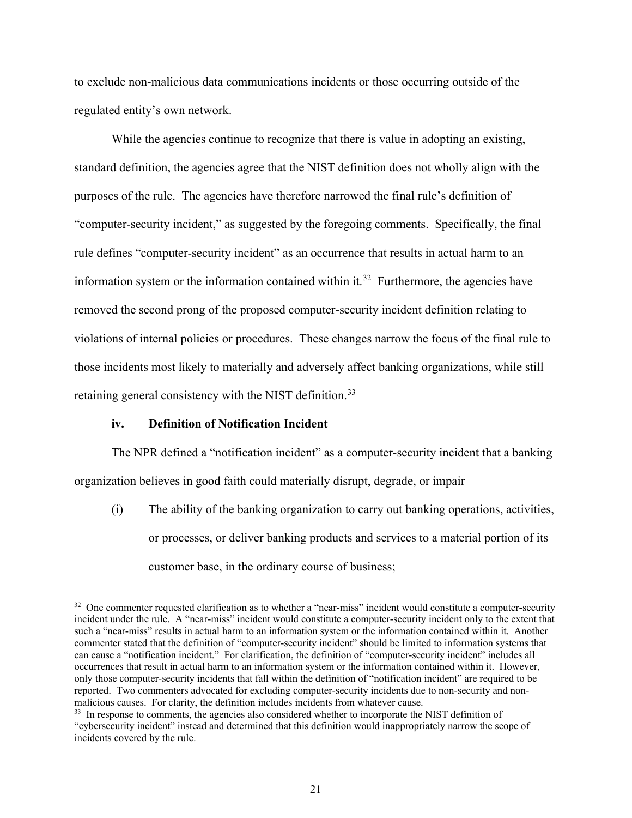to exclude non-malicious data communications incidents or those occurring outside of the regulated entity's own network.

While the agencies continue to recognize that there is value in adopting an existing, standard definition, the agencies agree that the NIST definition does not wholly align with the purposes of the rule. The agencies have therefore narrowed the final rule's definition of "computer-security incident," as suggested by the foregoing comments. Specifically, the final rule defines "computer-security incident" as an occurrence that results in actual harm to an information system or the information contained within it.<sup>32</sup> Furthermore, the agencies have removed the second prong of the proposed computer-security incident definition relating to violations of internal policies or procedures. These changes narrow the focus of the final rule to those incidents most likely to materially and adversely affect banking organizations, while still retaining general consistency with the NIST definition.<sup>33</sup>

### **iv. Definition of Notification Incident**

The NPR defined a "notification incident" as a computer-security incident that a banking organization believes in good faith could materially disrupt, degrade, or impair—

(i) The ability of the banking organization to carry out banking operations, activities, or processes, or deliver banking products and services to a material portion of its customer base, in the ordinary course of business;

<span id="page-20-0"></span><sup>&</sup>lt;sup>32</sup> One commenter requested clarification as to whether a "near-miss" incident would constitute a computer-security incident under the rule. A "near-miss" incident would constitute a computer-security incident only to the extent that such a "near-miss" results in actual harm to an information system or the information contained within it. Another commenter stated that the definition of "computer-security incident" should be limited to information systems that can cause a "notification incident." For clarification, the definition of "computer-security incident" includes all occurrences that result in actual harm to an information system or the information contained within it. However, only those computer-security incidents that fall within the definition of "notification incident" are required to be reported. Two commenters advocated for excluding computer-security incidents due to non-security and nonmalicious causes. For clarity, the definition includes incidents from whatever cause.

<span id="page-20-1"></span><sup>&</sup>lt;sup>33</sup> In response to comments, the agencies also considered whether to incorporate the NIST definition of "cybersecurity incident" instead and determined that this definition would inappropriately narrow the scope of incidents covered by the rule.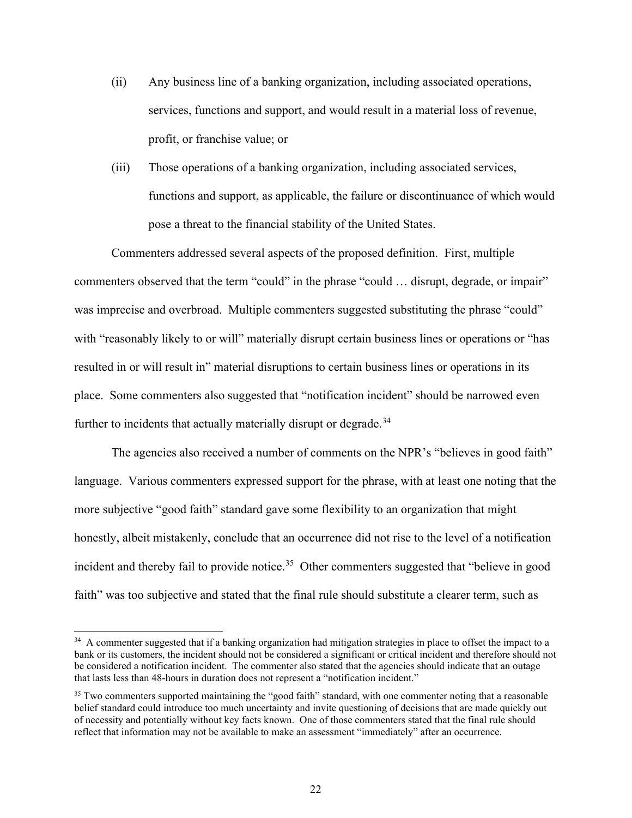- (ii) Any business line of a banking organization, including associated operations, services, functions and support, and would result in a material loss of revenue, profit, or franchise value; or
- (iii) Those operations of a banking organization, including associated services, functions and support, as applicable, the failure or discontinuance of which would pose a threat to the financial stability of the United States.

Commenters addressed several aspects of the proposed definition. First, multiple commenters observed that the term "could" in the phrase "could … disrupt, degrade, or impair" was imprecise and overbroad. Multiple commenters suggested substituting the phrase "could" with "reasonably likely to or will" materially disrupt certain business lines or operations or "has resulted in or will result in" material disruptions to certain business lines or operations in its place. Some commenters also suggested that "notification incident" should be narrowed even further to incidents that actually materially disrupt or degrade.<sup>34</sup>

The agencies also received a number of comments on the NPR's "believes in good faith" language. Various commenters expressed support for the phrase, with at least one noting that the more subjective "good faith" standard gave some flexibility to an organization that might honestly, albeit mistakenly, conclude that an occurrence did not rise to the level of a notification incident and thereby fail to provide notice.<sup>35</sup> Other commenters suggested that "believe in good faith" was too subjective and stated that the final rule should substitute a clearer term, such as

<span id="page-21-0"></span><sup>&</sup>lt;sup>34</sup> A commenter suggested that if a banking organization had mitigation strategies in place to offset the impact to a bank or its customers, the incident should not be considered a significant or critical incident and therefore should not be considered a notification incident. The commenter also stated that the agencies should indicate that an outage that lasts less than 48-hours in duration does not represent a "notification incident."

<span id="page-21-1"></span><sup>&</sup>lt;sup>35</sup> Two commenters supported maintaining the "good faith" standard, with one commenter noting that a reasonable belief standard could introduce too much uncertainty and invite questioning of decisions that are made quickly out of necessity and potentially without key facts known. One of those commenters stated that the final rule should reflect that information may not be available to make an assessment "immediately" after an occurrence.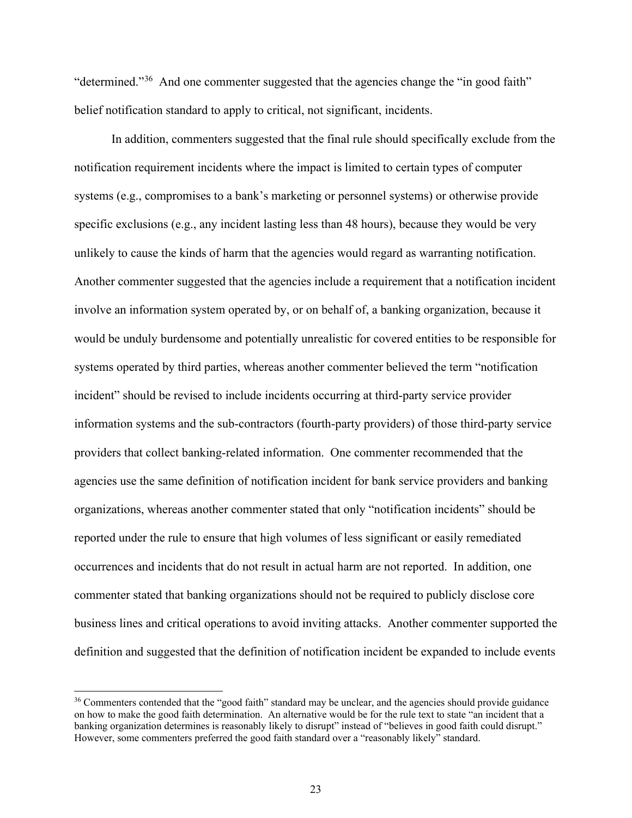"determined."[36](#page-22-0) And one commenter suggested that the agencies change the "in good faith" belief notification standard to apply to critical, not significant, incidents.

In addition, commenters suggested that the final rule should specifically exclude from the notification requirement incidents where the impact is limited to certain types of computer systems (e.g., compromises to a bank's marketing or personnel systems) or otherwise provide specific exclusions (e.g., any incident lasting less than 48 hours), because they would be very unlikely to cause the kinds of harm that the agencies would regard as warranting notification. Another commenter suggested that the agencies include a requirement that a notification incident involve an information system operated by, or on behalf of, a banking organization, because it would be unduly burdensome and potentially unrealistic for covered entities to be responsible for systems operated by third parties, whereas another commenter believed the term "notification incident" should be revised to include incidents occurring at third-party service provider information systems and the sub-contractors (fourth-party providers) of those third-party service providers that collect banking-related information. One commenter recommended that the agencies use the same definition of notification incident for bank service providers and banking organizations, whereas another commenter stated that only "notification incidents" should be reported under the rule to ensure that high volumes of less significant or easily remediated occurrences and incidents that do not result in actual harm are not reported. In addition, one commenter stated that banking organizations should not be required to publicly disclose core business lines and critical operations to avoid inviting attacks. Another commenter supported the definition and suggested that the definition of notification incident be expanded to include events

<span id="page-22-0"></span><sup>&</sup>lt;sup>36</sup> Commenters contended that the "good faith" standard may be unclear, and the agencies should provide guidance on how to make the good faith determination. An alternative would be for the rule text to state "an incident that a banking organization determines is reasonably likely to disrupt" instead of "believes in good faith could disrupt." However, some commenters preferred the good faith standard over a "reasonably likely" standard.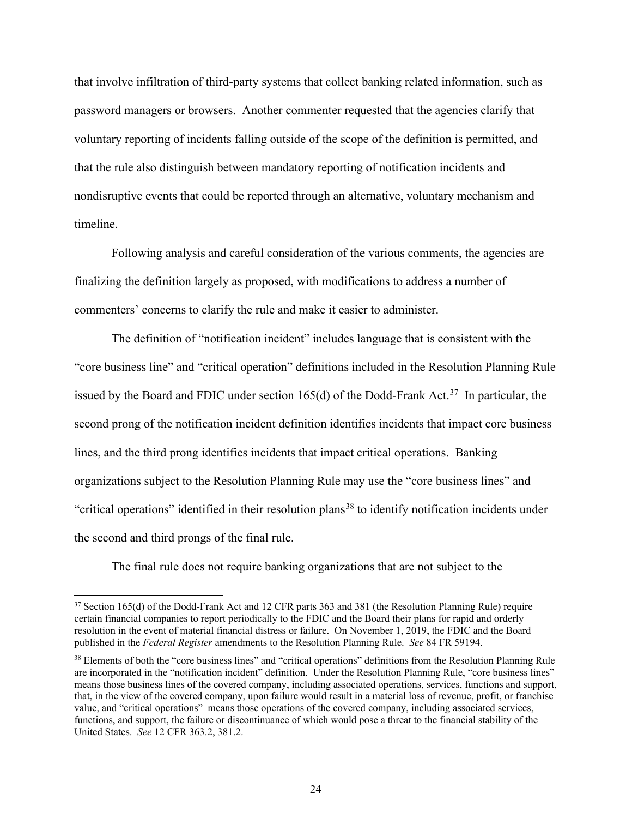that involve infiltration of third-party systems that collect banking related information, such as password managers or browsers. Another commenter requested that the agencies clarify that voluntary reporting of incidents falling outside of the scope of the definition is permitted, and that the rule also distinguish between mandatory reporting of notification incidents and nondisruptive events that could be reported through an alternative, voluntary mechanism and timeline.

Following analysis and careful consideration of the various comments, the agencies are finalizing the definition largely as proposed, with modifications to address a number of commenters' concerns to clarify the rule and make it easier to administer.

The definition of "notification incident" includes language that is consistent with the "core business line" and "critical operation" definitions included in the Resolution Planning Rule issued by the Board and FDIC under section 165(d) of the Dodd-Frank Act.<sup>[37](#page-23-0)</sup> In particular, the second prong of the notification incident definition identifies incidents that impact core business lines, and the third prong identifies incidents that impact critical operations. Banking organizations subject to the Resolution Planning Rule may use the "core business lines" and "critical operations" identified in their resolution plans<sup>[38](#page-23-1)</sup> to identify notification incidents under the second and third prongs of the final rule.

The final rule does not require banking organizations that are not subject to the

<span id="page-23-0"></span><sup>&</sup>lt;sup>37</sup> Section 165(d) of the Dodd-Frank Act and 12 CFR parts 363 and 381 (the Resolution Planning Rule) require certain financial companies to report periodically to the FDIC and the Board their plans for rapid and orderly resolution in the event of material financial distress or failure. On November 1, 2019, the FDIC and the Board published in the *Federal Register* amendments to the Resolution Planning Rule. *See* 84 FR 59194.

<span id="page-23-1"></span><sup>&</sup>lt;sup>38</sup> Elements of both the "core business lines" and "critical operations" definitions from the Resolution Planning Rule are incorporated in the "notification incident" definition. Under the Resolution Planning Rule, "core business lines" means those business lines of the covered company, including associated operations, services, functions and support, that, in the view of the covered company, upon failure would result in a material loss of revenue, profit, or franchise value, and "critical operations" means those operations of the covered company, including associated services, functions, and support, the failure or discontinuance of which would pose a threat to the financial stability of the United States. *See* 12 CFR 363.2, 381.2.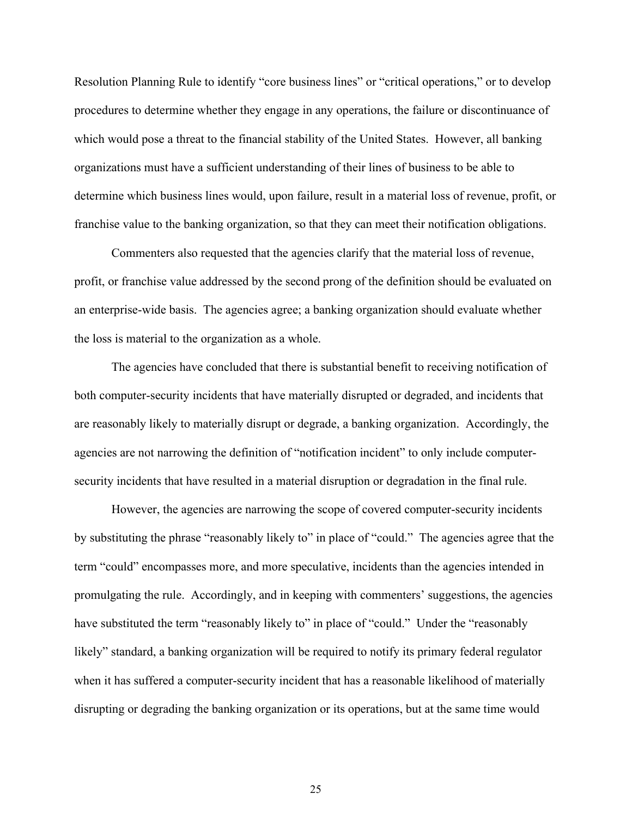Resolution Planning Rule to identify "core business lines" or "critical operations," or to develop procedures to determine whether they engage in any operations, the failure or discontinuance of which would pose a threat to the financial stability of the United States. However, all banking organizations must have a sufficient understanding of their lines of business to be able to determine which business lines would, upon failure, result in a material loss of revenue, profit, or franchise value to the banking organization, so that they can meet their notification obligations.

Commenters also requested that the agencies clarify that the material loss of revenue, profit, or franchise value addressed by the second prong of the definition should be evaluated on an enterprise-wide basis. The agencies agree; a banking organization should evaluate whether the loss is material to the organization as a whole.

The agencies have concluded that there is substantial benefit to receiving notification of both computer-security incidents that have materially disrupted or degraded, and incidents that are reasonably likely to materially disrupt or degrade, a banking organization. Accordingly, the agencies are not narrowing the definition of "notification incident" to only include computersecurity incidents that have resulted in a material disruption or degradation in the final rule.

However, the agencies are narrowing the scope of covered computer-security incidents by substituting the phrase "reasonably likely to" in place of "could." The agencies agree that the term "could" encompasses more, and more speculative, incidents than the agencies intended in promulgating the rule. Accordingly, and in keeping with commenters' suggestions, the agencies have substituted the term "reasonably likely to" in place of "could." Under the "reasonably likely" standard, a banking organization will be required to notify its primary federal regulator when it has suffered a computer-security incident that has a reasonable likelihood of materially disrupting or degrading the banking organization or its operations, but at the same time would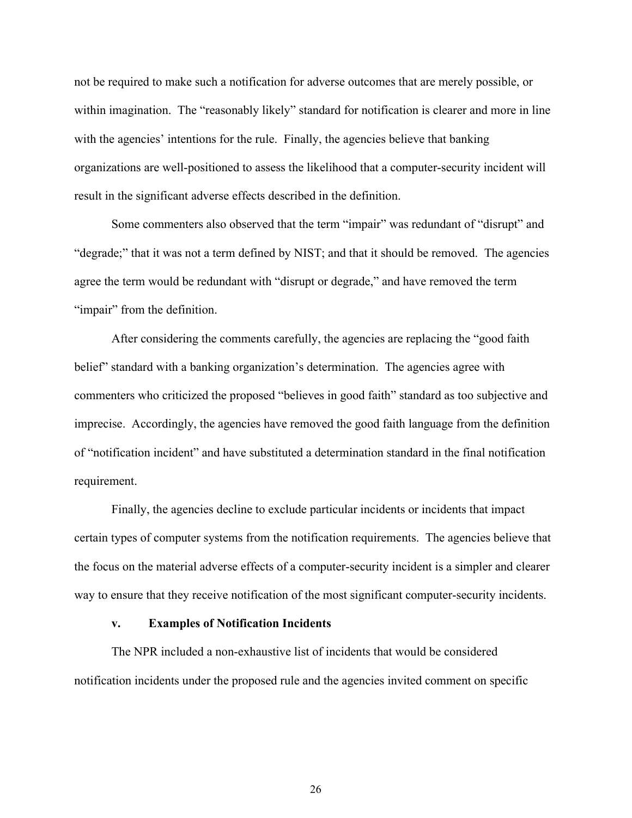not be required to make such a notification for adverse outcomes that are merely possible, or within imagination. The "reasonably likely" standard for notification is clearer and more in line with the agencies' intentions for the rule. Finally, the agencies believe that banking organizations are well-positioned to assess the likelihood that a computer-security incident will result in the significant adverse effects described in the definition.

Some commenters also observed that the term "impair" was redundant of "disrupt" and "degrade;" that it was not a term defined by NIST; and that it should be removed. The agencies agree the term would be redundant with "disrupt or degrade," and have removed the term "impair" from the definition.

After considering the comments carefully, the agencies are replacing the "good faith belief" standard with a banking organization's determination. The agencies agree with commenters who criticized the proposed "believes in good faith" standard as too subjective and imprecise. Accordingly, the agencies have removed the good faith language from the definition of "notification incident" and have substituted a determination standard in the final notification requirement.

Finally, the agencies decline to exclude particular incidents or incidents that impact certain types of computer systems from the notification requirements. The agencies believe that the focus on the material adverse effects of a computer-security incident is a simpler and clearer way to ensure that they receive notification of the most significant computer-security incidents.

#### **v. Examples of Notification Incidents**

The NPR included a non-exhaustive list of incidents that would be considered notification incidents under the proposed rule and the agencies invited comment on specific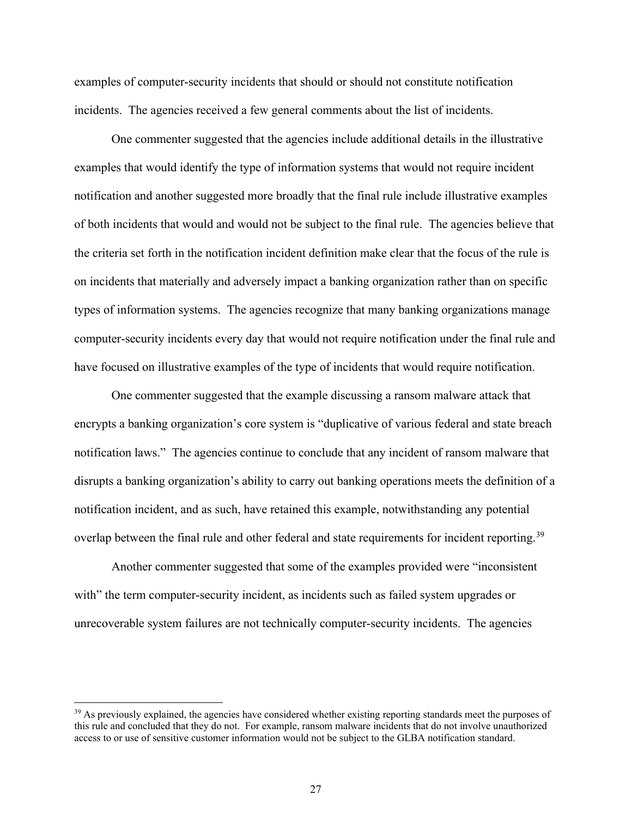examples of computer-security incidents that should or should not constitute notification incidents. The agencies received a few general comments about the list of incidents.

One commenter suggested that the agencies include additional details in the illustrative examples that would identify the type of information systems that would not require incident notification and another suggested more broadly that the final rule include illustrative examples of both incidents that would and would not be subject to the final rule. The agencies believe that the criteria set forth in the notification incident definition make clear that the focus of the rule is on incidents that materially and adversely impact a banking organization rather than on specific types of information systems. The agencies recognize that many banking organizations manage computer-security incidents every day that would not require notification under the final rule and have focused on illustrative examples of the type of incidents that would require notification.

One commenter suggested that the example discussing a ransom malware attack that encrypts a banking organization's core system is "duplicative of various federal and state breach notification laws." The agencies continue to conclude that any incident of ransom malware that disrupts a banking organization's ability to carry out banking operations meets the definition of a notification incident, and as such, have retained this example, notwithstanding any potential overlap between the final rule and other federal and state requirements for incident reporting.<sup>39</sup>

Another commenter suggested that some of the examples provided were "inconsistent with" the term computer-security incident, as incidents such as failed system upgrades or unrecoverable system failures are not technically computer-security incidents. The agencies

<span id="page-26-0"></span><sup>&</sup>lt;sup>39</sup> As previously explained, the agencies have considered whether existing reporting standards meet the purposes of this rule and concluded that they do not. For example, ransom malware incidents that do not involve unauthorized access to or use of sensitive customer information would not be subject to the GLBA notification standard.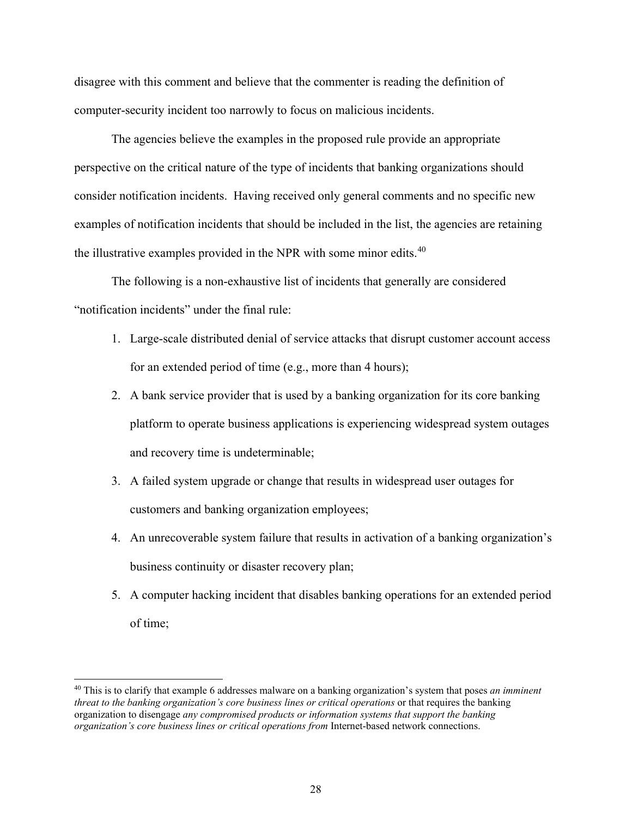disagree with this comment and believe that the commenter is reading the definition of computer-security incident too narrowly to focus on malicious incidents.

The agencies believe the examples in the proposed rule provide an appropriate perspective on the critical nature of the type of incidents that banking organizations should consider notification incidents. Having received only general comments and no specific new examples of notification incidents that should be included in the list, the agencies are retaining the illustrative examples provided in the NPR with some minor edits.<sup>40</sup>

The following is a non-exhaustive list of incidents that generally are considered "notification incidents" under the final rule:

- 1. Large-scale distributed denial of service attacks that disrupt customer account access for an extended period of time (e.g., more than 4 hours);
- 2. A bank service provider that is used by a banking organization for its core banking platform to operate business applications is experiencing widespread system outages and recovery time is undeterminable;
- 3. A failed system upgrade or change that results in widespread user outages for customers and banking organization employees;
- 4. An unrecoverable system failure that results in activation of a banking organization's business continuity or disaster recovery plan;
- 5. A computer hacking incident that disables banking operations for an extended period of time;

<span id="page-27-0"></span><sup>40</sup> This is to clarify that example 6 addresses malware on a banking organization's system that poses *an imminent threat to the banking organization's core business lines or critical operations* or that requires the banking organization to disengage *any compromised products or information systems that support the banking organization's core business lines or critical operations from* Internet-based network connections.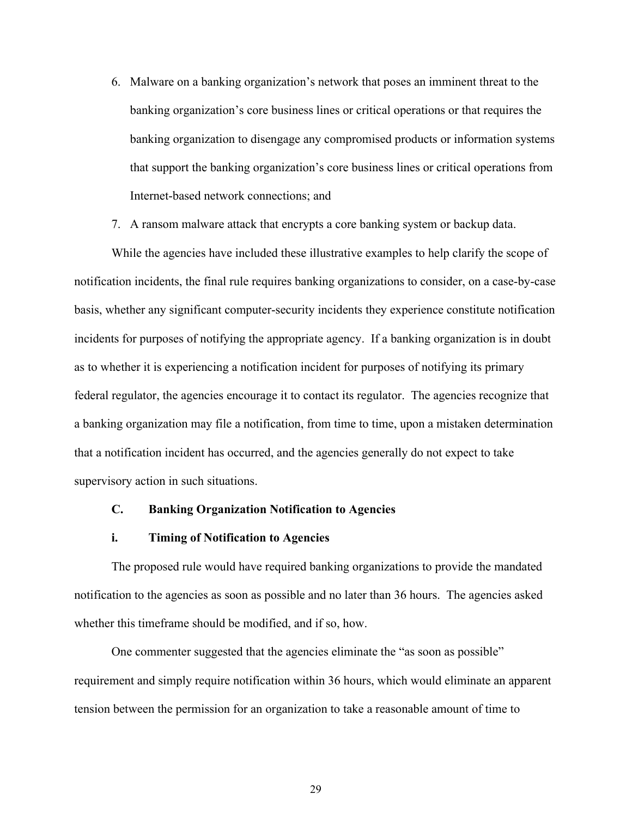- 6. Malware on a banking organization's network that poses an imminent threat to the banking organization's core business lines or critical operations or that requires the banking organization to disengage any compromised products or information systems that support the banking organization's core business lines or critical operations from Internet-based network connections; and
- 7. A ransom malware attack that encrypts a core banking system or backup data.

While the agencies have included these illustrative examples to help clarify the scope of notification incidents, the final rule requires banking organizations to consider, on a case-by-case basis, whether any significant computer-security incidents they experience constitute notification incidents for purposes of notifying the appropriate agency. If a banking organization is in doubt as to whether it is experiencing a notification incident for purposes of notifying its primary federal regulator, the agencies encourage it to contact its regulator. The agencies recognize that a banking organization may file a notification, from time to time, upon a mistaken determination that a notification incident has occurred, and the agencies generally do not expect to take supervisory action in such situations.

### **C. Banking Organization Notification to Agencies**

### **i. Timing of Notification to Agencies**

The proposed rule would have required banking organizations to provide the mandated notification to the agencies as soon as possible and no later than 36 hours. The agencies asked whether this timeframe should be modified, and if so, how.

One commenter suggested that the agencies eliminate the "as soon as possible" requirement and simply require notification within 36 hours, which would eliminate an apparent tension between the permission for an organization to take a reasonable amount of time to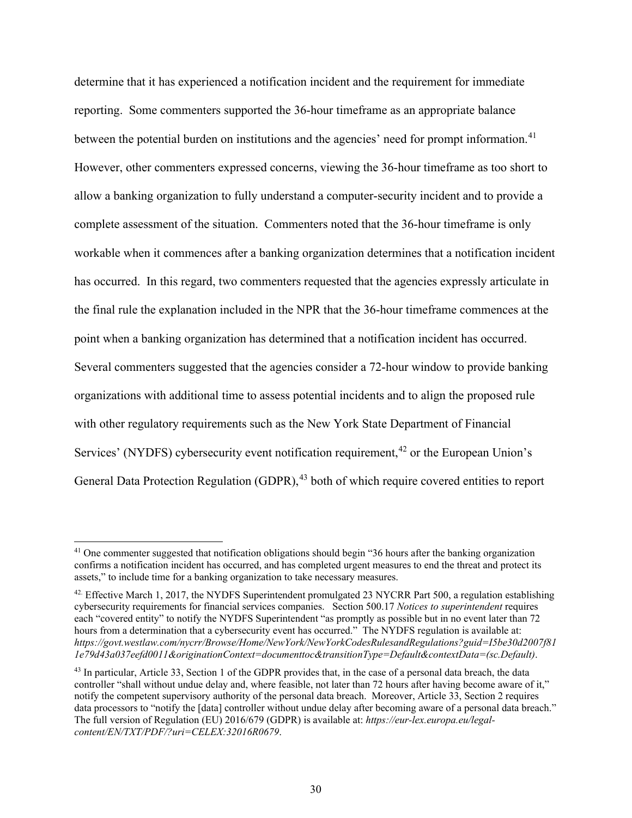determine that it has experienced a notification incident and the requirement for immediate reporting. Some commenters supported the 36-hour timeframe as an appropriate balance between the potential burden on institutions and the agencies' need for prompt information.<sup>[41](#page-29-0)</sup> However, other commenters expressed concerns, viewing the 36-hour timeframe as too short to allow a banking organization to fully understand a computer-security incident and to provide a complete assessment of the situation. Commenters noted that the 36-hour timeframe is only workable when it commences after a banking organization determines that a notification incident has occurred. In this regard, two commenters requested that the agencies expressly articulate in the final rule the explanation included in the NPR that the 36-hour timeframe commences at the point when a banking organization has determined that a notification incident has occurred. Several commenters suggested that the agencies consider a 72-hour window to provide banking organizations with additional time to assess potential incidents and to align the proposed rule with other regulatory requirements such as the New York State Department of Financial Services' (NYDFS) cybersecurity event notification requirement,<sup>[42](#page-29-1)</sup> or the European Union's General Data Protection Regulation (GDPR),<sup>[43](#page-29-2)</sup> both of which require covered entities to report

<span id="page-29-0"></span><sup>&</sup>lt;sup>41</sup> One commenter suggested that notification obligations should begin "36 hours after the banking organization confirms a notification incident has occurred, and has completed urgent measures to end the threat and protect its assets," to include time for a banking organization to take necessary measures.

<span id="page-29-1"></span> $42$ . Effective March 1, 2017, the NYDFS Superintendent promulgated 23 NYCRR Part 500, a regulation establishing cybersecurity requirements for financial services companies. Section 500.17 *Notices to superintendent* requires each "covered entity" to notify the NYDFS Superintendent "as promptly as possible but in no event later than 72 hours from a determination that a cybersecurity event has occurred." The NYDFS regulation is available at: *https://govt.westlaw.com/nycrr/Browse/Home/NewYork/NewYorkCodesRulesandRegulations?guid=I5be30d2007f81 1e79d43a037eefd0011&originationContext=documenttoc&transitionType=Default&contextData=(sc.Default)*.

<span id="page-29-2"></span><sup>&</sup>lt;sup>43</sup> In particular, Article 33, Section 1 of the GDPR provides that, in the case of a personal data breach, the data controller "shall without undue delay and, where feasible, not later than 72 hours after having become aware of it," notify the competent supervisory authority of the personal data breach. Moreover, Article 33, Section 2 requires data processors to "notify the [data] controller without undue delay after becoming aware of a personal data breach." The full version of Regulation (EU) 2016/679 (GDPR) is available at: *[https://eur-lex.europa.eu/legal](https://eur-lex.europa.eu/legal-content/EN/TXT/PDF/?uri=CELEX:32016R0679)[content/EN/TXT/PDF/?uri=CELEX:32016R0679](https://eur-lex.europa.eu/legal-content/EN/TXT/PDF/?uri=CELEX:32016R0679)*.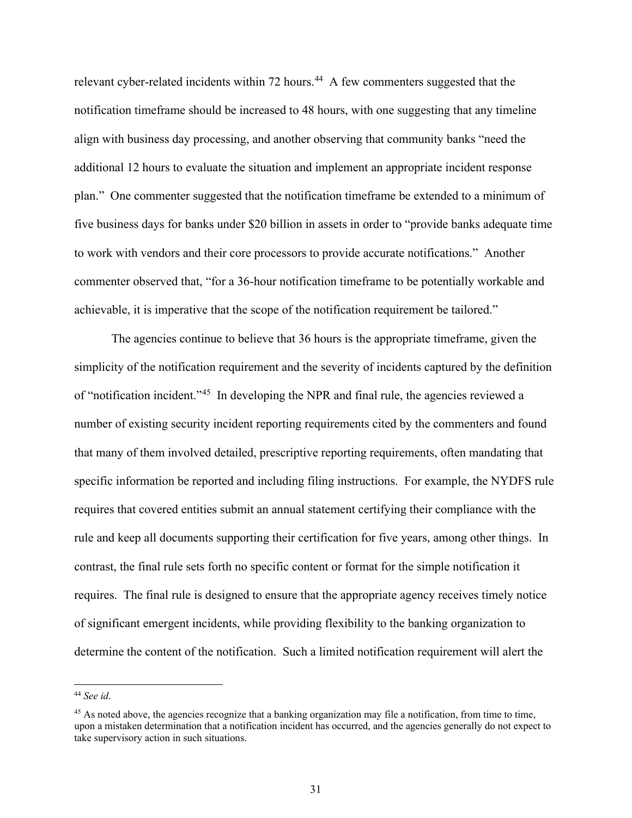relevant cyber-related incidents within 72 hours.<sup>[44](#page-30-0)</sup> A few commenters suggested that the notification timeframe should be increased to 48 hours, with one suggesting that any timeline align with business day processing, and another observing that community banks "need the additional 12 hours to evaluate the situation and implement an appropriate incident response plan." One commenter suggested that the notification timeframe be extended to a minimum of five business days for banks under \$20 billion in assets in order to "provide banks adequate time to work with vendors and their core processors to provide accurate notifications." Another commenter observed that, "for a 36-hour notification timeframe to be potentially workable and achievable, it is imperative that the scope of the notification requirement be tailored."

The agencies continue to believe that 36 hours is the appropriate timeframe, given the simplicity of the notification requirement and the severity of incidents captured by the definition of "notification incident."[45](#page-30-1) In developing the NPR and final rule, the agencies reviewed a number of existing security incident reporting requirements cited by the commenters and found that many of them involved detailed, prescriptive reporting requirements, often mandating that specific information be reported and including filing instructions. For example, the NYDFS rule requires that covered entities submit an annual statement certifying their compliance with the rule and keep all documents supporting their certification for five years, among other things. In contrast, the final rule sets forth no specific content or format for the simple notification it requires. The final rule is designed to ensure that the appropriate agency receives timely notice of significant emergent incidents, while providing flexibility to the banking organization to determine the content of the notification. Such a limited notification requirement will alert the

<span id="page-30-0"></span><sup>44</sup> *See id*.

<span id="page-30-1"></span><sup>&</sup>lt;sup>45</sup> As noted above, the agencies recognize that a banking organization may file a notification, from time to time, upon a mistaken determination that a notification incident has occurred, and the agencies generally do not expect to take supervisory action in such situations.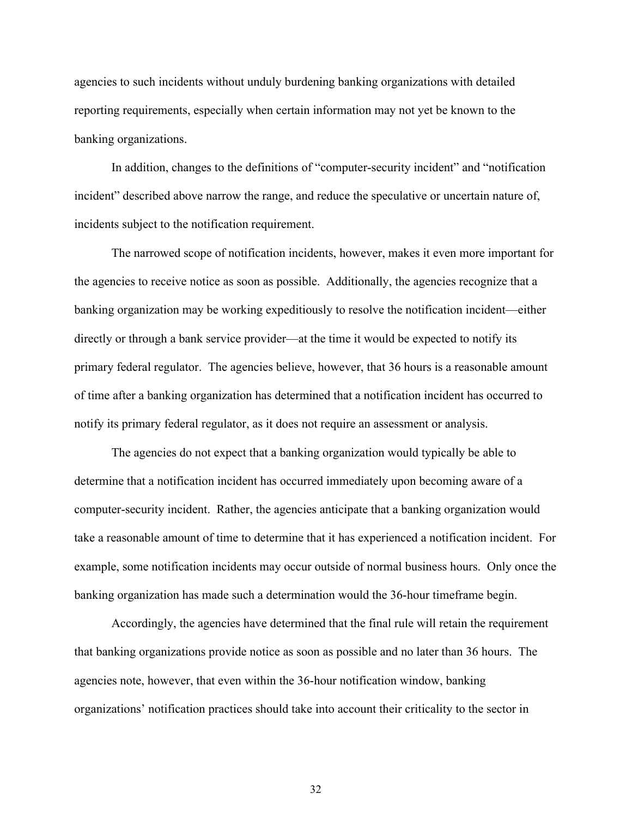agencies to such incidents without unduly burdening banking organizations with detailed reporting requirements, especially when certain information may not yet be known to the banking organizations.

In addition, changes to the definitions of "computer-security incident" and "notification incident" described above narrow the range, and reduce the speculative or uncertain nature of, incidents subject to the notification requirement.

The narrowed scope of notification incidents, however, makes it even more important for the agencies to receive notice as soon as possible. Additionally, the agencies recognize that a banking organization may be working expeditiously to resolve the notification incident—either directly or through a bank service provider—at the time it would be expected to notify its primary federal regulator. The agencies believe, however, that 36 hours is a reasonable amount of time after a banking organization has determined that a notification incident has occurred to notify its primary federal regulator, as it does not require an assessment or analysis.

The agencies do not expect that a banking organization would typically be able to determine that a notification incident has occurred immediately upon becoming aware of a computer-security incident. Rather, the agencies anticipate that a banking organization would take a reasonable amount of time to determine that it has experienced a notification incident. For example, some notification incidents may occur outside of normal business hours. Only once the banking organization has made such a determination would the 36-hour timeframe begin.

Accordingly, the agencies have determined that the final rule will retain the requirement that banking organizations provide notice as soon as possible and no later than 36 hours. The agencies note, however, that even within the 36-hour notification window, banking organizations' notification practices should take into account their criticality to the sector in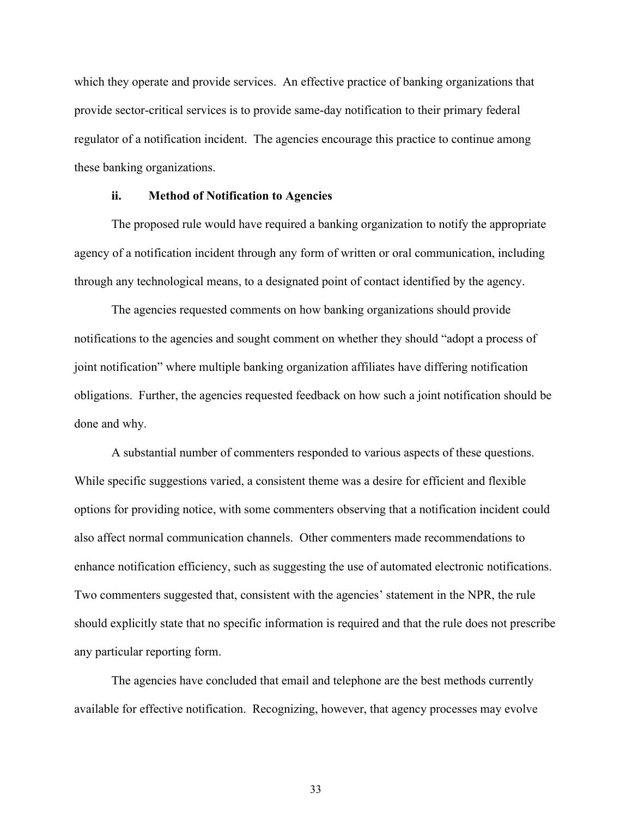which they operate and provide services. An effective practice of banking organizations that provide sector-critical services is to provide same-day notification to their primary federal regulator of a notification incident. The agencies encourage this practice to continue among these banking organizations.

## **ii. Method of Notification to Agencies**

The proposed rule would have required a banking organization to notify the appropriate agency of a notification incident through any form of written or oral communication, including through any technological means, to a designated point of contact identified by the agency.

The agencies requested comments on how banking organizations should provide notifications to the agencies and sought comment on whether they should "adopt a process of joint notification" where multiple banking organization affiliates have differing notification obligations. Further, the agencies requested feedback on how such a joint notification should be done and why.

A substantial number of commenters responded to various aspects of these questions. While specific suggestions varied, a consistent theme was a desire for efficient and flexible options for providing notice, with some commenters observing that a notification incident could also affect normal communication channels. Other commenters made recommendations to enhance notification efficiency, such as suggesting the use of automated electronic notifications. Two commenters suggested that, consistent with the agencies' statement in the NPR, the rule should explicitly state that no specific information is required and that the rule does not prescribe any particular reporting form.

The agencies have concluded that email and telephone are the best methods currently available for effective notification. Recognizing, however, that agency processes may evolve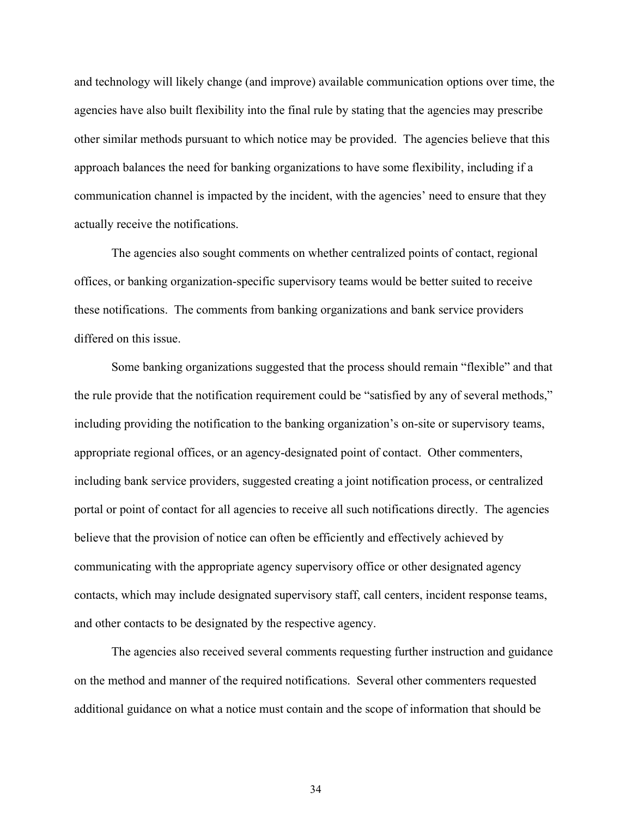and technology will likely change (and improve) available communication options over time, the agencies have also built flexibility into the final rule by stating that the agencies may prescribe other similar methods pursuant to which notice may be provided. The agencies believe that this approach balances the need for banking organizations to have some flexibility, including if a communication channel is impacted by the incident, with the agencies' need to ensure that they actually receive the notifications.

The agencies also sought comments on whether centralized points of contact, regional offices, or banking organization-specific supervisory teams would be better suited to receive these notifications. The comments from banking organizations and bank service providers differed on this issue.

Some banking organizations suggested that the process should remain "flexible" and that the rule provide that the notification requirement could be "satisfied by any of several methods," including providing the notification to the banking organization's on-site or supervisory teams, appropriate regional offices, or an agency-designated point of contact. Other commenters, including bank service providers, suggested creating a joint notification process, or centralized portal or point of contact for all agencies to receive all such notifications directly. The agencies believe that the provision of notice can often be efficiently and effectively achieved by communicating with the appropriate agency supervisory office or other designated agency contacts, which may include designated supervisory staff, call centers, incident response teams, and other contacts to be designated by the respective agency.

The agencies also received several comments requesting further instruction and guidance on the method and manner of the required notifications. Several other commenters requested additional guidance on what a notice must contain and the scope of information that should be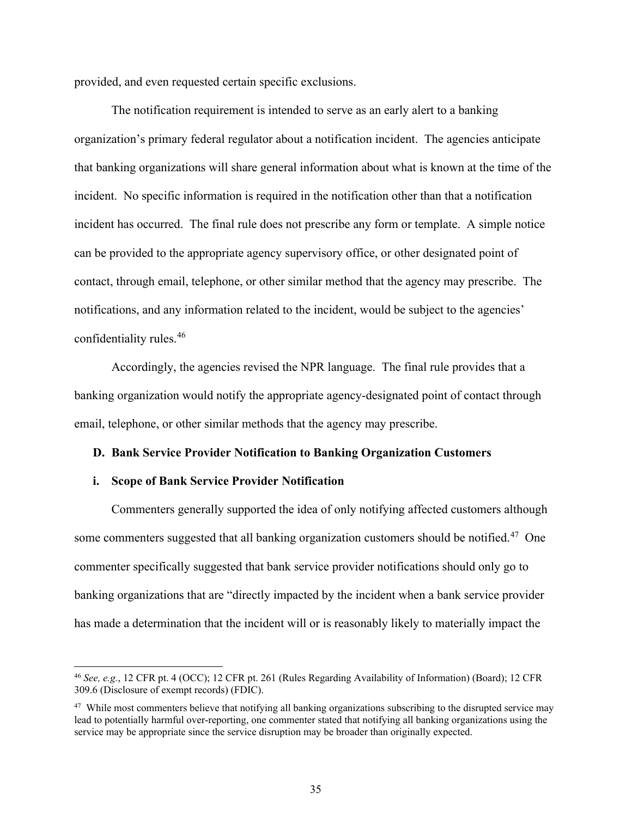provided, and even requested certain specific exclusions.

The notification requirement is intended to serve as an early alert to a banking organization's primary federal regulator about a notification incident. The agencies anticipate that banking organizations will share general information about what is known at the time of the incident. No specific information is required in the notification other than that a notification incident has occurred. The final rule does not prescribe any form or template. A simple notice can be provided to the appropriate agency supervisory office, or other designated point of contact, through email, telephone, or other similar method that the agency may prescribe. The notifications, and any information related to the incident, would be subject to the agencies' confidentiality rules.[46](#page-34-0)

Accordingly, the agencies revised the NPR language. The final rule provides that a banking organization would notify the appropriate agency-designated point of contact through email, telephone, or other similar methods that the agency may prescribe.

#### **D. Bank Service Provider Notification to Banking Organization Customers**

### **i. Scope of Bank Service Provider Notification**

Commenters generally supported the idea of only notifying affected customers although some commenters suggested that all banking organization customers should be notified.<sup>47</sup> One commenter specifically suggested that bank service provider notifications should only go to banking organizations that are "directly impacted by the incident when a bank service provider has made a determination that the incident will or is reasonably likely to materially impact the

<span id="page-34-0"></span><sup>46</sup> *See, e.g.*, 12 CFR pt. 4 (OCC); 12 CFR pt. 261 (Rules Regarding Availability of Information) (Board); 12 CFR 309.6 (Disclosure of exempt records) (FDIC).

<span id="page-34-1"></span><sup>&</sup>lt;sup>47</sup> While most commenters believe that notifying all banking organizations subscribing to the disrupted service may lead to potentially harmful over-reporting, one commenter stated that notifying all banking organizations using the service may be appropriate since the service disruption may be broader than originally expected.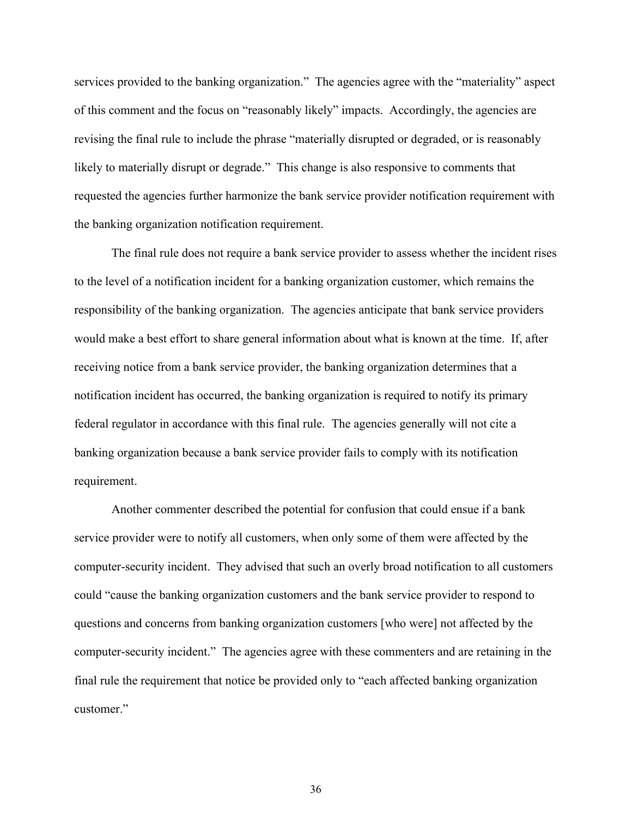services provided to the banking organization." The agencies agree with the "materiality" aspect of this comment and the focus on "reasonably likely" impacts. Accordingly, the agencies are revising the final rule to include the phrase "materially disrupted or degraded, or is reasonably likely to materially disrupt or degrade." This change is also responsive to comments that requested the agencies further harmonize the bank service provider notification requirement with the banking organization notification requirement.

The final rule does not require a bank service provider to assess whether the incident rises to the level of a notification incident for a banking organization customer, which remains the responsibility of the banking organization. The agencies anticipate that bank service providers would make a best effort to share general information about what is known at the time. If, after receiving notice from a bank service provider, the banking organization determines that a notification incident has occurred, the banking organization is required to notify its primary federal regulator in accordance with this final rule. The agencies generally will not cite a banking organization because a bank service provider fails to comply with its notification requirement.

Another commenter described the potential for confusion that could ensue if a bank service provider were to notify all customers, when only some of them were affected by the computer-security incident. They advised that such an overly broad notification to all customers could "cause the banking organization customers and the bank service provider to respond to questions and concerns from banking organization customers [who were] not affected by the computer-security incident." The agencies agree with these commenters and are retaining in the final rule the requirement that notice be provided only to "each affected banking organization customer."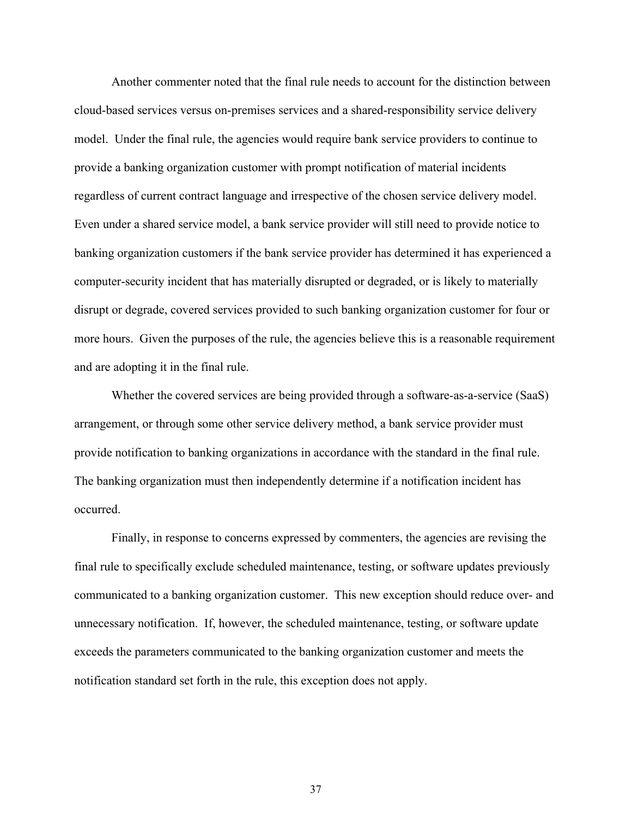Another commenter noted that the final rule needs to account for the distinction between cloud-based services versus on-premises services and a shared-responsibility service delivery model. Under the final rule, the agencies would require bank service providers to continue to provide a banking organization customer with prompt notification of material incidents regardless of current contract language and irrespective of the chosen service delivery model. Even under a shared service model, a bank service provider will still need to provide notice to banking organization customers if the bank service provider has determined it has experienced a computer-security incident that has materially disrupted or degraded, or is likely to materially disrupt or degrade, covered services provided to such banking organization customer for four or more hours. Given the purposes of the rule, the agencies believe this is a reasonable requirement and are adopting it in the final rule.

Whether the covered services are being provided through a software-as-a-service (SaaS) arrangement, or through some other service delivery method, a bank service provider must provide notification to banking organizations in accordance with the standard in the final rule. The banking organization must then independently determine if a notification incident has occurred.

Finally, in response to concerns expressed by commenters, the agencies are revising the final rule to specifically exclude scheduled maintenance, testing, or software updates previously communicated to a banking organization customer. This new exception should reduce over- and unnecessary notification. If, however, the scheduled maintenance, testing, or software update exceeds the parameters communicated to the banking organization customer and meets the notification standard set forth in the rule, this exception does not apply.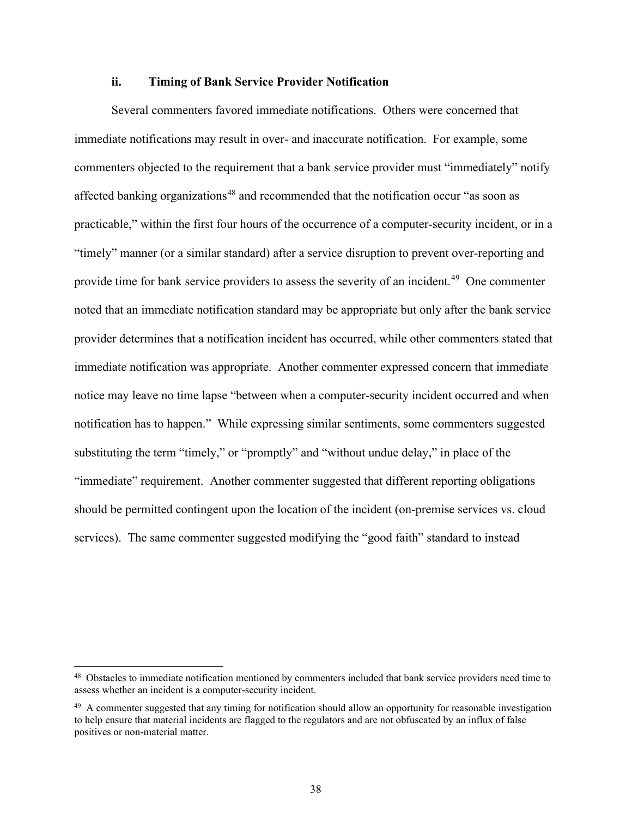#### **ii. Timing of Bank Service Provider Notification**

Several commenters favored immediate notifications. Others were concerned that immediate notifications may result in over- and inaccurate notification. For example, some commenters objected to the requirement that a bank service provider must "immediately" notify affected banking organizations<sup>[48](#page-37-0)</sup> and recommended that the notification occur "as soon as practicable," within the first four hours of the occurrence of a computer-security incident, or in a "timely" manner (or a similar standard) after a service disruption to prevent over-reporting and provide time for bank service providers to assess the severity of an incident.<sup>[49](#page-37-1)</sup> One commenter noted that an immediate notification standard may be appropriate but only after the bank service provider determines that a notification incident has occurred, while other commenters stated that immediate notification was appropriate. Another commenter expressed concern that immediate notice may leave no time lapse "between when a computer-security incident occurred and when notification has to happen." While expressing similar sentiments, some commenters suggested substituting the term "timely," or "promptly" and "without undue delay," in place of the "immediate" requirement. Another commenter suggested that different reporting obligations should be permitted contingent upon the location of the incident (on-premise services vs. cloud services). The same commenter suggested modifying the "good faith" standard to instead

<span id="page-37-0"></span><sup>&</sup>lt;sup>48</sup> Obstacles to immediate notification mentioned by commenters included that bank service providers need time to assess whether an incident is a computer-security incident.

<span id="page-37-1"></span><sup>&</sup>lt;sup>49</sup> A commenter suggested that any timing for notification should allow an opportunity for reasonable investigation to help ensure that material incidents are flagged to the regulators and are not obfuscated by an influx of false positives or non-material matter.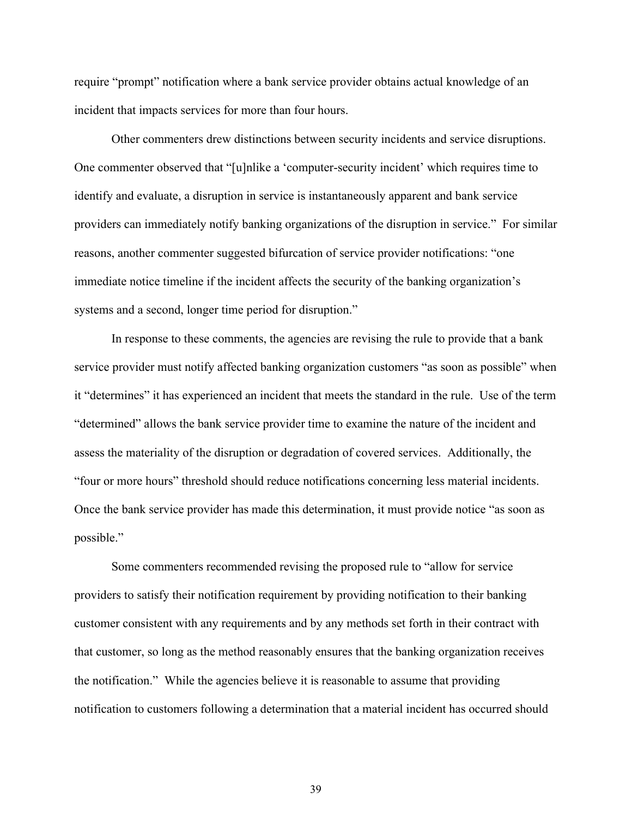require "prompt" notification where a bank service provider obtains actual knowledge of an incident that impacts services for more than four hours.

Other commenters drew distinctions between security incidents and service disruptions. One commenter observed that "[u]nlike a 'computer-security incident' which requires time to identify and evaluate, a disruption in service is instantaneously apparent and bank service providers can immediately notify banking organizations of the disruption in service." For similar reasons, another commenter suggested bifurcation of service provider notifications: "one immediate notice timeline if the incident affects the security of the banking organization's systems and a second, longer time period for disruption."

In response to these comments, the agencies are revising the rule to provide that a bank service provider must notify affected banking organization customers "as soon as possible" when it "determines" it has experienced an incident that meets the standard in the rule. Use of the term "determined" allows the bank service provider time to examine the nature of the incident and assess the materiality of the disruption or degradation of covered services. Additionally, the "four or more hours" threshold should reduce notifications concerning less material incidents. Once the bank service provider has made this determination, it must provide notice "as soon as possible."

Some commenters recommended revising the proposed rule to "allow for service providers to satisfy their notification requirement by providing notification to their banking customer consistent with any requirements and by any methods set forth in their contract with that customer, so long as the method reasonably ensures that the banking organization receives the notification." While the agencies believe it is reasonable to assume that providing notification to customers following a determination that a material incident has occurred should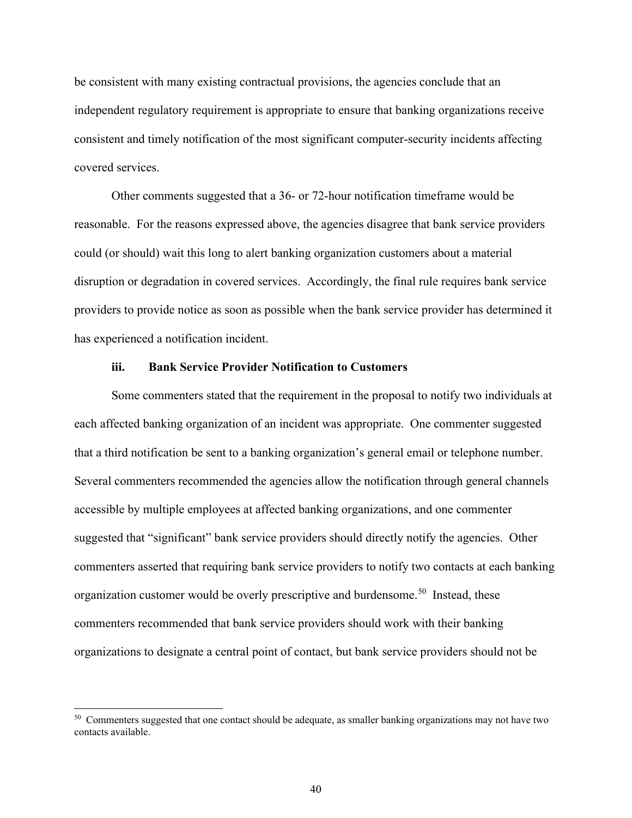be consistent with many existing contractual provisions, the agencies conclude that an independent regulatory requirement is appropriate to ensure that banking organizations receive consistent and timely notification of the most significant computer-security incidents affecting covered services.

Other comments suggested that a 36- or 72-hour notification timeframe would be reasonable. For the reasons expressed above, the agencies disagree that bank service providers could (or should) wait this long to alert banking organization customers about a material disruption or degradation in covered services. Accordingly, the final rule requires bank service providers to provide notice as soon as possible when the bank service provider has determined it has experienced a notification incident.

#### **iii. Bank Service Provider Notification to Customers**

Some commenters stated that the requirement in the proposal to notify two individuals at each affected banking organization of an incident was appropriate. One commenter suggested that a third notification be sent to a banking organization's general email or telephone number. Several commenters recommended the agencies allow the notification through general channels accessible by multiple employees at affected banking organizations, and one commenter suggested that "significant" bank service providers should directly notify the agencies. Other commenters asserted that requiring bank service providers to notify two contacts at each banking organization customer would be overly prescriptive and burdensome.<sup>[50](#page-39-0)</sup> Instead, these commenters recommended that bank service providers should work with their banking organizations to designate a central point of contact, but bank service providers should not be

<span id="page-39-0"></span><sup>&</sup>lt;sup>50</sup> Commenters suggested that one contact should be adequate, as smaller banking organizations may not have two contacts available.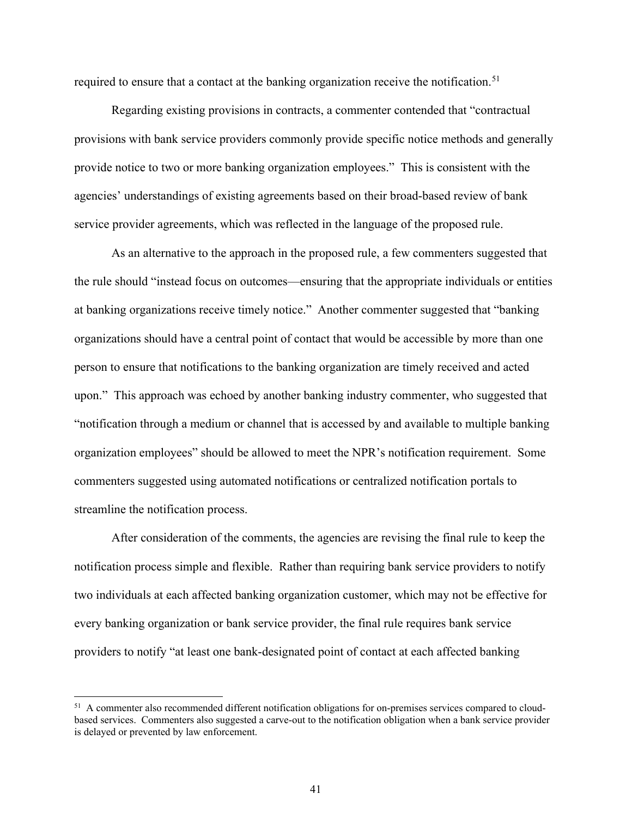required to ensure that a contact at the banking organization receive the notification.<sup>[51](#page-40-0)</sup>

Regarding existing provisions in contracts, a commenter contended that "contractual provisions with bank service providers commonly provide specific notice methods and generally provide notice to two or more banking organization employees." This is consistent with the agencies' understandings of existing agreements based on their broad-based review of bank service provider agreements, which was reflected in the language of the proposed rule.

As an alternative to the approach in the proposed rule, a few commenters suggested that the rule should "instead focus on outcomes—ensuring that the appropriate individuals or entities at banking organizations receive timely notice." Another commenter suggested that "banking organizations should have a central point of contact that would be accessible by more than one person to ensure that notifications to the banking organization are timely received and acted upon." This approach was echoed by another banking industry commenter, who suggested that "notification through a medium or channel that is accessed by and available to multiple banking organization employees" should be allowed to meet the NPR's notification requirement. Some commenters suggested using automated notifications or centralized notification portals to streamline the notification process.

After consideration of the comments, the agencies are revising the final rule to keep the notification process simple and flexible. Rather than requiring bank service providers to notify two individuals at each affected banking organization customer, which may not be effective for every banking organization or bank service provider, the final rule requires bank service providers to notify "at least one bank-designated point of contact at each affected banking

<span id="page-40-0"></span><sup>&</sup>lt;sup>51</sup> A commenter also recommended different notification obligations for on-premises services compared to cloudbased services. Commenters also suggested a carve-out to the notification obligation when a bank service provider is delayed or prevented by law enforcement.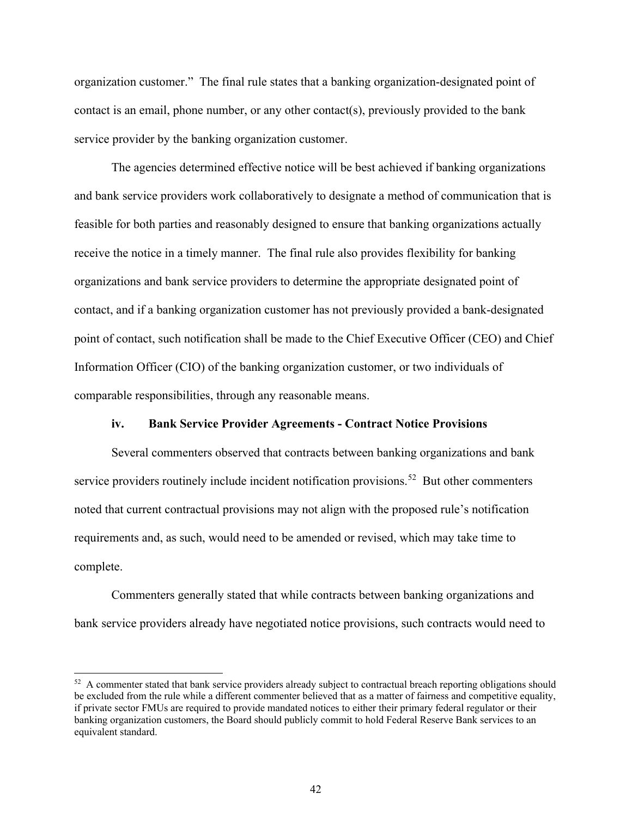organization customer." The final rule states that a banking organization-designated point of contact is an email, phone number, or any other contact(s), previously provided to the bank service provider by the banking organization customer.

The agencies determined effective notice will be best achieved if banking organizations and bank service providers work collaboratively to designate a method of communication that is feasible for both parties and reasonably designed to ensure that banking organizations actually receive the notice in a timely manner. The final rule also provides flexibility for banking organizations and bank service providers to determine the appropriate designated point of contact, and if a banking organization customer has not previously provided a bank-designated point of contact, such notification shall be made to the Chief Executive Officer (CEO) and Chief Information Officer (CIO) of the banking organization customer, or two individuals of comparable responsibilities, through any reasonable means.

#### **iv. Bank Service Provider Agreements - Contract Notice Provisions**

Several commenters observed that contracts between banking organizations and bank service providers routinely include incident notification provisions.<sup>52</sup> But other commenters noted that current contractual provisions may not align with the proposed rule's notification requirements and, as such, would need to be amended or revised, which may take time to complete.

Commenters generally stated that while contracts between banking organizations and bank service providers already have negotiated notice provisions, such contracts would need to

<span id="page-41-0"></span><sup>&</sup>lt;sup>52</sup> A commenter stated that bank service providers already subject to contractual breach reporting obligations should be excluded from the rule while a different commenter believed that as a matter of fairness and competitive equality, if private sector FMUs are required to provide mandated notices to either their primary federal regulator or their banking organization customers, the Board should publicly commit to hold Federal Reserve Bank services to an equivalent standard.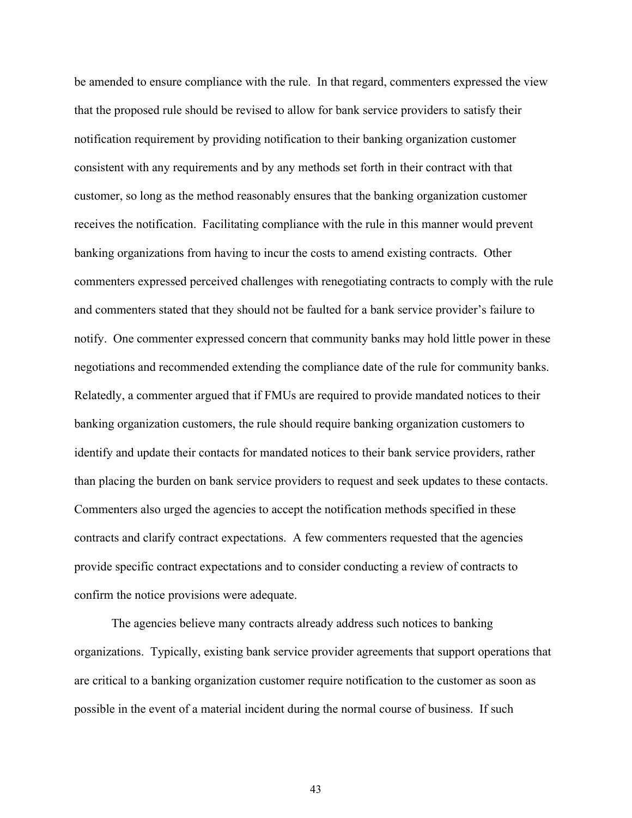be amended to ensure compliance with the rule. In that regard, commenters expressed the view that the proposed rule should be revised to allow for bank service providers to satisfy their notification requirement by providing notification to their banking organization customer consistent with any requirements and by any methods set forth in their contract with that customer, so long as the method reasonably ensures that the banking organization customer receives the notification. Facilitating compliance with the rule in this manner would prevent banking organizations from having to incur the costs to amend existing contracts. Other commenters expressed perceived challenges with renegotiating contracts to comply with the rule and commenters stated that they should not be faulted for a bank service provider's failure to notify. One commenter expressed concern that community banks may hold little power in these negotiations and recommended extending the compliance date of the rule for community banks. Relatedly, a commenter argued that if FMUs are required to provide mandated notices to their banking organization customers, the rule should require banking organization customers to identify and update their contacts for mandated notices to their bank service providers, rather than placing the burden on bank service providers to request and seek updates to these contacts. Commenters also urged the agencies to accept the notification methods specified in these contracts and clarify contract expectations. A few commenters requested that the agencies provide specific contract expectations and to consider conducting a review of contracts to confirm the notice provisions were adequate.

The agencies believe many contracts already address such notices to banking organizations. Typically, existing bank service provider agreements that support operations that are critical to a banking organization customer require notification to the customer as soon as possible in the event of a material incident during the normal course of business. If such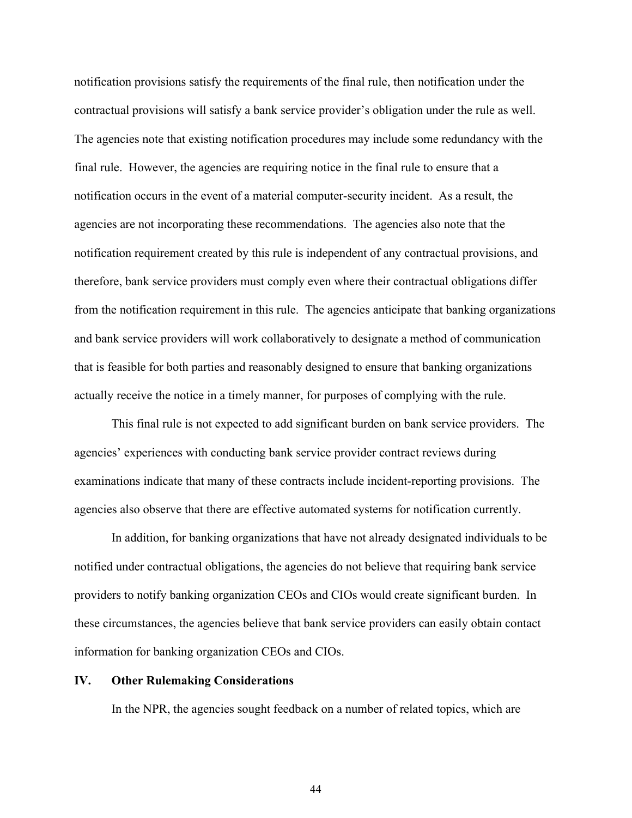notification provisions satisfy the requirements of the final rule, then notification under the contractual provisions will satisfy a bank service provider's obligation under the rule as well. The agencies note that existing notification procedures may include some redundancy with the final rule. However, the agencies are requiring notice in the final rule to ensure that a notification occurs in the event of a material computer-security incident. As a result, the agencies are not incorporating these recommendations. The agencies also note that the notification requirement created by this rule is independent of any contractual provisions, and therefore, bank service providers must comply even where their contractual obligations differ from the notification requirement in this rule. The agencies anticipate that banking organizations and bank service providers will work collaboratively to designate a method of communication that is feasible for both parties and reasonably designed to ensure that banking organizations actually receive the notice in a timely manner, for purposes of complying with the rule.

This final rule is not expected to add significant burden on bank service providers. The agencies' experiences with conducting bank service provider contract reviews during examinations indicate that many of these contracts include incident-reporting provisions. The agencies also observe that there are effective automated systems for notification currently.

In addition, for banking organizations that have not already designated individuals to be notified under contractual obligations, the agencies do not believe that requiring bank service providers to notify banking organization CEOs and CIOs would create significant burden. In these circumstances, the agencies believe that bank service providers can easily obtain contact information for banking organization CEOs and CIOs.

#### **IV. Other Rulemaking Considerations**

In the NPR, the agencies sought feedback on a number of related topics, which are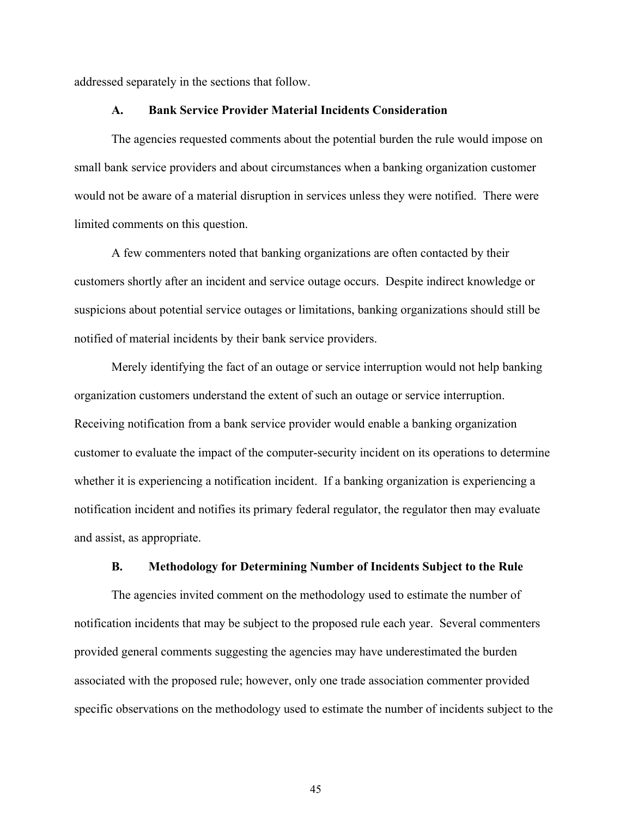addressed separately in the sections that follow.

#### **A. Bank Service Provider Material Incidents Consideration**

The agencies requested comments about the potential burden the rule would impose on small bank service providers and about circumstances when a banking organization customer would not be aware of a material disruption in services unless they were notified. There were limited comments on this question.

A few commenters noted that banking organizations are often contacted by their customers shortly after an incident and service outage occurs. Despite indirect knowledge or suspicions about potential service outages or limitations, banking organizations should still be notified of material incidents by their bank service providers.

Merely identifying the fact of an outage or service interruption would not help banking organization customers understand the extent of such an outage or service interruption. Receiving notification from a bank service provider would enable a banking organization customer to evaluate the impact of the computer-security incident on its operations to determine whether it is experiencing a notification incident. If a banking organization is experiencing a notification incident and notifies its primary federal regulator, the regulator then may evaluate and assist, as appropriate.

#### **B. Methodology for Determining Number of Incidents Subject to the Rule**

The agencies invited comment on the methodology used to estimate the number of notification incidents that may be subject to the proposed rule each year. Several commenters provided general comments suggesting the agencies may have underestimated the burden associated with the proposed rule; however, only one trade association commenter provided specific observations on the methodology used to estimate the number of incidents subject to the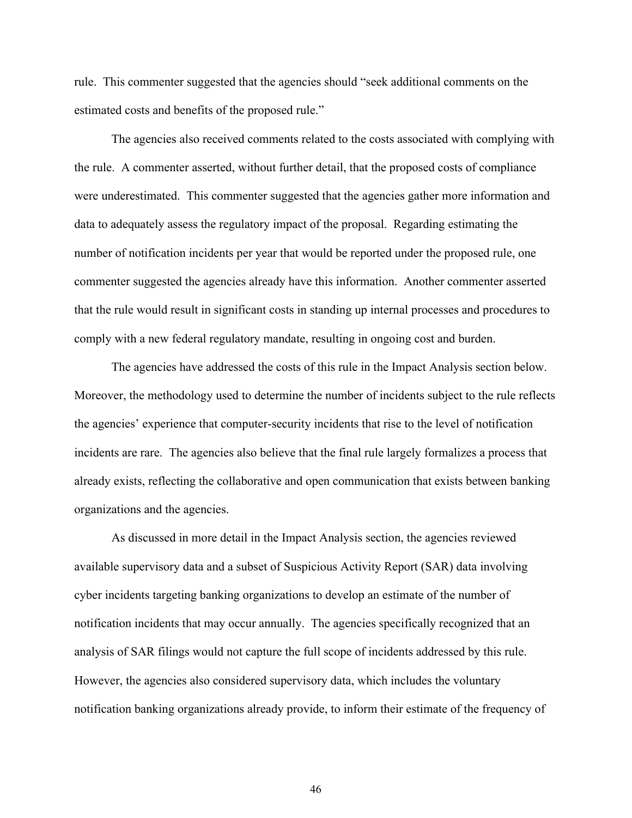rule. This commenter suggested that the agencies should "seek additional comments on the estimated costs and benefits of the proposed rule."

The agencies also received comments related to the costs associated with complying with the rule. A commenter asserted, without further detail, that the proposed costs of compliance were underestimated. This commenter suggested that the agencies gather more information and data to adequately assess the regulatory impact of the proposal. Regarding estimating the number of notification incidents per year that would be reported under the proposed rule, one commenter suggested the agencies already have this information. Another commenter asserted that the rule would result in significant costs in standing up internal processes and procedures to comply with a new federal regulatory mandate, resulting in ongoing cost and burden.

The agencies have addressed the costs of this rule in the Impact Analysis section below. Moreover, the methodology used to determine the number of incidents subject to the rule reflects the agencies' experience that computer-security incidents that rise to the level of notification incidents are rare. The agencies also believe that the final rule largely formalizes a process that already exists, reflecting the collaborative and open communication that exists between banking organizations and the agencies.

As discussed in more detail in the Impact Analysis section, the agencies reviewed available supervisory data and a subset of Suspicious Activity Report (SAR) data involving cyber incidents targeting banking organizations to develop an estimate of the number of notification incidents that may occur annually. The agencies specifically recognized that an analysis of SAR filings would not capture the full scope of incidents addressed by this rule. However, the agencies also considered supervisory data, which includes the voluntary notification banking organizations already provide, to inform their estimate of the frequency of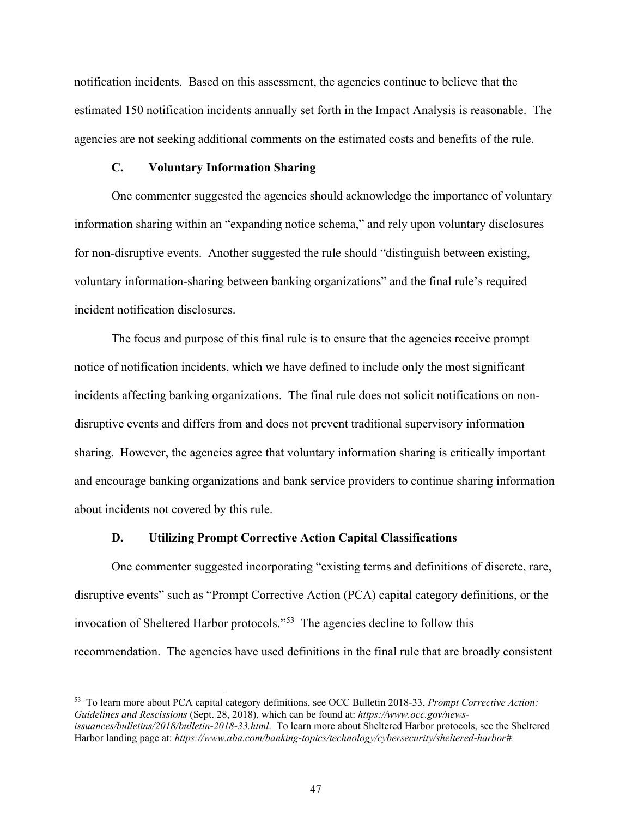notification incidents. Based on this assessment, the agencies continue to believe that the estimated 150 notification incidents annually set forth in the Impact Analysis is reasonable. The agencies are not seeking additional comments on the estimated costs and benefits of the rule.

#### **C. Voluntary Information Sharing**

One commenter suggested the agencies should acknowledge the importance of voluntary information sharing within an "expanding notice schema," and rely upon voluntary disclosures for non-disruptive events. Another suggested the rule should "distinguish between existing, voluntary information-sharing between banking organizations" and the final rule's required incident notification disclosures.

The focus and purpose of this final rule is to ensure that the agencies receive prompt notice of notification incidents, which we have defined to include only the most significant incidents affecting banking organizations. The final rule does not solicit notifications on nondisruptive events and differs from and does not prevent traditional supervisory information sharing. However, the agencies agree that voluntary information sharing is critically important and encourage banking organizations and bank service providers to continue sharing information about incidents not covered by this rule.

#### **D. Utilizing Prompt Corrective Action Capital Classifications**

One commenter suggested incorporating "existing terms and definitions of discrete, rare, disruptive events" such as "Prompt Corrective Action (PCA) capital category definitions, or the invocation of Sheltered Harbor protocols."[53](#page-46-0) The agencies decline to follow this recommendation. The agencies have used definitions in the final rule that are broadly consistent

<span id="page-46-0"></span><sup>53</sup> To learn more about PCA capital category definitions, see OCC Bulletin 2018-33, *Prompt Corrective Action: Guidelines and Rescissions* (Sept. 28, 2018), which can be found at: *https://www.occ.gov/newsissuances/bulletins/2018/bulletin-2018-33.html*. To learn more about Sheltered Harbor protocols, see the Sheltered Harbor landing page at: *https://www.aba.com/banking-topics/technology/cybersecurity/sheltered-harbor#.*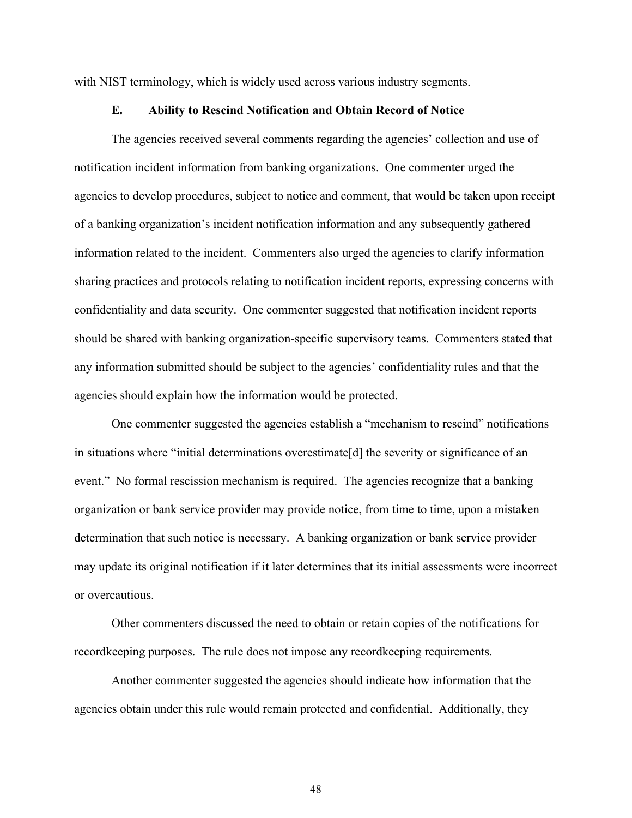with NIST terminology, which is widely used across various industry segments.

#### **E. Ability to Rescind Notification and Obtain Record of Notice**

The agencies received several comments regarding the agencies' collection and use of notification incident information from banking organizations. One commenter urged the agencies to develop procedures, subject to notice and comment, that would be taken upon receipt of a banking organization's incident notification information and any subsequently gathered information related to the incident. Commenters also urged the agencies to clarify information sharing practices and protocols relating to notification incident reports, expressing concerns with confidentiality and data security. One commenter suggested that notification incident reports should be shared with banking organization-specific supervisory teams. Commenters stated that any information submitted should be subject to the agencies' confidentiality rules and that the agencies should explain how the information would be protected.

One commenter suggested the agencies establish a "mechanism to rescind" notifications in situations where "initial determinations overestimate[d] the severity or significance of an event." No formal rescission mechanism is required. The agencies recognize that a banking organization or bank service provider may provide notice, from time to time, upon a mistaken determination that such notice is necessary. A banking organization or bank service provider may update its original notification if it later determines that its initial assessments were incorrect or overcautious.

Other commenters discussed the need to obtain or retain copies of the notifications for recordkeeping purposes. The rule does not impose any recordkeeping requirements.

Another commenter suggested the agencies should indicate how information that the agencies obtain under this rule would remain protected and confidential. Additionally, they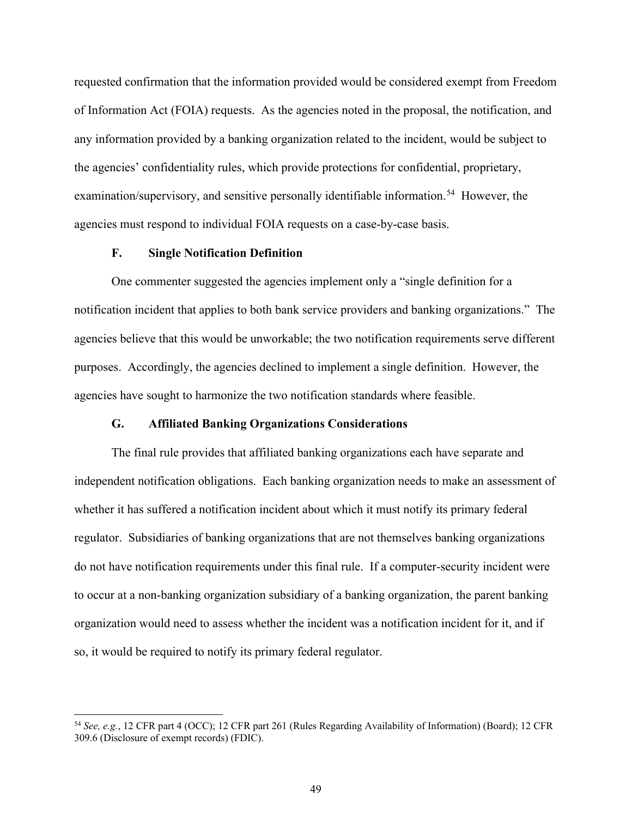requested confirmation that the information provided would be considered exempt from Freedom of Information Act (FOIA) requests. As the agencies noted in the proposal, the notification, and any information provided by a banking organization related to the incident, would be subject to the agencies' confidentiality rules, which provide protections for confidential, proprietary, examination/supervisory, and sensitive personally identifiable information.<sup>[54](#page-48-0)</sup> However, the agencies must respond to individual FOIA requests on a case-by-case basis.

#### **F. Single Notification Definition**

One commenter suggested the agencies implement only a "single definition for a notification incident that applies to both bank service providers and banking organizations." The agencies believe that this would be unworkable; the two notification requirements serve different purposes. Accordingly, the agencies declined to implement a single definition. However, the agencies have sought to harmonize the two notification standards where feasible.

#### **G. Affiliated Banking Organizations Considerations**

The final rule provides that affiliated banking organizations each have separate and independent notification obligations. Each banking organization needs to make an assessment of whether it has suffered a notification incident about which it must notify its primary federal regulator. Subsidiaries of banking organizations that are not themselves banking organizations do not have notification requirements under this final rule. If a computer-security incident were to occur at a non-banking organization subsidiary of a banking organization, the parent banking organization would need to assess whether the incident was a notification incident for it, and if so, it would be required to notify its primary federal regulator.

<span id="page-48-0"></span><sup>54</sup> *See, e.g.*, 12 CFR part 4 (OCC); 12 CFR part 261 (Rules Regarding Availability of Information) (Board); 12 CFR 309.6 (Disclosure of exempt records) (FDIC).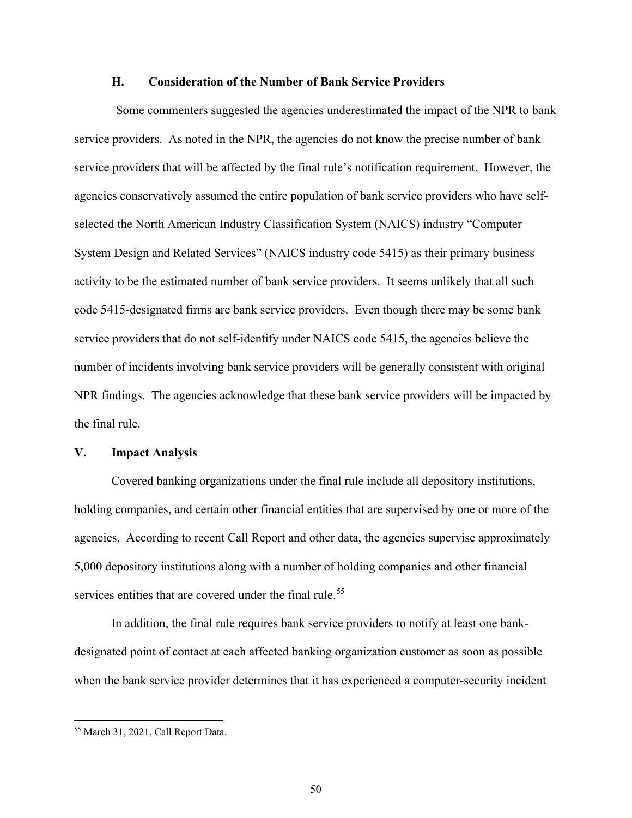#### **H. Consideration of the Number of Bank Service Providers**

Some commenters suggested the agencies underestimated the impact of the NPR to bank service providers. As noted in the NPR, the agencies do not know the precise number of bank service providers that will be affected by the final rule's notification requirement. However, the agencies conservatively assumed the entire population of bank service providers who have selfselected the North American Industry Classification System (NAICS) industry "Computer System Design and Related Services" (NAICS industry code 5415) as their primary business activity to be the estimated number of bank service providers. It seems unlikely that all such code 5415-designated firms are bank service providers. Even though there may be some bank service providers that do not self-identify under NAICS code 5415, the agencies believe the number of incidents involving bank service providers will be generally consistent with original NPR findings. The agencies acknowledge that these bank service providers will be impacted by the final rule.

#### **V. Impact Analysis**

Covered banking organizations under the final rule include all depository institutions, holding companies, and certain other financial entities that are supervised by one or more of the agencies. According to recent Call Report and other data, the agencies supervise approximately 5,000 depository institutions along with a number of holding companies and other financial services entities that are covered under the final rule.<sup>[55](#page-49-0)</sup>

In addition, the final rule requires bank service providers to notify at least one bankdesignated point of contact at each affected banking organization customer as soon as possible when the bank service provider determines that it has experienced a computer-security incident

<span id="page-49-0"></span><sup>55</sup> March 31, 2021, Call Report Data.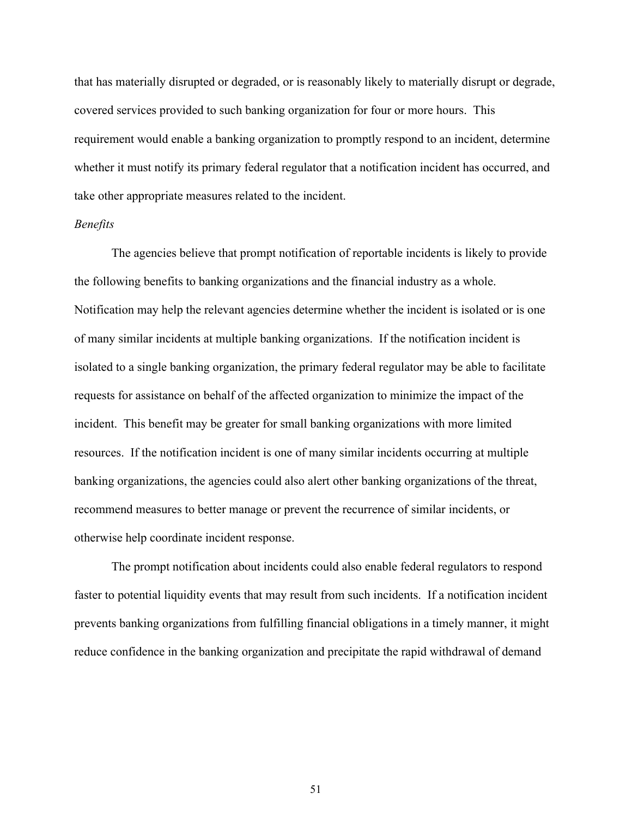that has materially disrupted or degraded, or is reasonably likely to materially disrupt or degrade, covered services provided to such banking organization for four or more hours. This requirement would enable a banking organization to promptly respond to an incident, determine whether it must notify its primary federal regulator that a notification incident has occurred, and take other appropriate measures related to the incident.

#### *Benefits*

The agencies believe that prompt notification of reportable incidents is likely to provide the following benefits to banking organizations and the financial industry as a whole. Notification may help the relevant agencies determine whether the incident is isolated or is one of many similar incidents at multiple banking organizations. If the notification incident is isolated to a single banking organization, the primary federal regulator may be able to facilitate requests for assistance on behalf of the affected organization to minimize the impact of the incident. This benefit may be greater for small banking organizations with more limited resources. If the notification incident is one of many similar incidents occurring at multiple banking organizations, the agencies could also alert other banking organizations of the threat, recommend measures to better manage or prevent the recurrence of similar incidents, or otherwise help coordinate incident response.

The prompt notification about incidents could also enable federal regulators to respond faster to potential liquidity events that may result from such incidents. If a notification incident prevents banking organizations from fulfilling financial obligations in a timely manner, it might reduce confidence in the banking organization and precipitate the rapid withdrawal of demand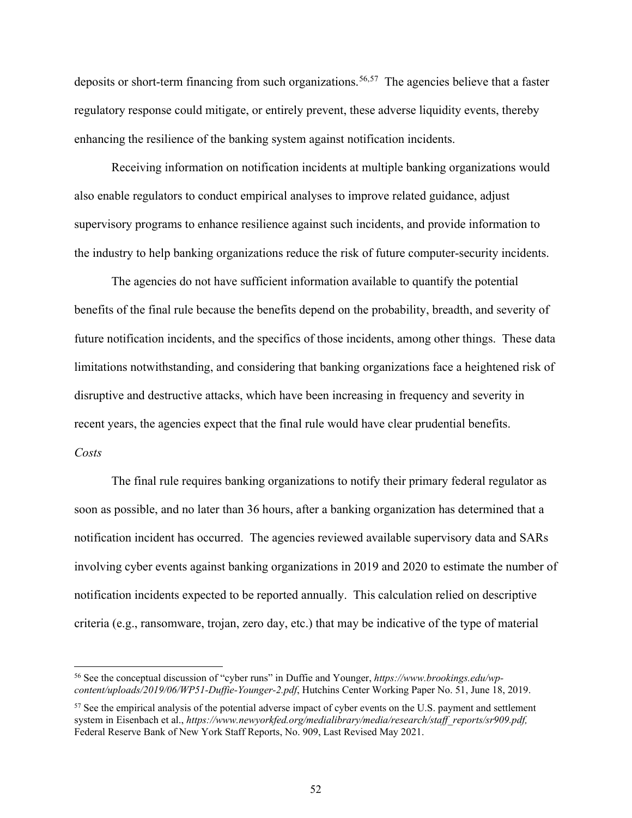deposits or short-term financing from such organizations. [56](#page-51-0),[57](#page-51-1) The agencies believe that a faster regulatory response could mitigate, or entirely prevent, these adverse liquidity events, thereby enhancing the resilience of the banking system against notification incidents.

Receiving information on notification incidents at multiple banking organizations would also enable regulators to conduct empirical analyses to improve related guidance, adjust supervisory programs to enhance resilience against such incidents, and provide information to the industry to help banking organizations reduce the risk of future computer-security incidents.

The agencies do not have sufficient information available to quantify the potential benefits of the final rule because the benefits depend on the probability, breadth, and severity of future notification incidents, and the specifics of those incidents, among other things. These data limitations notwithstanding, and considering that banking organizations face a heightened risk of disruptive and destructive attacks, which have been increasing in frequency and severity in recent years, the agencies expect that the final rule would have clear prudential benefits. *Costs*

The final rule requires banking organizations to notify their primary federal regulator as soon as possible, and no later than 36 hours, after a banking organization has determined that a notification incident has occurred. The agencies reviewed available supervisory data and SARs involving cyber events against banking organizations in 2019 and 2020 to estimate the number of notification incidents expected to be reported annually. This calculation relied on descriptive criteria (e.g., ransomware, trojan, zero day, etc.) that may be indicative of the type of material

<span id="page-51-0"></span><sup>56</sup> See the conceptual discussion of "cyber runs" in Duffie and Younger, *[https://www.brookings.edu/wp](https://www.brookings.edu/wp-content/uploads/2019/06/WP51-Duffie-Younger-2.pdf)[content/uploads/2019/06/WP51-Duffie-Younger-2.pdf](https://www.brookings.edu/wp-content/uploads/2019/06/WP51-Duffie-Younger-2.pdf)*, Hutchins Center Working Paper No. 51, June 18, 2019.

<span id="page-51-1"></span><sup>&</sup>lt;sup>57</sup> See the empirical analysis of the potential adverse impact of cyber events on the U.S. payment and settlement system in Eisenbach et al., *[https://www.newyorkfed.org/medialibrary/media/research/staff\\_reports/sr909.pdf,](https://www.newyorkfed.org/medialibrary/media/research/staff_reports/sr909.pdf)* Federal Reserve Bank of New York Staff Reports, No. 909, Last Revised May 2021.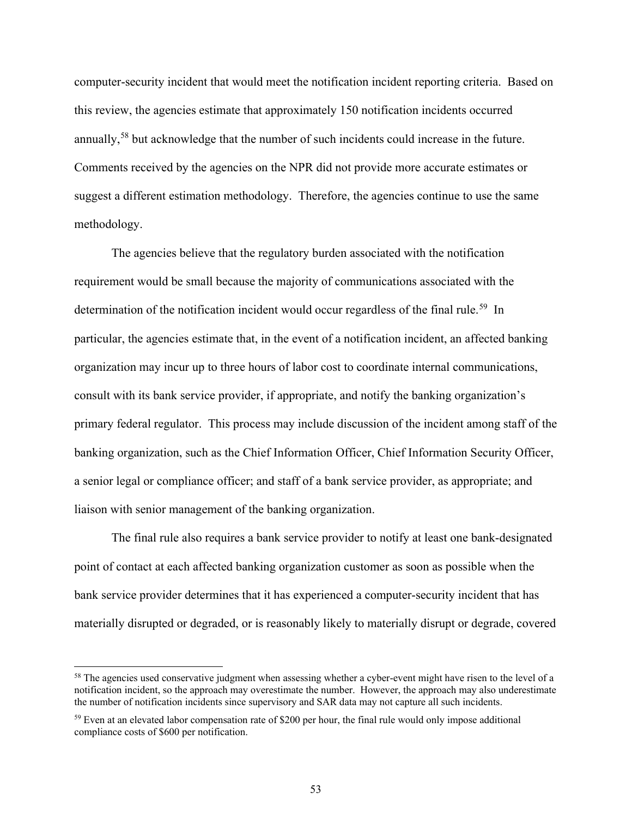computer-security incident that would meet the notification incident reporting criteria. Based on this review, the agencies estimate that approximately 150 notification incidents occurred annually,<sup>[58](#page-52-0)</sup> but acknowledge that the number of such incidents could increase in the future. Comments received by the agencies on the NPR did not provide more accurate estimates or suggest a different estimation methodology. Therefore, the agencies continue to use the same methodology.

The agencies believe that the regulatory burden associated with the notification requirement would be small because the majority of communications associated with the determination of the notification incident would occur regardless of the final rule.<sup>[59](#page-52-1)</sup> In particular, the agencies estimate that, in the event of a notification incident, an affected banking organization may incur up to three hours of labor cost to coordinate internal communications, consult with its bank service provider, if appropriate, and notify the banking organization's primary federal regulator. This process may include discussion of the incident among staff of the banking organization, such as the Chief Information Officer, Chief Information Security Officer, a senior legal or compliance officer; and staff of a bank service provider, as appropriate; and liaison with senior management of the banking organization.

The final rule also requires a bank service provider to notify at least one bank-designated point of contact at each affected banking organization customer as soon as possible when the bank service provider determines that it has experienced a computer-security incident that has materially disrupted or degraded, or is reasonably likely to materially disrupt or degrade, covered

<span id="page-52-0"></span><sup>&</sup>lt;sup>58</sup> The agencies used conservative judgment when assessing whether a cyber-event might have risen to the level of a notification incident, so the approach may overestimate the number. However, the approach may also underestimate the number of notification incidents since supervisory and SAR data may not capture all such incidents.

<span id="page-52-1"></span><sup>&</sup>lt;sup>59</sup> Even at an elevated labor compensation rate of \$200 per hour, the final rule would only impose additional compliance costs of \$600 per notification.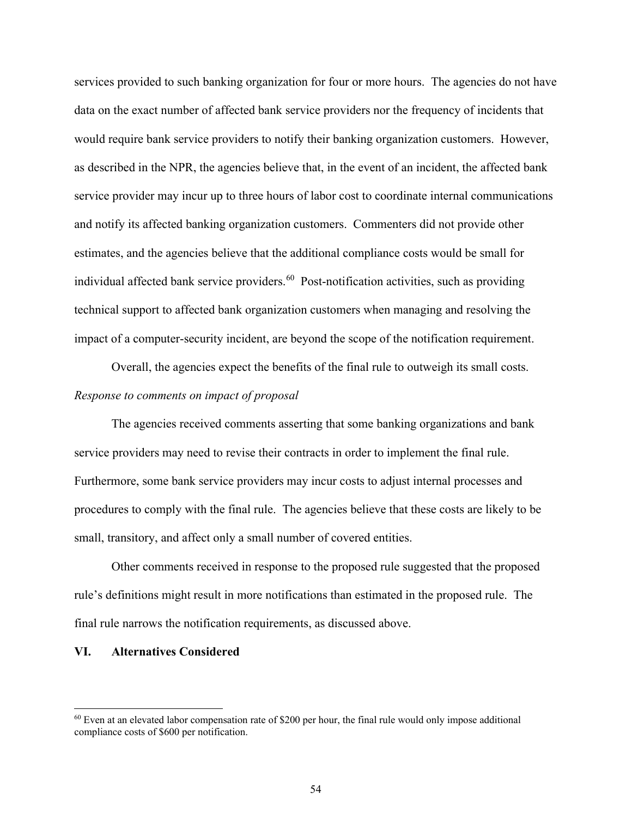services provided to such banking organization for four or more hours. The agencies do not have data on the exact number of affected bank service providers nor the frequency of incidents that would require bank service providers to notify their banking organization customers. However, as described in the NPR, the agencies believe that, in the event of an incident, the affected bank service provider may incur up to three hours of labor cost to coordinate internal communications and notify its affected banking organization customers. Commenters did not provide other estimates, and the agencies believe that the additional compliance costs would be small for individual affected bank service providers.<sup>[60](#page-53-0)</sup> Post-notification activities, such as providing technical support to affected bank organization customers when managing and resolving the impact of a computer-security incident, are beyond the scope of the notification requirement.

Overall, the agencies expect the benefits of the final rule to outweigh its small costs. *Response to comments on impact of proposal*

The agencies received comments asserting that some banking organizations and bank service providers may need to revise their contracts in order to implement the final rule. Furthermore, some bank service providers may incur costs to adjust internal processes and procedures to comply with the final rule. The agencies believe that these costs are likely to be small, transitory, and affect only a small number of covered entities.

Other comments received in response to the proposed rule suggested that the proposed rule's definitions might result in more notifications than estimated in the proposed rule. The final rule narrows the notification requirements, as discussed above.

#### **VI. Alternatives Considered**

<span id="page-53-0"></span> $60$  Even at an elevated labor compensation rate of \$200 per hour, the final rule would only impose additional compliance costs of \$600 per notification.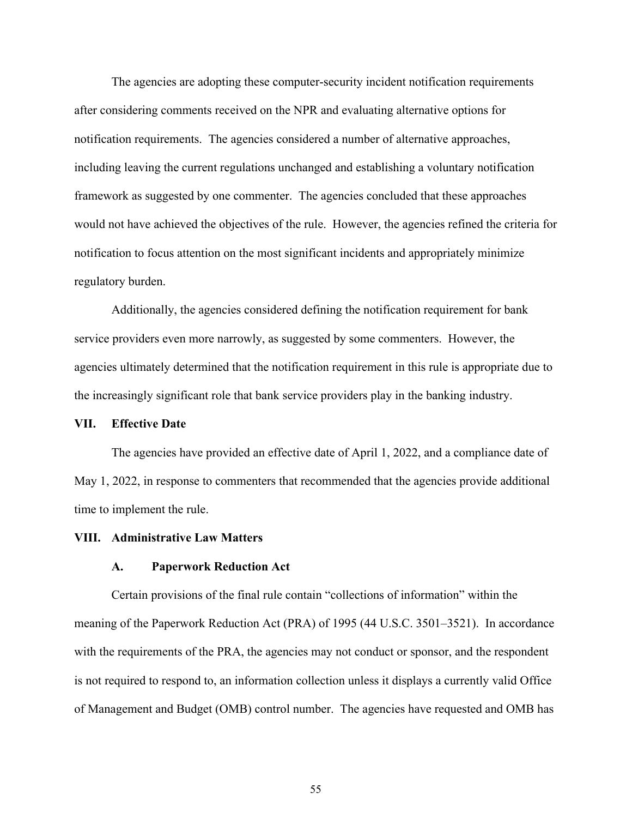The agencies are adopting these computer-security incident notification requirements after considering comments received on the NPR and evaluating alternative options for notification requirements. The agencies considered a number of alternative approaches, including leaving the current regulations unchanged and establishing a voluntary notification framework as suggested by one commenter. The agencies concluded that these approaches would not have achieved the objectives of the rule. However, the agencies refined the criteria for notification to focus attention on the most significant incidents and appropriately minimize regulatory burden.

Additionally, the agencies considered defining the notification requirement for bank service providers even more narrowly, as suggested by some commenters. However, the agencies ultimately determined that the notification requirement in this rule is appropriate due to the increasingly significant role that bank service providers play in the banking industry.

#### **VII. Effective Date**

The agencies have provided an effective date of April 1, 2022, and a compliance date of May 1, 2022, in response to commenters that recommended that the agencies provide additional time to implement the rule.

#### **VIII. Administrative Law Matters**

#### **A. Paperwork Reduction Act**

Certain provisions of the final rule contain "collections of information" within the meaning of the Paperwork Reduction Act (PRA) of 1995 (44 U.S.C. 3501–3521). In accordance with the requirements of the PRA, the agencies may not conduct or sponsor, and the respondent is not required to respond to, an information collection unless it displays a currently valid Office of Management and Budget (OMB) control number. The agencies have requested and OMB has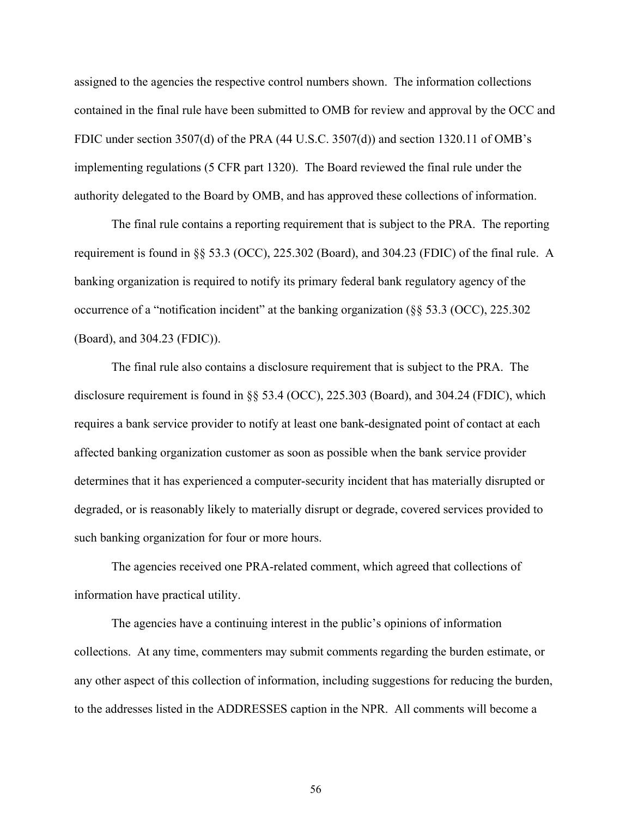assigned to the agencies the respective control numbers shown. The information collections contained in the final rule have been submitted to OMB for review and approval by the OCC and FDIC under section 3507(d) of the PRA (44 U.S.C. 3507(d)) and section 1320.11 of OMB's implementing regulations (5 CFR part 1320). The Board reviewed the final rule under the authority delegated to the Board by OMB, and has approved these collections of information.

The final rule contains a reporting requirement that is subject to the PRA. The reporting requirement is found in §§ 53.3 (OCC), 225.302 (Board), and 304.23 (FDIC) of the final rule. A banking organization is required to notify its primary federal bank regulatory agency of the occurrence of a "notification incident" at the banking organization (§§ 53.3 (OCC), 225.302 (Board), and 304.23 (FDIC)).

The final rule also contains a disclosure requirement that is subject to the PRA. The disclosure requirement is found in §§ 53.4 (OCC), 225.303 (Board), and 304.24 (FDIC), which requires a bank service provider to notify at least one bank-designated point of contact at each affected banking organization customer as soon as possible when the bank service provider determines that it has experienced a computer-security incident that has materially disrupted or degraded, or is reasonably likely to materially disrupt or degrade, covered services provided to such banking organization for four or more hours.

The agencies received one PRA-related comment, which agreed that collections of information have practical utility.

The agencies have a continuing interest in the public's opinions of information collections. At any time, commenters may submit comments regarding the burden estimate, or any other aspect of this collection of information, including suggestions for reducing the burden, to the addresses listed in the ADDRESSES caption in the NPR. All comments will become a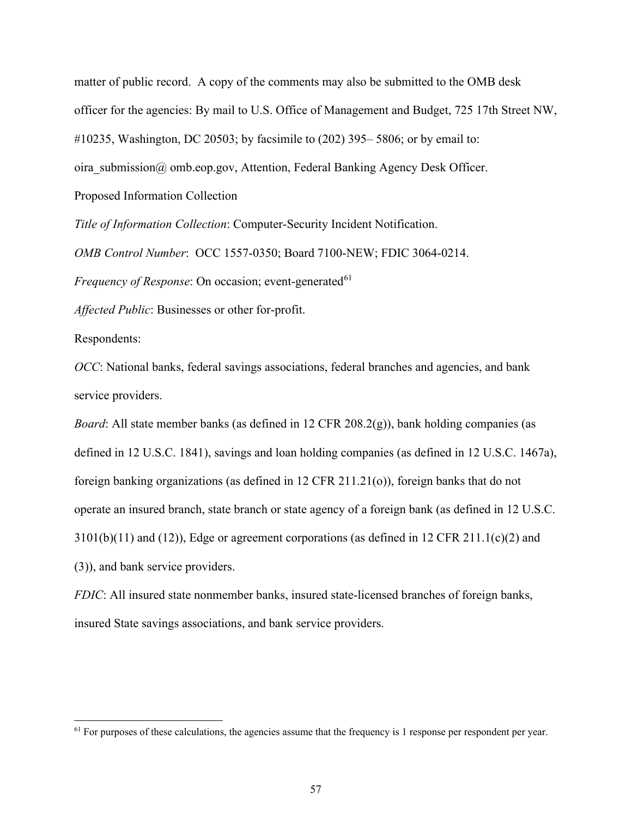matter of public record. A copy of the comments may also be submitted to the OMB desk officer for the agencies: By mail to U.S. Office of Management and Budget, 725 17th Street NW, #10235, Washington, DC 20503; by facsimile to (202) 395– 5806; or by email to: oira submission@ omb.eop.gov, Attention, Federal Banking Agency Desk Officer. Proposed Information Collection

*Title of Information Collection*: Computer-Security Incident Notification.

*OMB Control Number*: OCC 1557-0350; Board 7100-NEW; FDIC 3064-0214.

*Frequency of Response*: On occasion; event-generated<sup>[61](#page-56-0)</sup>

*Affected Public*: Businesses or other for-profit.

Respondents:

*OCC*: National banks, federal savings associations, federal branches and agencies, and bank service providers.

*Board*: All state member banks (as defined in 12 CFR 208.2(g)), bank holding companies (as defined in 12 U.S.C. 1841), savings and loan holding companies (as defined in 12 U.S.C. 1467a), foreign banking organizations (as defined in 12 CFR 211.21(o)), foreign banks that do not operate an insured branch, state branch or state agency of a foreign bank (as defined in 12 U.S.C.  $3101(b)(11)$  and  $(12)$ ), Edge or agreement corporations (as defined in 12 CFR 211.1(c)(2) and (3)), and bank service providers.

*FDIC*: All insured state nonmember banks, insured state-licensed branches of foreign banks, insured State savings associations, and bank service providers.

<span id="page-56-0"></span><sup>&</sup>lt;sup>61</sup> For purposes of these calculations, the agencies assume that the frequency is 1 response per respondent per year.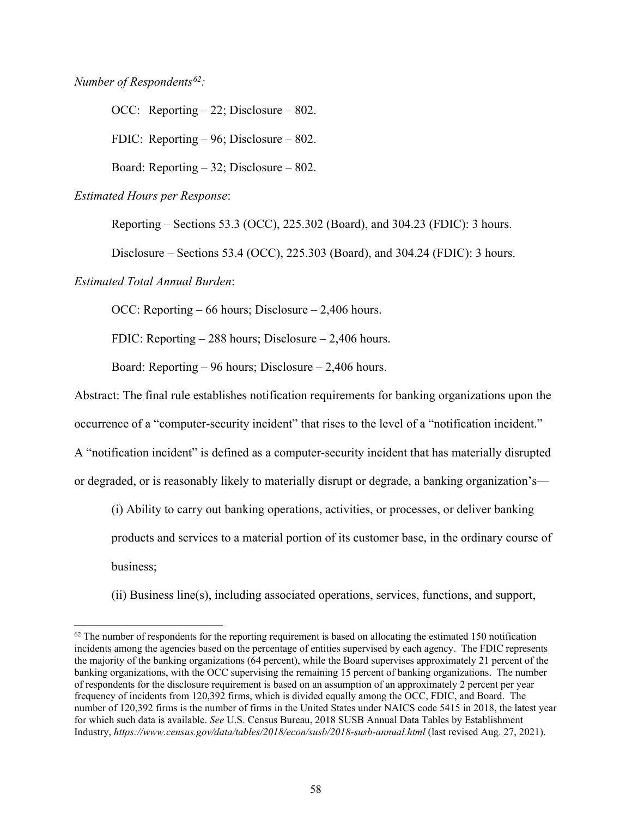*Number of Respondents[62](#page-57-0):*

OCC: Reporting – 22; Disclosure – 802. FDIC: Reporting – 96; Disclosure – 802. Board: Reporting – 32; Disclosure – 802.

*Estimated Hours per Response*:

Reporting – Sections 53.3 (OCC), 225.302 (Board), and 304.23 (FDIC): 3 hours.

Disclosure – Sections 53.4 (OCC), 225.303 (Board), and 304.24 (FDIC): 3 hours.

*Estimated Total Annual Burden*:

OCC: Reporting – 66 hours; Disclosure – 2,406 hours.

FDIC: Reporting – 288 hours; Disclosure – 2,406 hours.

Board: Reporting – 96 hours; Disclosure – 2,406 hours.

Abstract: The final rule establishes notification requirements for banking organizations upon the

occurrence of a "computer-security incident" that rises to the level of a "notification incident."

A "notification incident" is defined as a computer-security incident that has materially disrupted

or degraded, or is reasonably likely to materially disrupt or degrade, a banking organization's—

(i) Ability to carry out banking operations, activities, or processes, or deliver banking

products and services to a material portion of its customer base, in the ordinary course of

business;

(ii) Business line(s), including associated operations, services, functions, and support,

<span id="page-57-0"></span> $62$  The number of respondents for the reporting requirement is based on allocating the estimated 150 notification incidents among the agencies based on the percentage of entities supervised by each agency. The FDIC represents the majority of the banking organizations (64 percent), while the Board supervises approximately 21 percent of the banking organizations, with the OCC supervising the remaining 15 percent of banking organizations. The number of respondents for the disclosure requirement is based on an assumption of an approximately 2 percent per year frequency of incidents from 120,392 firms, which is divided equally among the OCC, FDIC, and Board. The number of 120,392 firms is the number of firms in the United States under NAICS code 5415 in 2018, the latest year for which such data is available. *See* U.S. Census Bureau, 2018 SUSB Annual Data Tables by Establishment Industry, *https://www.census.gov/data/tables/2018/econ/susb/2018-susb-annual.html* (last revised Aug. 27, 2021).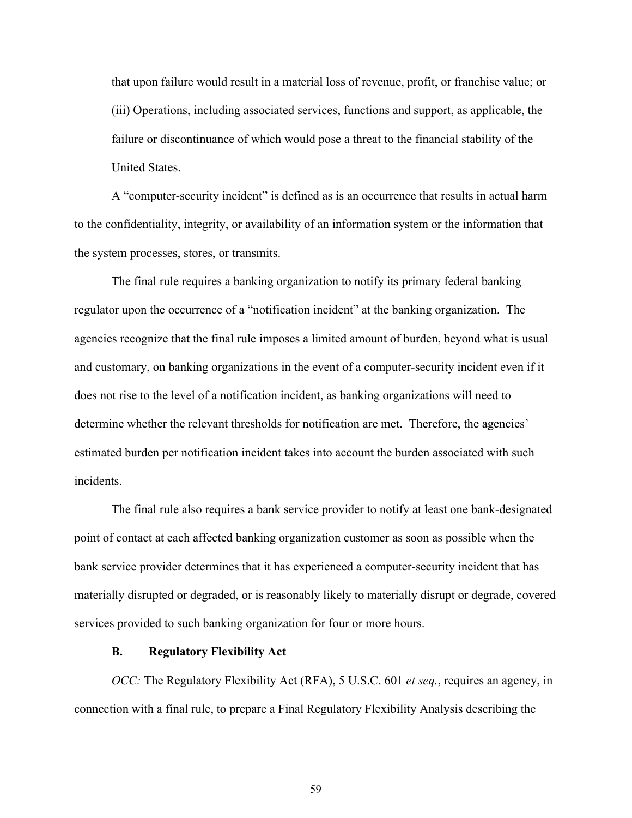that upon failure would result in a material loss of revenue, profit, or franchise value; or (iii) Operations, including associated services, functions and support, as applicable, the failure or discontinuance of which would pose a threat to the financial stability of the United States.

A "computer-security incident" is defined as is an occurrence that results in actual harm to the confidentiality, integrity, or availability of an information system or the information that the system processes, stores, or transmits.

The final rule requires a banking organization to notify its primary federal banking regulator upon the occurrence of a "notification incident" at the banking organization. The agencies recognize that the final rule imposes a limited amount of burden, beyond what is usual and customary, on banking organizations in the event of a computer-security incident even if it does not rise to the level of a notification incident, as banking organizations will need to determine whether the relevant thresholds for notification are met. Therefore, the agencies' estimated burden per notification incident takes into account the burden associated with such incidents.

The final rule also requires a bank service provider to notify at least one bank-designated point of contact at each affected banking organization customer as soon as possible when the bank service provider determines that it has experienced a computer-security incident that has materially disrupted or degraded, or is reasonably likely to materially disrupt or degrade, covered services provided to such banking organization for four or more hours.

#### **B. Regulatory Flexibility Act**

*OCC:* The Regulatory Flexibility Act (RFA), 5 U.S.C. 601 *et seq.*, requires an agency, in connection with a final rule, to prepare a Final Regulatory Flexibility Analysis describing the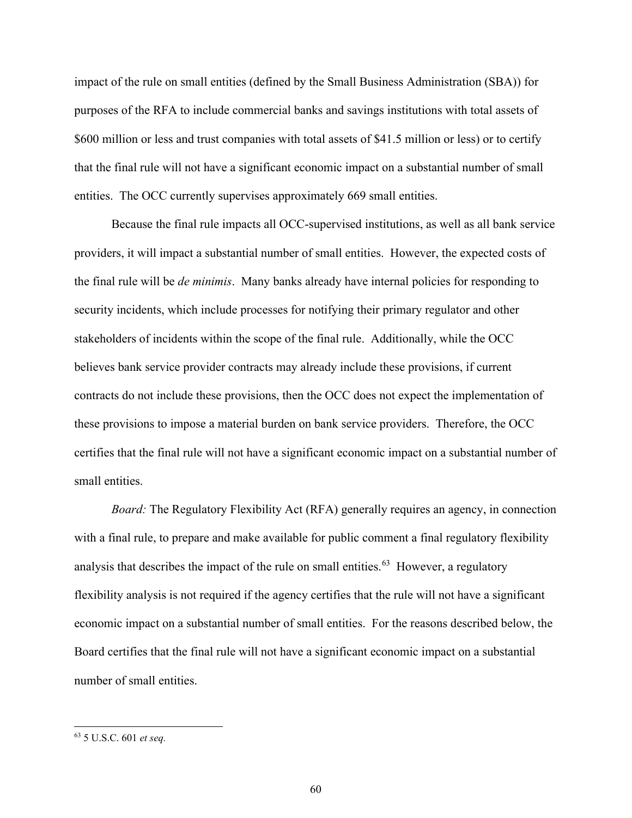impact of the rule on small entities (defined by the Small Business Administration (SBA)) for purposes of the RFA to include commercial banks and savings institutions with total assets of \$600 million or less and trust companies with total assets of \$41.5 million or less) or to certify that the final rule will not have a significant economic impact on a substantial number of small entities. The OCC currently supervises approximately 669 small entities.

Because the final rule impacts all OCC-supervised institutions, as well as all bank service providers, it will impact a substantial number of small entities. However, the expected costs of the final rule will be *de minimis*. Many banks already have internal policies for responding to security incidents, which include processes for notifying their primary regulator and other stakeholders of incidents within the scope of the final rule. Additionally, while the OCC believes bank service provider contracts may already include these provisions, if current contracts do not include these provisions, then the OCC does not expect the implementation of these provisions to impose a material burden on bank service providers. Therefore, the OCC certifies that the final rule will not have a significant economic impact on a substantial number of small entities.

*Board:* The Regulatory Flexibility Act (RFA) generally requires an agency, in connection with a final rule, to prepare and make available for public comment a final regulatory flexibility analysis that describes the impact of the rule on small entities.<sup>[63](#page-59-0)</sup> However, a regulatory flexibility analysis is not required if the agency certifies that the rule will not have a significant economic impact on a substantial number of small entities. For the reasons described below, the Board certifies that the final rule will not have a significant economic impact on a substantial number of small entities.

<span id="page-59-0"></span><sup>63</sup> 5 U.S.C. 601 *et seq.*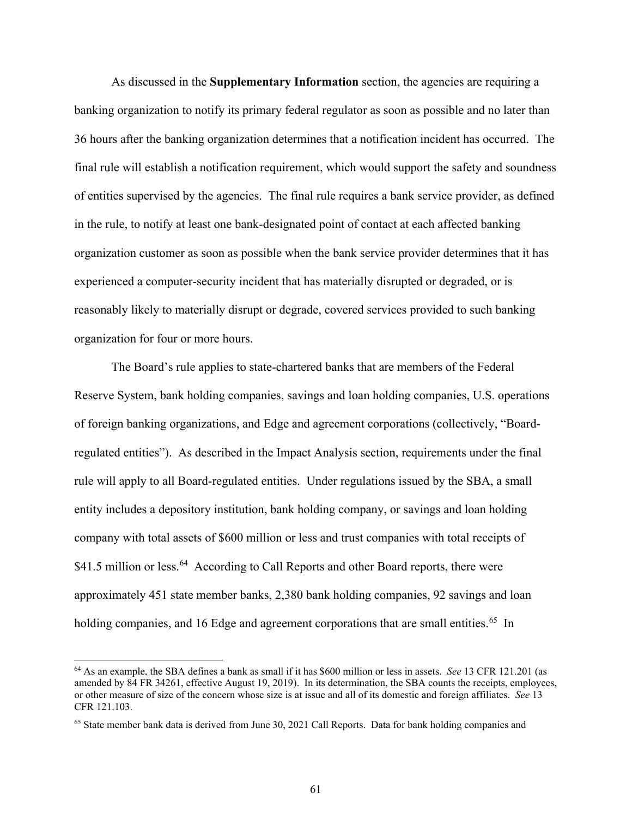As discussed in the **Supplementary Information** section, the agencies are requiring a banking organization to notify its primary federal regulator as soon as possible and no later than 36 hours after the banking organization determines that a notification incident has occurred. The final rule will establish a notification requirement, which would support the safety and soundness of entities supervised by the agencies. The final rule requires a bank service provider, as defined in the rule, to notify at least one bank-designated point of contact at each affected banking organization customer as soon as possible when the bank service provider determines that it has experienced a computer-security incident that has materially disrupted or degraded, or is reasonably likely to materially disrupt or degrade, covered services provided to such banking organization for four or more hours.

The Board's rule applies to state-chartered banks that are members of the Federal Reserve System, bank holding companies, savings and loan holding companies, U.S. operations of foreign banking organizations, and Edge and agreement corporations (collectively, "Boardregulated entities"). As described in the Impact Analysis section, requirements under the final rule will apply to all Board-regulated entities. Under regulations issued by the SBA, a small entity includes a depository institution, bank holding company, or savings and loan holding company with total assets of \$600 million or less and trust companies with total receipts of \$41.5 million or less.<sup>[64](#page-60-0)</sup> According to Call Reports and other Board reports, there were approximately 451 state member banks, 2,380 bank holding companies, 92 savings and loan holding companies, and 16 Edge and agreement corporations that are small entities.<sup>[65](#page-60-1)</sup> In

<span id="page-60-0"></span><sup>64</sup> As an example, the SBA defines a bank as small if it has \$600 million or less in assets. *See* 13 CFR 121.201 (as amended by 84 FR 34261, effective August 19, 2019). In its determination, the SBA counts the receipts, employees, or other measure of size of the concern whose size is at issue and all of its domestic and foreign affiliates. *See* 13 CFR 121.103.

<span id="page-60-1"></span><sup>65</sup> State member bank data is derived from June 30, 2021 Call Reports. Data for bank holding companies and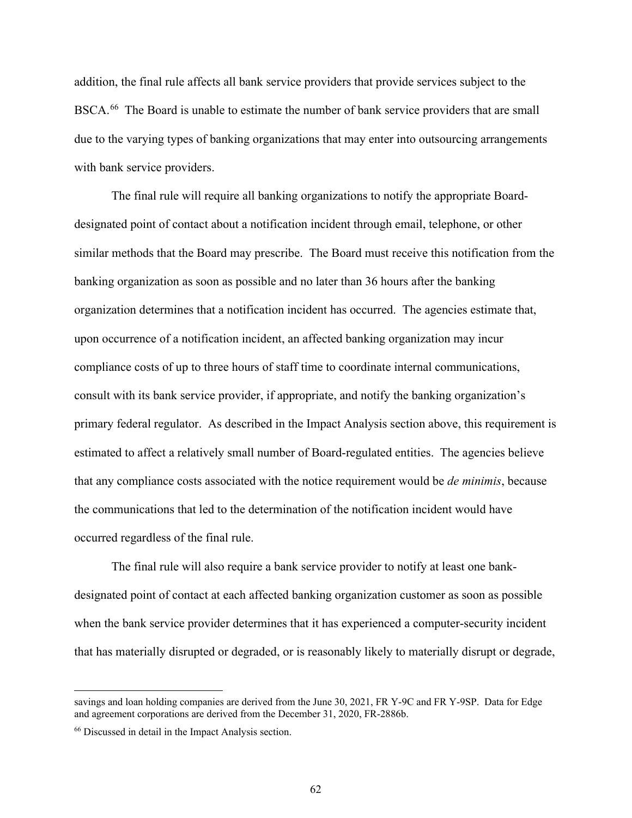addition, the final rule affects all bank service providers that provide services subject to the BSCA.<sup>66</sup> The Board is unable to estimate the number of bank service providers that are small due to the varying types of banking organizations that may enter into outsourcing arrangements with bank service providers.

The final rule will require all banking organizations to notify the appropriate Boarddesignated point of contact about a notification incident through email, telephone, or other similar methods that the Board may prescribe. The Board must receive this notification from the banking organization as soon as possible and no later than 36 hours after the banking organization determines that a notification incident has occurred. The agencies estimate that, upon occurrence of a notification incident, an affected banking organization may incur compliance costs of up to three hours of staff time to coordinate internal communications, consult with its bank service provider, if appropriate, and notify the banking organization's primary federal regulator. As described in the Impact Analysis section above, this requirement is estimated to affect a relatively small number of Board-regulated entities. The agencies believe that any compliance costs associated with the notice requirement would be *de minimis*, because the communications that led to the determination of the notification incident would have occurred regardless of the final rule.

The final rule will also require a bank service provider to notify at least one bankdesignated point of contact at each affected banking organization customer as soon as possible when the bank service provider determines that it has experienced a computer-security incident that has materially disrupted or degraded, or is reasonably likely to materially disrupt or degrade,

savings and loan holding companies are derived from the June 30, 2021, FR Y-9C and FR Y-9SP. Data for Edge and agreement corporations are derived from the December 31, 2020, FR-2886b.

<span id="page-61-0"></span><sup>66</sup> Discussed in detail in the Impact Analysis section.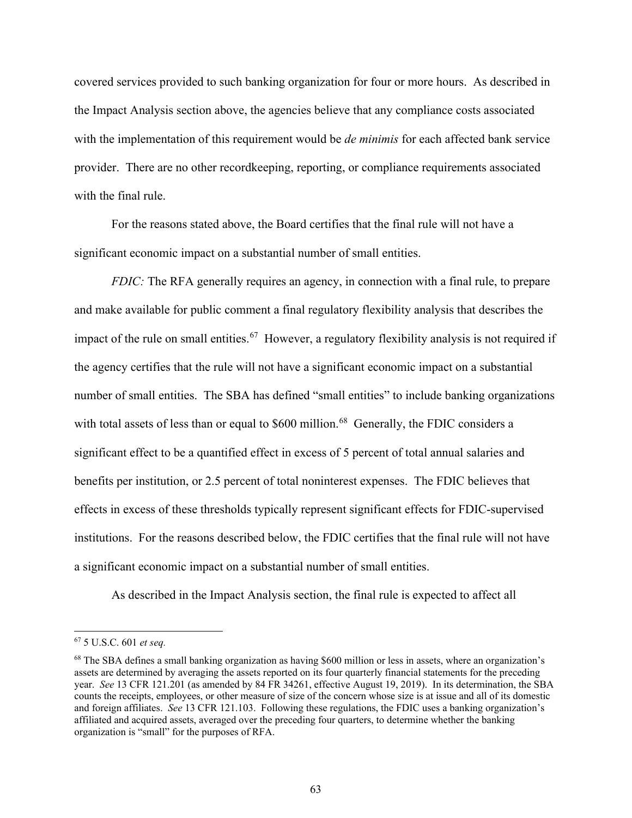covered services provided to such banking organization for four or more hours. As described in the Impact Analysis section above, the agencies believe that any compliance costs associated with the implementation of this requirement would be *de minimis* for each affected bank service provider. There are no other recordkeeping, reporting, or compliance requirements associated with the final rule.

For the reasons stated above, the Board certifies that the final rule will not have a significant economic impact on a substantial number of small entities.

*FDIC*: The RFA generally requires an agency, in connection with a final rule, to prepare and make available for public comment a final regulatory flexibility analysis that describes the impact of the rule on small entities.<sup>[67](#page-62-0)</sup> However, a regulatory flexibility analysis is not required if the agency certifies that the rule will not have a significant economic impact on a substantial number of small entities. The SBA has defined "small entities" to include banking organizations with total assets of less than or equal to  $$600$  million.<sup>68</sup> Generally, the FDIC considers a significant effect to be a quantified effect in excess of 5 percent of total annual salaries and benefits per institution, or 2.5 percent of total noninterest expenses. The FDIC believes that effects in excess of these thresholds typically represent significant effects for FDIC-supervised institutions. For the reasons described below, the FDIC certifies that the final rule will not have a significant economic impact on a substantial number of small entities.

As described in the Impact Analysis section, the final rule is expected to affect all

<span id="page-62-0"></span><sup>67</sup> 5 U.S.C. 601 *et seq.*

<span id="page-62-1"></span><sup>&</sup>lt;sup>68</sup> The SBA defines a small banking organization as having \$600 million or less in assets, where an organization's assets are determined by averaging the assets reported on its four quarterly financial statements for the preceding year. *See* 13 CFR 121.201 (as amended by 84 FR 34261, effective August 19, 2019). In its determination, the SBA counts the receipts, employees, or other measure of size of the concern whose size is at issue and all of its domestic and foreign affiliates. *See* 13 CFR 121.103. Following these regulations, the FDIC uses a banking organization's affiliated and acquired assets, averaged over the preceding four quarters, to determine whether the banking organization is "small" for the purposes of RFA.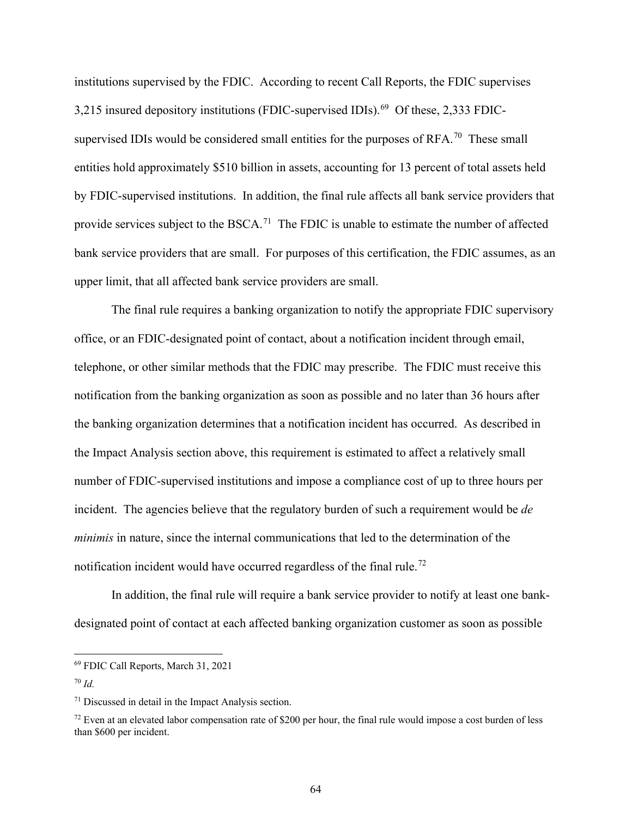institutions supervised by the FDIC. According to recent Call Reports, the FDIC supervises  $3,215$  insured depository institutions (FDIC-supervised IDIs).<sup>69</sup> Of these, 2,333 FDICsupervised IDIs would be considered small entities for the purposes of  $RFA$ <sup>, 70</sup> These small entities hold approximately \$510 billion in assets, accounting for 13 percent of total assets held by FDIC-supervised institutions. In addition, the final rule affects all bank service providers that provide services subject to the BSCA.<sup>[71](#page-63-2)</sup> The FDIC is unable to estimate the number of affected bank service providers that are small. For purposes of this certification, the FDIC assumes, as an upper limit, that all affected bank service providers are small.

The final rule requires a banking organization to notify the appropriate FDIC supervisory office, or an FDIC-designated point of contact, about a notification incident through email, telephone, or other similar methods that the FDIC may prescribe. The FDIC must receive this notification from the banking organization as soon as possible and no later than 36 hours after the banking organization determines that a notification incident has occurred. As described in the Impact Analysis section above, this requirement is estimated to affect a relatively small number of FDIC-supervised institutions and impose a compliance cost of up to three hours per incident. The agencies believe that the regulatory burden of such a requirement would be *de minimis* in nature, since the internal communications that led to the determination of the notification incident would have occurred regardless of the final rule.<sup>[72](#page-63-3)</sup>

In addition, the final rule will require a bank service provider to notify at least one bankdesignated point of contact at each affected banking organization customer as soon as possible

<span id="page-63-0"></span><sup>69</sup> FDIC Call Reports, March 31, 2021

<span id="page-63-1"></span><sup>70</sup> *Id.*

<span id="page-63-2"></span><sup>71</sup> Discussed in detail in the Impact Analysis section.

<span id="page-63-3"></span> $72$  Even at an elevated labor compensation rate of \$200 per hour, the final rule would impose a cost burden of less than \$600 per incident.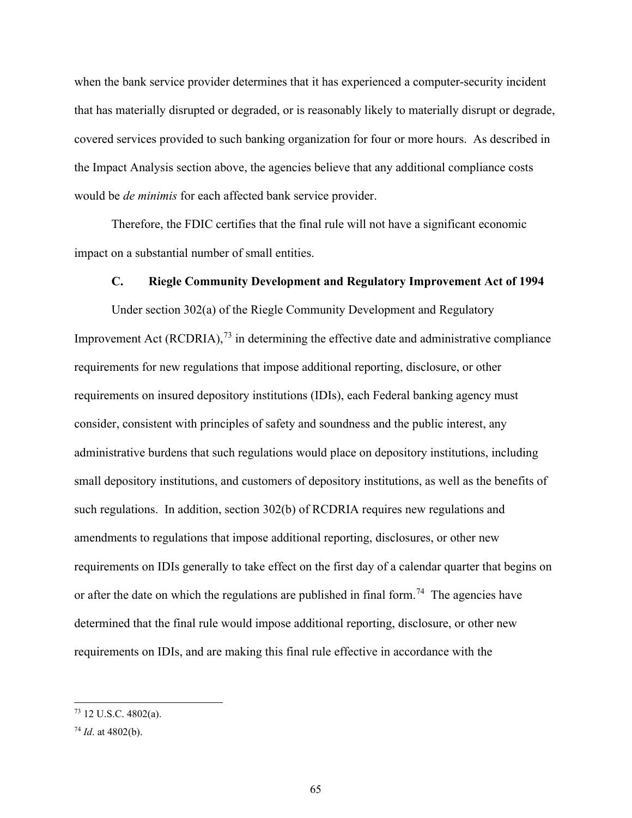when the bank service provider determines that it has experienced a computer-security incident that has materially disrupted or degraded, or is reasonably likely to materially disrupt or degrade, covered services provided to such banking organization for four or more hours. As described in the Impact Analysis section above, the agencies believe that any additional compliance costs would be *de minimis* for each affected bank service provider.

Therefore, the FDIC certifies that the final rule will not have a significant economic impact on a substantial number of small entities.

#### **C. Riegle Community Development and Regulatory Improvement Act of 1994**

Under section 302(a) of the Riegle Community Development and Regulatory Improvement Act (RCDRIA), $^{73}$  $^{73}$  $^{73}$  in determining the effective date and administrative compliance requirements for new regulations that impose additional reporting, disclosure, or other requirements on insured depository institutions (IDIs), each Federal banking agency must consider, consistent with principles of safety and soundness and the public interest, any administrative burdens that such regulations would place on depository institutions, including small depository institutions, and customers of depository institutions, as well as the benefits of such regulations. In addition, section 302(b) of RCDRIA requires new regulations and amendments to regulations that impose additional reporting, disclosures, or other new requirements on IDIs generally to take effect on the first day of a calendar quarter that begins on or after the date on which the regulations are published in final form.<sup>[74](#page-64-1)</sup> The agencies have determined that the final rule would impose additional reporting, disclosure, or other new requirements on IDIs, and are making this final rule effective in accordance with the

<span id="page-64-0"></span><sup>73</sup> 12 U.S.C. 4802(a).

<span id="page-64-1"></span><sup>74</sup> *Id*. at 4802(b).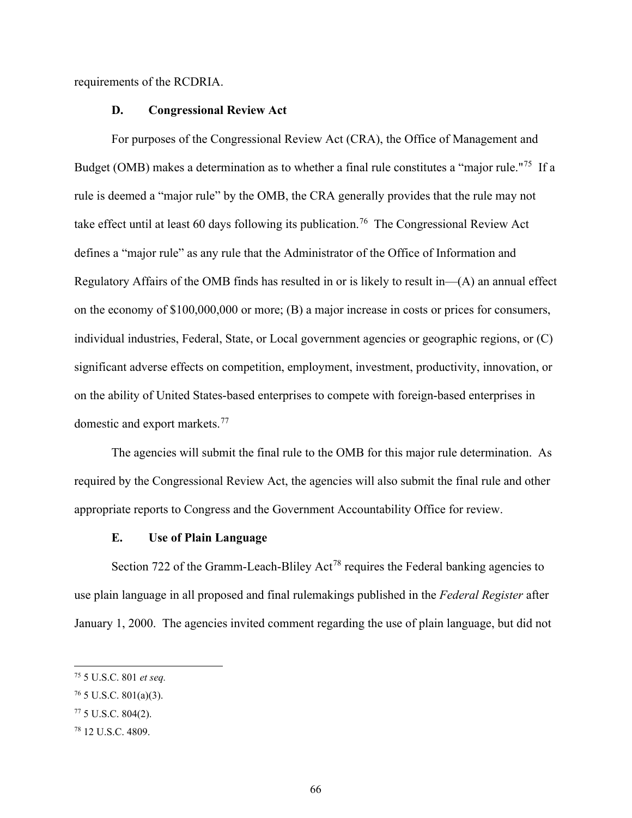requirements of the RCDRIA.

#### **D. Congressional Review Act**

For purposes of the Congressional Review Act (CRA), the Office of Management and Budget (OMB) makes a determination as to whether a final rule constitutes a "major rule."[75](#page-65-0) If a rule is deemed a "major rule" by the OMB, the CRA generally provides that the rule may not take effect until at least 60 days following its publication.<sup>[76](#page-65-1)</sup> The Congressional Review Act defines a "major rule" as any rule that the Administrator of the Office of Information and Regulatory Affairs of the OMB finds has resulted in or is likely to result in—(A) an annual effect on the economy of \$100,000,000 or more; (B) a major increase in costs or prices for consumers, individual industries, Federal, State, or Local government agencies or geographic regions, or (C) significant adverse effects on competition, employment, investment, productivity, innovation, or on the ability of United States-based enterprises to compete with foreign-based enterprises in domestic and export markets.<sup>77</sup>

The agencies will submit the final rule to the OMB for this major rule determination. As required by the Congressional Review Act, the agencies will also submit the final rule and other appropriate reports to Congress and the Government Accountability Office for review.

#### **E. Use of Plain Language**

Section 722 of the Gramm-Leach-Bliley Act<sup>[78](#page-65-3)</sup> requires the Federal banking agencies to use plain language in all proposed and final rulemakings published in the *Federal Register* after January 1, 2000. The agencies invited comment regarding the use of plain language, but did not

<span id="page-65-0"></span><sup>75</sup> 5 U.S.C. 801 *et seq.*

<span id="page-65-1"></span> $76$  5 U.S.C. 801(a)(3).

<span id="page-65-2"></span> $77$  5 U.S.C. 804(2).

<span id="page-65-3"></span><sup>78</sup> 12 U.S.C. 4809.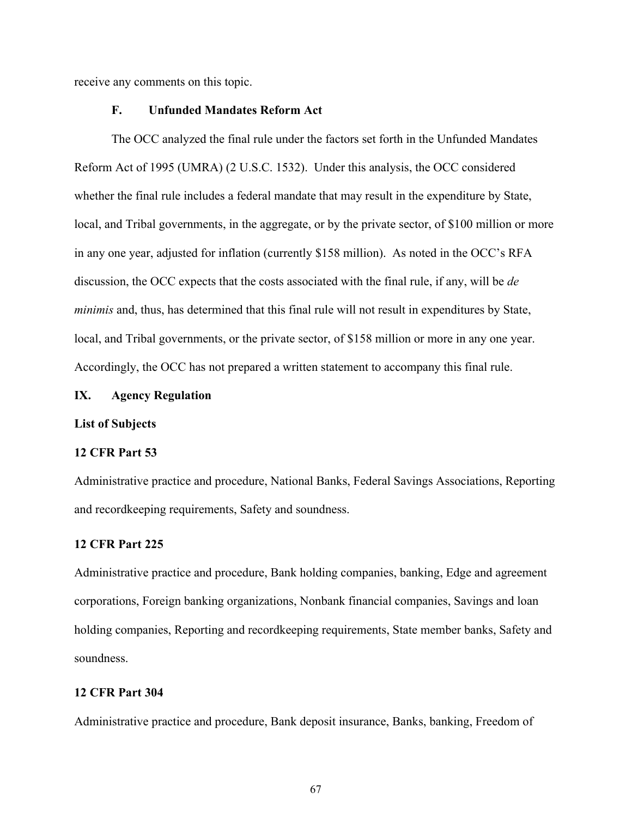receive any comments on this topic.

## **F. Unfunded Mandates Reform Act**

The OCC analyzed the final rule under the factors set forth in the Unfunded Mandates Reform Act of 1995 (UMRA) (2 U.S.C. 1532). Under this analysis, the OCC considered whether the final rule includes a federal mandate that may result in the expenditure by State, local, and Tribal governments, in the aggregate, or by the private sector, of \$100 million or more in any one year, adjusted for inflation (currently \$158 million). As noted in the OCC's RFA discussion, the OCC expects that the costs associated with the final rule, if any, will be *de minimis* and, thus, has determined that this final rule will not result in expenditures by State, local, and Tribal governments, or the private sector, of \$158 million or more in any one year. Accordingly, the OCC has not prepared a written statement to accompany this final rule.

#### **IX. Agency Regulation**

#### **List of Subjects**

#### **12 CFR Part 53**

Administrative practice and procedure, National Banks, Federal Savings Associations, Reporting and recordkeeping requirements, Safety and soundness.

#### **12 CFR Part 225**

Administrative practice and procedure, Bank holding companies, banking, Edge and agreement corporations, Foreign banking organizations, Nonbank financial companies, Savings and loan holding companies, Reporting and recordkeeping requirements, State member banks, Safety and soundness.

## **12 CFR Part 304**

Administrative practice and procedure, Bank deposit insurance, Banks, banking, Freedom of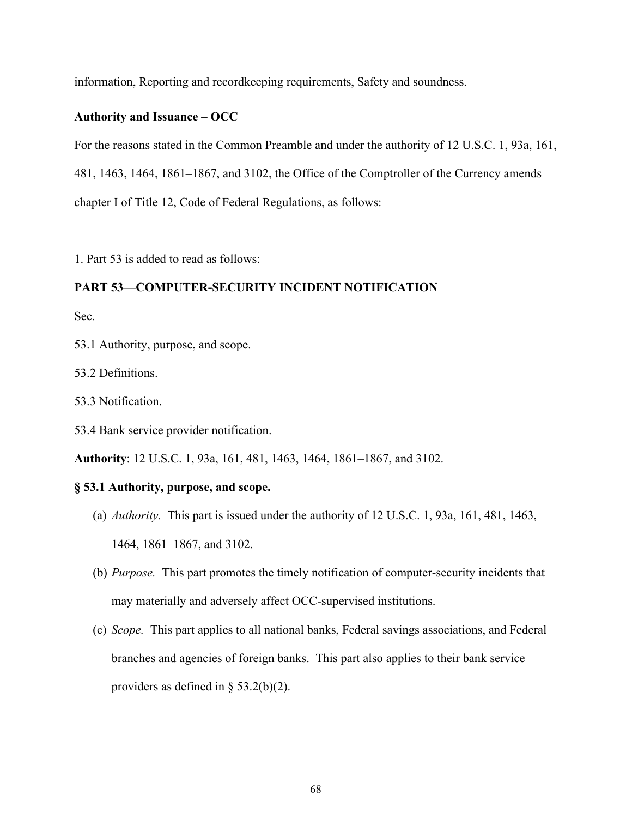information, Reporting and recordkeeping requirements, Safety and soundness.

## **Authority and Issuance – OCC**

For the reasons stated in the Common Preamble and under the authority of 12 U.S.C. 1, 93a, 161, 481, 1463, 1464, 1861–1867, and 3102, the Office of the Comptroller of the Currency amends chapter I of Title 12, Code of Federal Regulations, as follows:

1. Part 53 is added to read as follows:

## **PART 53—COMPUTER-SECURITY INCIDENT NOTIFICATION**

Sec.

- 53.1 Authority, purpose, and scope.
- 53.2 Definitions.
- 53.3 Notification.
- 53.4 Bank service provider notification.

**Authority**: 12 U.S.C. 1, 93a, 161, 481, 1463, 1464, 1861–1867, and 3102.

## **§ 53.1 Authority, purpose, and scope.**

- (a) *Authority.* This part is issued under the authority of 12 U.S.C. 1, 93a, 161, 481, 1463, 1464, 1861–1867, and 3102.
- (b) *Purpose.* This part promotes the timely notification of computer-security incidents that may materially and adversely affect OCC-supervised institutions.
- (c) *Scope.* This part applies to all national banks, Federal savings associations, and Federal branches and agencies of foreign banks. This part also applies to their bank service providers as defined in  $\S$  53.2(b)(2).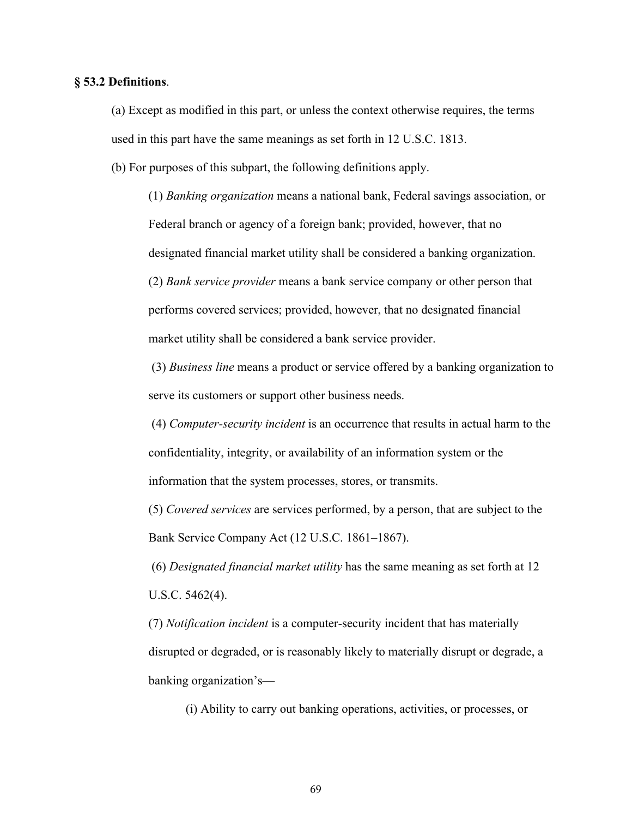#### **§ 53.2 Definitions**.

(a) Except as modified in this part, or unless the context otherwise requires, the terms used in this part have the same meanings as set forth in 12 U.S.C. 1813.

(b) For purposes of this subpart, the following definitions apply.

(1) *Banking organization* means a national bank, Federal savings association, or Federal branch or agency of a foreign bank; provided, however, that no designated financial market utility shall be considered a banking organization. (2) *Bank service provider* means a bank service company or other person that performs covered services; provided, however, that no designated financial market utility shall be considered a bank service provider.

(3) *Business line* means a product or service offered by a banking organization to serve its customers or support other business needs.

(4) *Computer-security incident* is an occurrence that results in actual harm to the confidentiality, integrity, or availability of an information system or the information that the system processes, stores, or transmits.

(5) *Covered services* are services performed, by a person, that are subject to the Bank Service Company Act (12 U.S.C. 1861–1867).

(6) *Designated financial market utility* has the same meaning as set forth at 12 U.S.C. 5462(4).

(7) *Notification incident* is a computer-security incident that has materially disrupted or degraded, or is reasonably likely to materially disrupt or degrade, a banking organization's—

(i) Ability to carry out banking operations, activities, or processes, or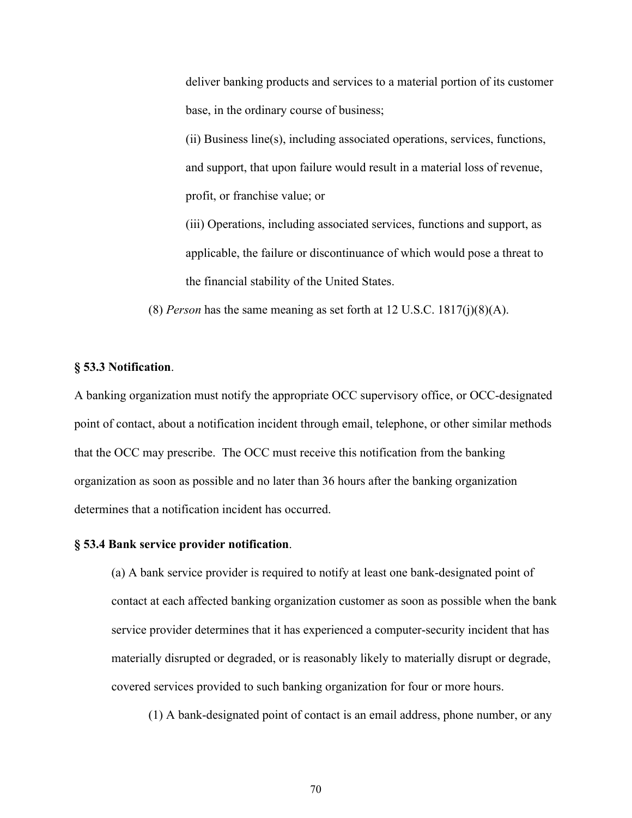deliver banking products and services to a material portion of its customer base, in the ordinary course of business;

(ii) Business line(s), including associated operations, services, functions, and support, that upon failure would result in a material loss of revenue, profit, or franchise value; or

(iii) Operations, including associated services, functions and support, as applicable, the failure or discontinuance of which would pose a threat to the financial stability of the United States.

(8) *Person* has the same meaning as set forth at 12 U.S.C. 1817(j)(8)(A).

#### **§ 53.3 Notification**.

A banking organization must notify the appropriate OCC supervisory office, or OCC-designated point of contact, about a notification incident through email, telephone, or other similar methods that the OCC may prescribe. The OCC must receive this notification from the banking organization as soon as possible and no later than 36 hours after the banking organization determines that a notification incident has occurred.

#### **§ 53.4 Bank service provider notification**.

(a) A bank service provider is required to notify at least one bank-designated point of contact at each affected banking organization customer as soon as possible when the bank service provider determines that it has experienced a computer-security incident that has materially disrupted or degraded, or is reasonably likely to materially disrupt or degrade, covered services provided to such banking organization for four or more hours.

(1) A bank-designated point of contact is an email address, phone number, or any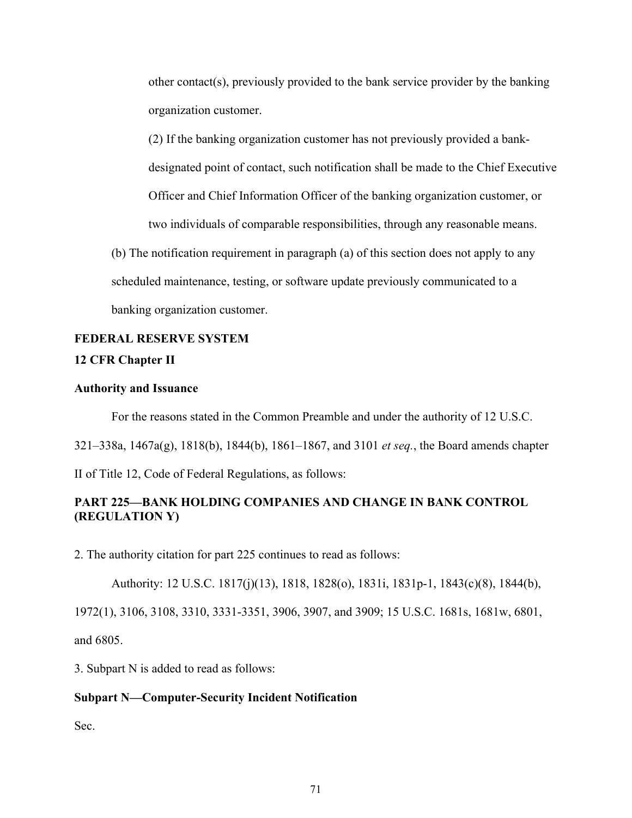other contact(s), previously provided to the bank service provider by the banking organization customer.

(2) If the banking organization customer has not previously provided a bankdesignated point of contact, such notification shall be made to the Chief Executive Officer and Chief Information Officer of the banking organization customer, or two individuals of comparable responsibilities, through any reasonable means.

(b) The notification requirement in paragraph (a) of this section does not apply to any scheduled maintenance, testing, or software update previously communicated to a banking organization customer.

# **FEDERAL RESERVE SYSTEM**

# **12 CFR Chapter II**

#### **Authority and Issuance**

For the reasons stated in the Common Preamble and under the authority of 12 U.S.C.

321–338a, 1467a(g), 1818(b), 1844(b), 1861–1867, and 3101 *et seq.*, the Board amends chapter

II of Title 12, Code of Federal Regulations, as follows:

# **PART 225—BANK HOLDING COMPANIES AND CHANGE IN BANK CONTROL (REGULATION Y)**

2. The authority citation for part 225 continues to read as follows:

Authority: 12 U.S.C. 1817(j)(13), 1818, 1828(o), 1831i, 1831p-1, 1843(c)(8), 1844(b), 1972(1), 3106, 3108, 3310, 3331-3351, 3906, 3907, and 3909; 15 U.S.C. 1681s, 1681w, 6801, and 6805.

3. Subpart N is added to read as follows:

## **Subpart N—Computer-Security Incident Notification**

Sec.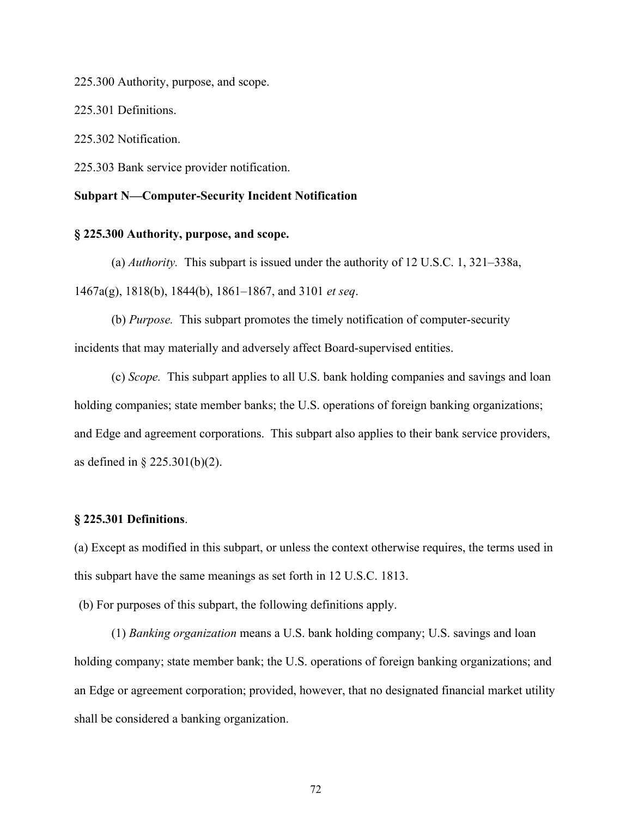225.300 Authority, purpose, and scope.

225.301 Definitions.

225.302 Notification.

225.303 Bank service provider notification.

#### **Subpart N—Computer-Security Incident Notification**

#### **§ 225.300 Authority, purpose, and scope.**

(a) *Authority.* This subpart is issued under the authority of 12 U.S.C. 1, 321–338a, 1467a(g), 1818(b), 1844(b), 1861–1867, and 3101 *et seq*.

(b) *Purpose.* This subpart promotes the timely notification of computer-security incidents that may materially and adversely affect Board-supervised entities.

(c) *Scope.* This subpart applies to all U.S. bank holding companies and savings and loan holding companies; state member banks; the U.S. operations of foreign banking organizations; and Edge and agreement corporations. This subpart also applies to their bank service providers, as defined in § 225.301(b)(2).

#### **§ 225.301 Definitions**.

(a) Except as modified in this subpart, or unless the context otherwise requires, the terms used in this subpart have the same meanings as set forth in 12 U.S.C. 1813.

(b) For purposes of this subpart, the following definitions apply.

(1) *Banking organization* means a U.S. bank holding company; U.S. savings and loan holding company; state member bank; the U.S. operations of foreign banking organizations; and an Edge or agreement corporation; provided, however, that no designated financial market utility shall be considered a banking organization.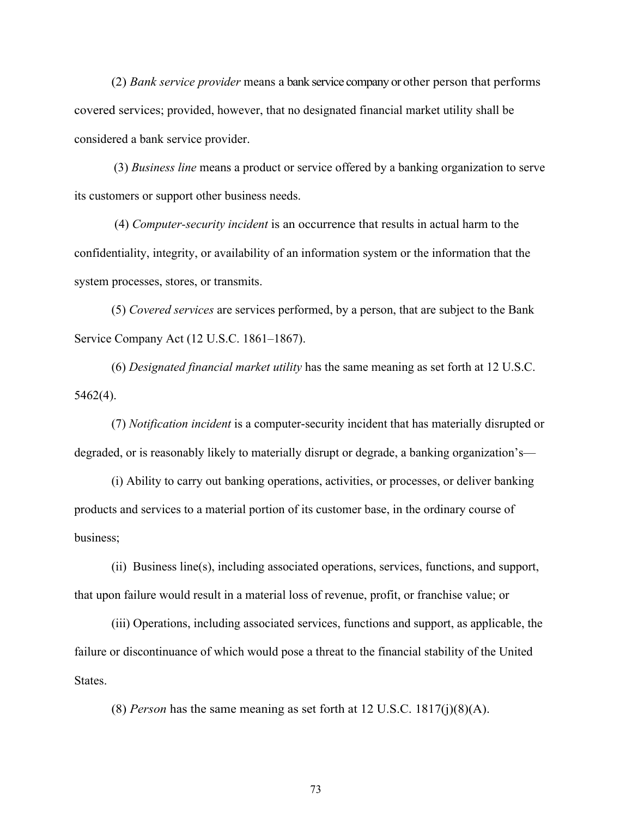(2) *Bank service provider* means a bank service company or other person that performs covered services; provided, however, that no designated financial market utility shall be considered a bank service provider.

(3) *Business line* means a product or service offered by a banking organization to serve its customers or support other business needs.

(4) *Computer-security incident* is an occurrence that results in actual harm to the confidentiality, integrity, or availability of an information system or the information that the system processes, stores, or transmits.

(5) *Covered services* are services performed, by a person, that are subject to the Bank Service Company Act (12 U.S.C. 1861–1867).

(6) *Designated financial market utility* has the same meaning as set forth at 12 U.S.C. 5462(4).

(7) *Notification incident* is a computer-security incident that has materially disrupted or degraded, or is reasonably likely to materially disrupt or degrade, a banking organization's—

(i) Ability to carry out banking operations, activities, or processes, or deliver banking products and services to a material portion of its customer base, in the ordinary course of business;

(ii) Business line(s), including associated operations, services, functions, and support, that upon failure would result in a material loss of revenue, profit, or franchise value; or

(iii) Operations, including associated services, functions and support, as applicable, the failure or discontinuance of which would pose a threat to the financial stability of the United States.

(8) *Person* has the same meaning as set forth at 12 U.S.C. 1817(j)(8)(A).

73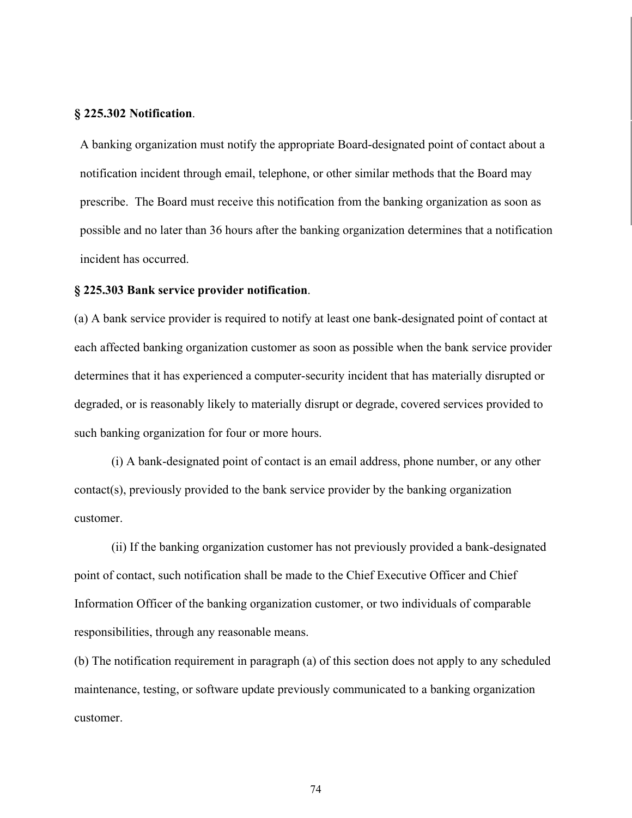#### **§ 225.302 Notification**.

A banking organization must notify the appropriate Board-designated point of contact about a notification incident through email, telephone, or other similar methods that the Board may prescribe. The Board must receive this notification from the banking organization as soon as possible and no later than 36 hours after the banking organization determines that a notification incident has occurred.

#### **§ 225.303 Bank service provider notification**.

(a) A bank service provider is required to notify at least one bank-designated point of contact at each affected banking organization customer as soon as possible when the bank service provider determines that it has experienced a computer-security incident that has materially disrupted or degraded, or is reasonably likely to materially disrupt or degrade, covered services provided to such banking organization for four or more hours.

(i) A bank-designated point of contact is an email address, phone number, or any other contact(s), previously provided to the bank service provider by the banking organization customer.

(ii) If the banking organization customer has not previously provided a bank-designated point of contact, such notification shall be made to the Chief Executive Officer and Chief Information Officer of the banking organization customer, or two individuals of comparable responsibilities, through any reasonable means.

(b) The notification requirement in paragraph (a) of this section does not apply to any scheduled maintenance, testing, or software update previously communicated to a banking organization customer.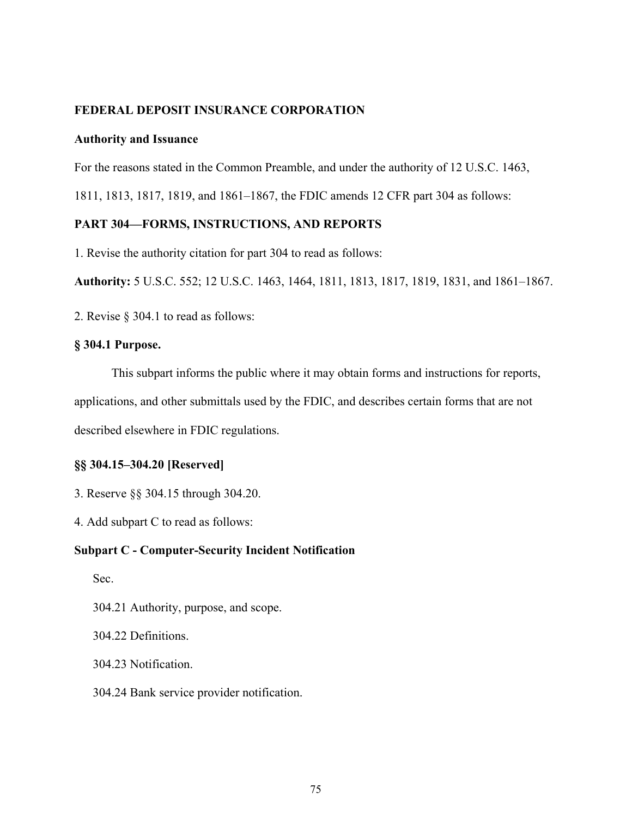## **FEDERAL DEPOSIT INSURANCE CORPORATION**

#### **Authority and Issuance**

For the reasons stated in the Common Preamble, and under the authority of 12 U.S.C. 1463,

1811, 1813, 1817, 1819, and 1861–1867, the FDIC amends 12 CFR part 304 as follows:

## **PART 304—FORMS, INSTRUCTIONS, AND REPORTS**

1. Revise the authority citation for part 304 to read as follows:

**Authority:** 5 U.S.C. 552; 12 U.S.C. 1463, 1464, 1811, 1813, 1817, 1819, 1831, and 1861–1867.

2. Revise § 304.1 to read as follows:

## **§ 304.1 Purpose.**

This subpart informs the public where it may obtain forms and instructions for reports, applications, and other submittals used by the FDIC, and describes certain forms that are not described elsewhere in FDIC regulations.

## **§§ 304.15–304.20 [Reserved]**

- 3. Reserve §§ 304.15 through 304.20.
- 4. Add subpart C to read as follows:

#### **Subpart C - Computer-Security Incident Notification**

Sec.

304.21 Authority, purpose, and scope.

304.22 Definitions.

304.23 Notification.

304.24 Bank service provider notification.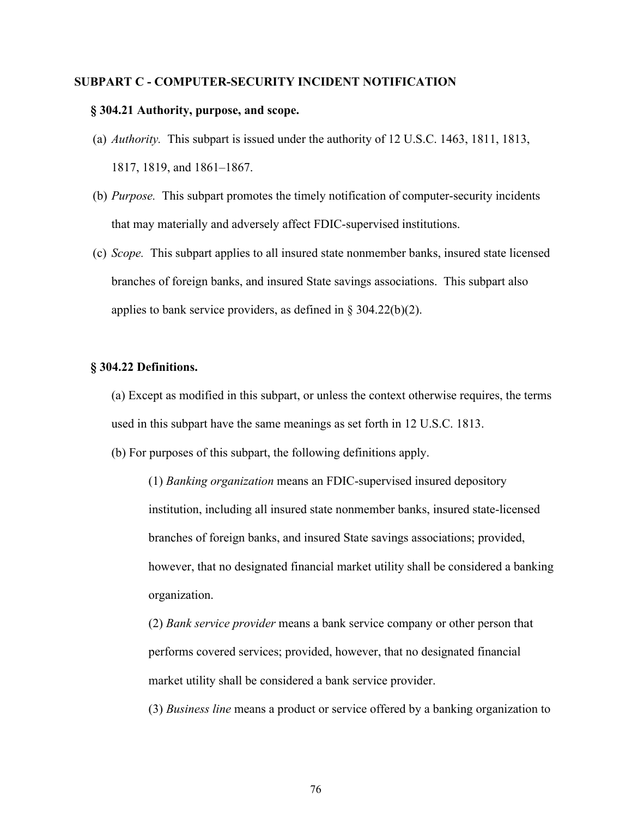#### **SUBPART C - COMPUTER-SECURITY INCIDENT NOTIFICATION**

#### **§ 304.21 Authority, purpose, and scope.**

- (a) *Authority.* This subpart is issued under the authority of 12 U.S.C. 1463, 1811, 1813, 1817, 1819, and 1861–1867.
- (b) *Purpose.* This subpart promotes the timely notification of computer-security incidents that may materially and adversely affect FDIC-supervised institutions.
- (c) *Scope.* This subpart applies to all insured state nonmember banks, insured state licensed branches of foreign banks, and insured State savings associations. This subpart also applies to bank service providers, as defined in  $\S 304.22(b)(2)$ .

#### **§ 304.22 Definitions.**

(a) Except as modified in this subpart, or unless the context otherwise requires, the terms used in this subpart have the same meanings as set forth in 12 U.S.C. 1813.

(b) For purposes of this subpart, the following definitions apply.

(1) *Banking organization* means an FDIC-supervised insured depository institution, including all insured state nonmember banks, insured state-licensed branches of foreign banks, and insured State savings associations; provided, however, that no designated financial market utility shall be considered a banking organization.

(2) *Bank service provider* means a bank service company or other person that performs covered services; provided, however, that no designated financial market utility shall be considered a bank service provider.

(3) *Business line* means a product or service offered by a banking organization to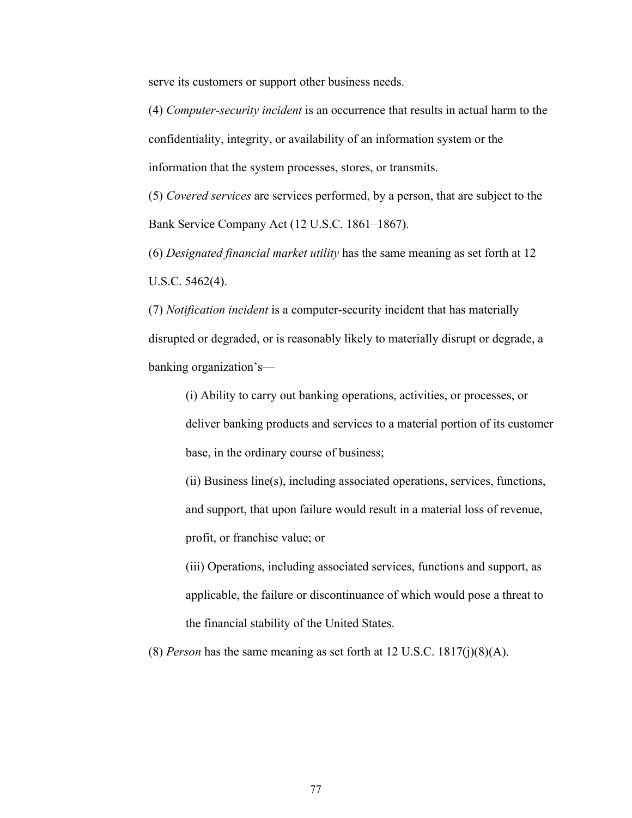serve its customers or support other business needs.

(4) *Computer-security incident* is an occurrence that results in actual harm to the confidentiality, integrity, or availability of an information system or the information that the system processes, stores, or transmits.

(5) *Covered services* are services performed, by a person, that are subject to the Bank Service Company Act (12 U.S.C. 1861–1867).

(6) *Designated financial market utility* has the same meaning as set forth at 12 U.S.C. 5462(4).

(7) *Notification incident* is a computer-security incident that has materially disrupted or degraded, or is reasonably likely to materially disrupt or degrade, a banking organization's—

(i) Ability to carry out banking operations, activities, or processes, or deliver banking products and services to a material portion of its customer base, in the ordinary course of business;

(ii) Business line(s), including associated operations, services, functions, and support, that upon failure would result in a material loss of revenue, profit, or franchise value; or

(iii) Operations, including associated services, functions and support, as applicable, the failure or discontinuance of which would pose a threat to the financial stability of the United States.

(8) *Person* has the same meaning as set forth at 12 U.S.C. 1817(j)(8)(A).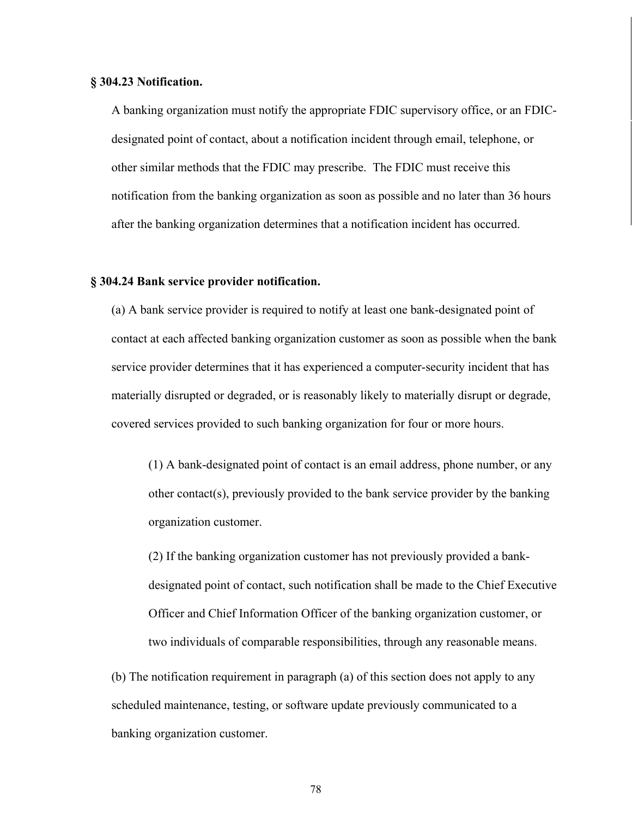#### **§ 304.23 Notification.**

A banking organization must notify the appropriate FDIC supervisory office, or an FDICdesignated point of contact, about a notification incident through email, telephone, or other similar methods that the FDIC may prescribe. The FDIC must receive this notification from the banking organization as soon as possible and no later than 36 hours after the banking organization determines that a notification incident has occurred.

#### **§ 304.24 Bank service provider notification.**

(a) A bank service provider is required to notify at least one bank-designated point of contact at each affected banking organization customer as soon as possible when the bank service provider determines that it has experienced a computer-security incident that has materially disrupted or degraded, or is reasonably likely to materially disrupt or degrade, covered services provided to such banking organization for four or more hours.

(1) A bank-designated point of contact is an email address, phone number, or any other contact(s), previously provided to the bank service provider by the banking organization customer.

(2) If the banking organization customer has not previously provided a bankdesignated point of contact, such notification shall be made to the Chief Executive Officer and Chief Information Officer of the banking organization customer, or two individuals of comparable responsibilities, through any reasonable means.

(b) The notification requirement in paragraph (a) of this section does not apply to any scheduled maintenance, testing, or software update previously communicated to a banking organization customer.